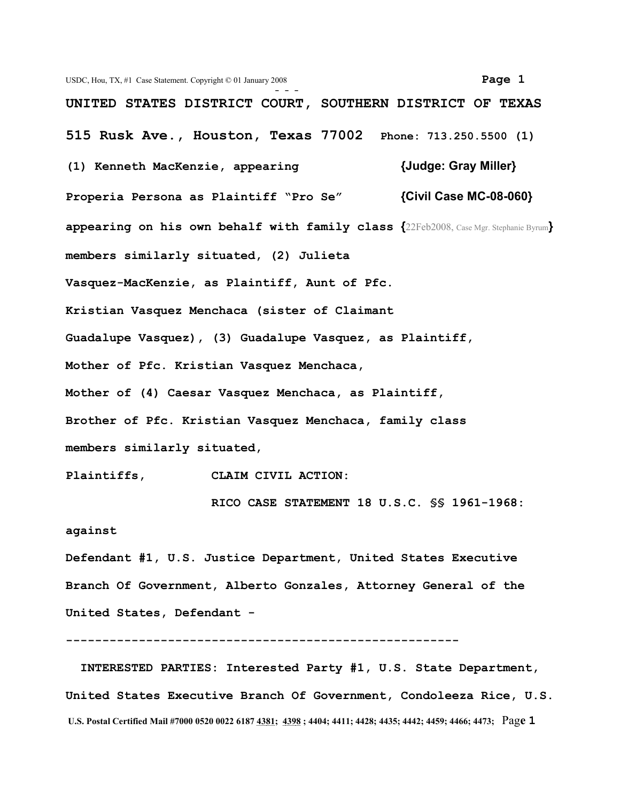USDC, Hou, TX, #1 Case Statement. Copyright © 01 January 2008 **Page 1 - - - UNITED STATES DISTRICT COURT, SOUTHERN DISTRICT OF TEXAS 515 Rusk Ave., Houston, Texas 77002 Phone: 713.250.5500 (1) (1) Kenneth MacKenzie, appearing {Judge: Gray Miller} Properia Persona as Plaintiff "Pro Se" {Civil Case MC-08-060} appearing on his own behalf with family class {**22Feb2008, Case Mgr. Stephanie Byrum**} members similarly situated, (2) Julieta Vasquez-MacKenzie, as Plaintiff, Aunt of Pfc. Kristian Vasquez Menchaca (sister of Claimant Guadalupe Vasquez), (3) Guadalupe Vasquez, as Plaintiff, Mother of Pfc. Kristian Vasquez Menchaca, Mother of (4) Caesar Vasquez Menchaca, as Plaintiff, Brother of Pfc. Kristian Vasquez Menchaca, family class members similarly situated,** 

**Plaintiffs, CLAIM CIVIL ACTION:**

 **RICO CASE STATEMENT 18 U.S.C. §§ 1961-1968:**

## **against**

**Defendant #1, U.S. Justice Department, United States Executive Branch Of Government, Alberto Gonzales, Attorney General of the United States, Defendant -** 

**------------------------------------------------------**

 **INTERESTED PARTIES: Interested Party #1, U.S. State Department, United States Executive Branch Of Government, Condoleeza Rice, U.S. U.S. Postal Certified Mail #7000 0520 0022 6187 4381; 4398 ; 4404; 4411; 4428; 4435; 4442; 4459; 4466; 4473;** Pag**e 1**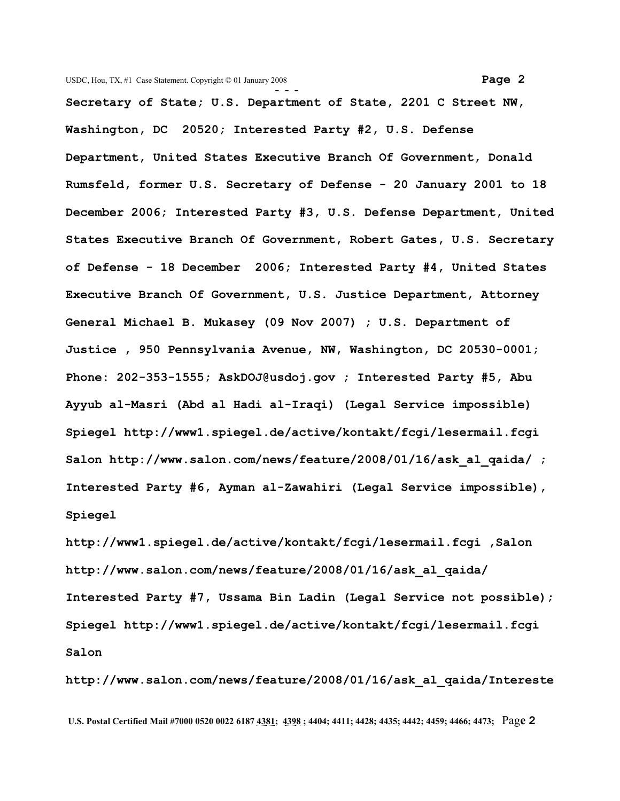**- - - Secretary of State; U.S. Department of State, 2201 C Street NW, Washington, DC 20520; Interested Party #2, U.S. Defense Department, United States Executive Branch Of Government, Donald Rumsfeld, former U.S. Secretary of Defense - 20 January 2001 to 18 December 2006; Interested Party #3, U.S. Defense Department, United States Executive Branch Of Government, Robert Gates, U.S. Secretary of Defense - 18 December 2006; Interested Party #4, United States Executive Branch Of Government, U.S. Justice Department, Attorney General Michael B. Mukasey (09 Nov 2007) ; U.S. Department of Justice , 950 Pennsylvania Avenue, NW, Washington, DC 20530-0001; Phone: 202-353-1555; [AskDOJ@usdoj.gov](mailto:AskDOJ@usdoj.gov?subject=USDOJ%20Comments) ; Interested Party #5, Abu Ayyub al-Masri (Abd al Hadi al-Iraqi) (Legal Service impossible) Spiegel [http://www1.spiegel.de/active/kontakt/fcgi/lesermail.fcgi](http://www1.spiegel.de/active/kontakt/fcgi/lesermail.fcgi%20%20) Salon [http://www.salon.com/news/feature/2008/01/16/ask\\_al\\_qaida/](http://www.salon.com/news/feature/2008/01/16/ask_al_qaida/) ;**

**Interested Party #6, Ayman al-Zawahiri (Legal Service impossible), Spiegel**

**[http://www1.spiegel.de/active/kontakt/fcgi/lesermail.fcgi ,S](http://www1.spiegel.de/active/kontakt/fcgi/lesermail.fcgi%20%20)alon [http://www.salon.com/news/feature/2008/01/16/ask\\_al\\_qaida/](http://www.salon.com/news/feature/2008/01/16/ask_al_qaida/) Interested Party #7, Ussama Bin Ladin (Legal Service not possible); Spiegel [http://www1.spiegel.de/active/kontakt/fcgi/lesermail.fcgi](http://www1.spiegel.de/active/kontakt/fcgi/lesermail.fcgi%20%20) Salon**

**[http://www.salon.com/news/feature/2008/01/16/ask\\_al\\_qaida/I](http://www.salon.com/news/feature/2008/01/16/ask_al_qaida/)ntereste**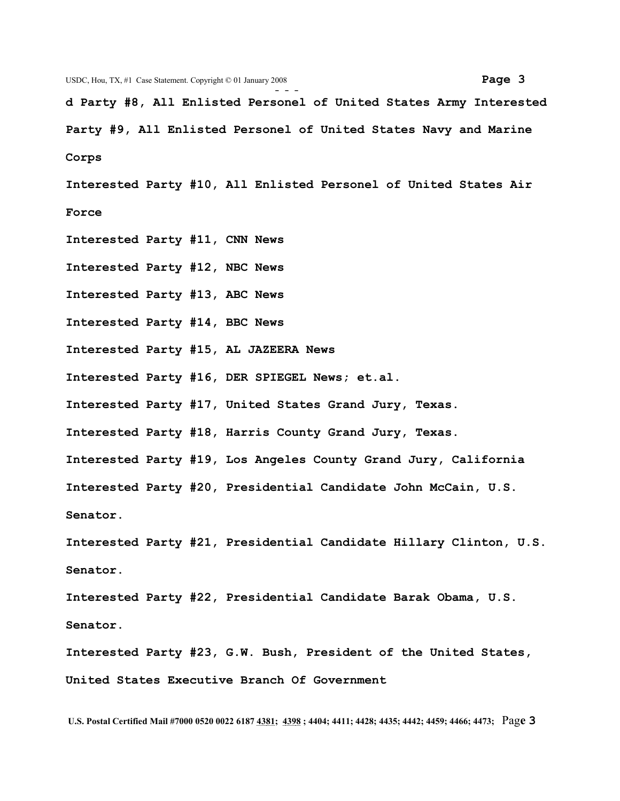**d Party #8, All Enlisted Personel of United States Army Interested Party #9, All Enlisted Personel of United States Navy and Marine Corps**

**Interested Party #10, All Enlisted Personel of United States Air Force**

**Interested Party #11, CNN News Interested Party #12, NBC News Interested Party #13, ABC News Interested Party #14, BBC News Interested Party #15, AL JAZEERA News Interested Party #16, DER SPIEGEL News; et.al. Interested Party #17, United States Grand Jury, Texas. Interested Party #18, Harris County Grand Jury, Texas. Interested Party #19, Los Angeles County Grand Jury, California Interested Party #20, Presidential Candidate John McCain, U.S. Senator. Interested Party #21, Presidential Candidate Hillary Clinton, U.S. Senator.**

**Interested Party #22, Presidential Candidate Barak Obama, U.S. Senator.**

**Interested Party #23, G.W. Bush, President of the United States, United States Executive Branch Of Government**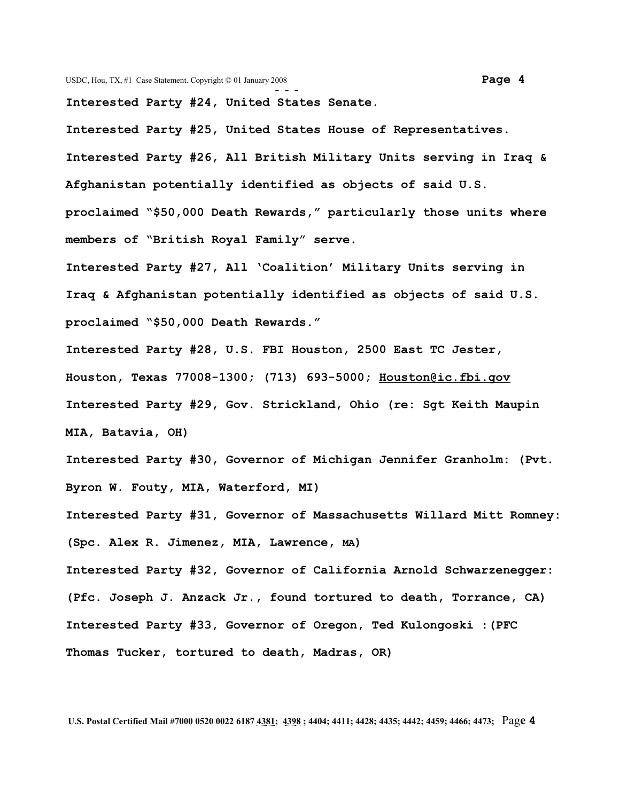**Interested Party #24, United States Senate.**

**Interested Party #25, United States House of Representatives. Interested Party #26, All British Military Units serving in Iraq & Afghanistan potentially identified as objects of said U.S. proclaimed "\$50,000 Death Rewards," particularly those units where members of "British Royal Family" serve.**

**Interested Party #27, All 'Coalition' Military Units serving in Iraq & Afghanistan potentially identified as objects of said U.S. proclaimed "\$50,000 Death Rewards."**

**Interested Party #28, U.S. FBI Houston, 2500 East TC Jester, Houston, Texas 77008-1300; (713) 693-5000; [Houston@ic.fbi.gov](mailto:Houston@ic.fbi.gov)  Interested Party #29, Gov. Strickland, Ohio (re: Sgt Keith Maupin MIA, Batavia, OH)**

**Interested Party #30, Governor of Michigan Jennifer Granholm: (Pvt. Byron W. Fouty, MIA, Waterford, MI)**

**Interested Party #31, Governor of Massachusetts Willard Mitt Romney: (Spc. Alex R. Jimenez, MIA, Lawrence, MA)**

**Interested Party #32, Governor of California Arnold Schwarzenegger: (Pfc. Joseph J. Anzack Jr., found tortured to death, Torrance, CA) Interested Party #33, Governor of Oregon, Ted Kulongoski :(PFC Thomas Tucker, tortured to death, Madras, OR)**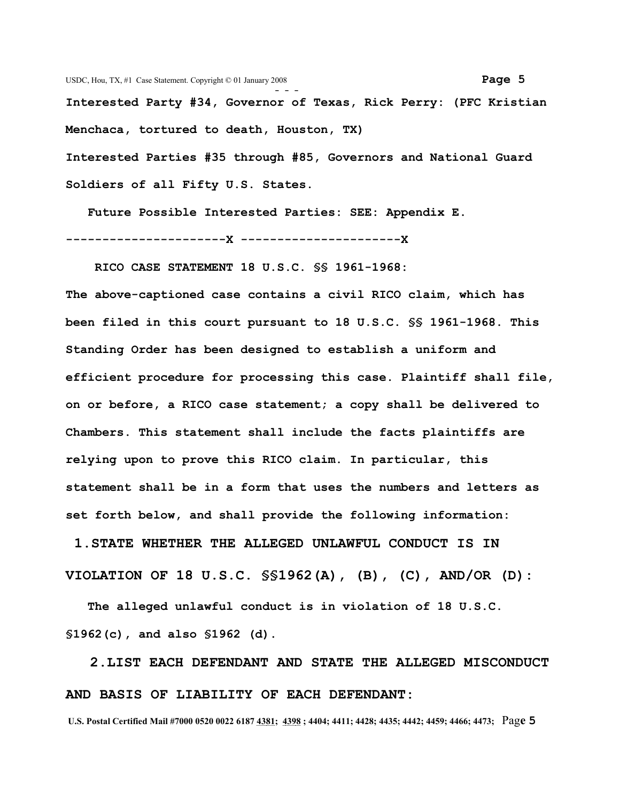**Interested Party #34, Governor of Texas, Rick Perry: (PFC Kristian Menchaca, tortured to death, Houston, TX)**

**Interested Parties #35 through #85, Governors and National Guard Soldiers of all Fifty U.S. States.**

 **Future Possible Interested Parties: SEE: Appendix E.**

**----------------------X ----------------------X**

 **RICO CASE STATEMENT 18 U.S.C. §§ 1961-1968:** 

**The above-captioned case contains a civil RICO claim, which has been filed in this court pursuant to 18 U.S.C. §§ 1961-1968. This Standing Order has been designed to establish a uniform and efficient procedure for processing this case. Plaintiff shall file, on or before, a RICO case statement; a copy shall be delivered to Chambers. This statement shall include the facts plaintiffs are relying upon to prove this RICO claim. In particular, this statement shall be in a form that uses the numbers and letters as set forth below, and shall provide the following information:**

 **1.STATE WHETHER THE ALLEGED UNLAWFUL CONDUCT IS IN VIOLATION OF 18 U.S.C. §§1962(A), (B), (C), AND/OR (D):**

 **The alleged unlawful conduct is in violation of 18 U.S.C. §1962(c), and also §1962 (d).**

 **2.LIST EACH DEFENDANT AND STATE THE ALLEGED MISCONDUCT AND BASIS OF LIABILITY OF EACH DEFENDANT:**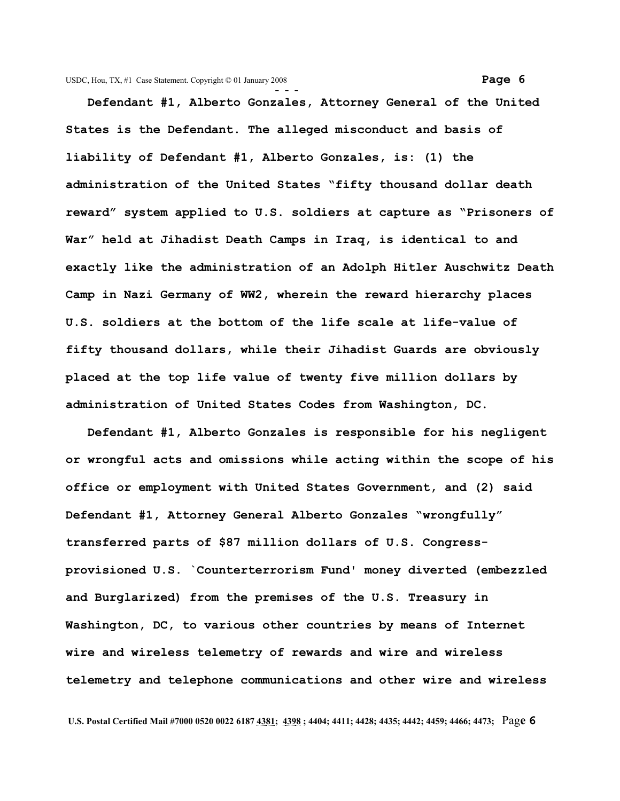**Defendant #1, Alberto Gonzales, Attorney General of the United States is the Defendant. The alleged misconduct and basis of liability of Defendant #1, Alberto Gonzales, is: (1) the administration of the United States "fifty thousand dollar death reward" system applied to U.S. soldiers at capture as "Prisoners of War" held at Jihadist Death Camps in Iraq, is identical to and exactly like the administration of an Adolph Hitler Auschwitz Death Camp in Nazi Germany of WW2, wherein the reward hierarchy places U.S. soldiers at the bottom of the life scale at life-value of fifty thousand dollars, while their Jihadist Guards are obviously placed at the top life value of twenty five million dollars by administration of United States Codes from Washington, DC.** 

 **Defendant #1, Alberto Gonzales is responsible for his negligent or wrongful acts and omissions while acting within the scope of his office or employment with United States Government, and (2) said Defendant #1, Attorney General Alberto Gonzales "wrongfully" transferred parts of \$87 million dollars of U.S. Congressprovisioned U.S. `Counterterrorism Fund' money diverted (embezzled and Burglarized) from the premises of the U.S. Treasury in Washington, DC, to various other countries by means of Internet wire and wireless telemetry of rewards and wire and wireless telemetry and telephone communications and other wire and wireless**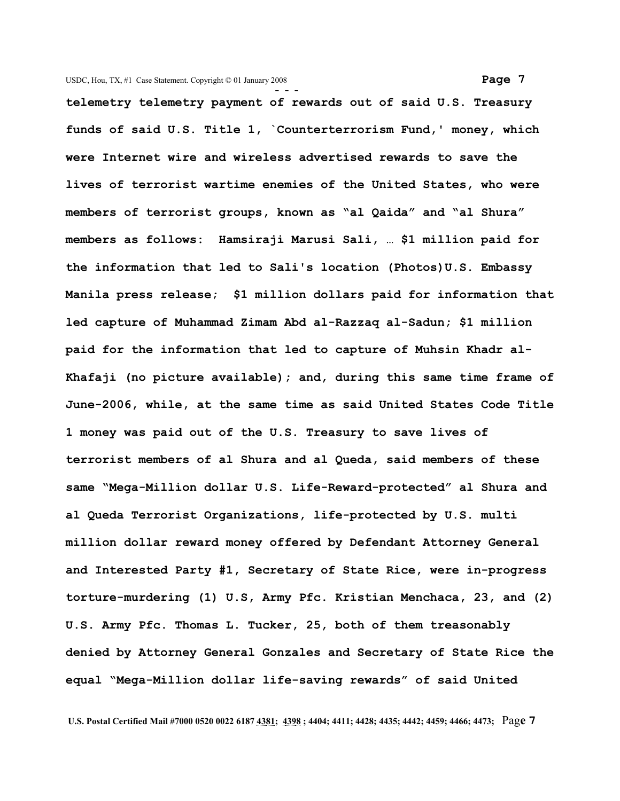**- - telemetry telemetry payment of rewards out of said U.S. Treasury funds of said U.S. Title 1, `Counterterrorism Fund,' money, which were Internet wire and wireless advertised rewards to save the lives of terrorist wartime enemies of the United States, who were members of terrorist groups, known as "al Qaida" and "al Shura" members as follows: Hamsiraji Marusi Sali, … \$1 million paid for the information that led to Sali's location (Photos)U.S. Embassy Manila press release; \$1 million dollars paid for information that led capture of Muhammad Zimam Abd al-Razzaq al-Sadun; \$1 million paid for the information that led to capture of Muhsin Khadr al-Khafaji (no picture available); and, during this same time frame of June-2006, while, at the same time as said United States Code Title 1 money was paid out of the U.S. Treasury to save lives of terrorist members of al Shura and al Queda, said members of these same "Mega-Million dollar U.S. Life-Reward-protected" al Shura and al Queda Terrorist Organizations, life-protected by U.S. multi million dollar reward money offered by Defendant Attorney General and Interested Party #1, Secretary of State Rice, were in-progress torture-murdering (1) U.S, Army Pfc. Kristian Menchaca, 23, and (2) U.S. Army Pfc. Thomas L. Tucker, 25, both of them treasonably denied by Attorney General Gonzales and Secretary of State Rice the equal "Mega-Million dollar life-saving rewards" of said United**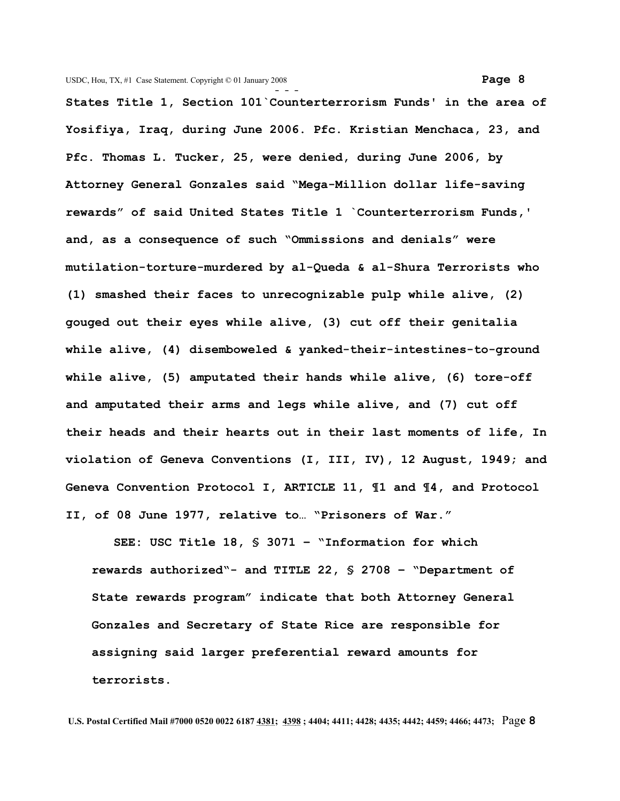**- - - States Title 1, Section 101`Counterterrorism Funds' in the area of Yosifiya, Iraq, during June 2006. Pfc. Kristian Menchaca, 23, and Pfc. Thomas L. Tucker, 25, were denied, during June 2006, by Attorney General Gonzales said "Mega-Million dollar life-saving rewards" of said United States Title 1 `Counterterrorism Funds,' and, as a consequence of such "Ommissions and denials" were mutilation-torture-murdered by al-Queda & al-Shura Terrorists who (1) smashed their faces to unrecognizable pulp while alive, (2) gouged out their eyes while alive, (3) cut off their genitalia while alive, (4) disemboweled & yanked-their-intestines-to-ground while alive, (5) amputated their hands while alive, (6) tore-off and amputated their arms and legs while alive, and (7) cut off their heads and their hearts out in their last moments of life, In violation of Geneva Conventions (I, III, IV), 12 August, 1949; and Geneva Convention Protocol I, ARTICLE 11, ¶1 and ¶4, and Protocol II, of 08 June 1977, relative to… "Prisoners of War."**

 **SEE: USC Title 18, § 3071 – "Information for which rewards authorized"- and TITLE 22, § 2708 – "Department of State rewards program" indicate that both Attorney General Gonzales and Secretary of State Rice are responsible for assigning said larger preferential reward amounts for terrorists.**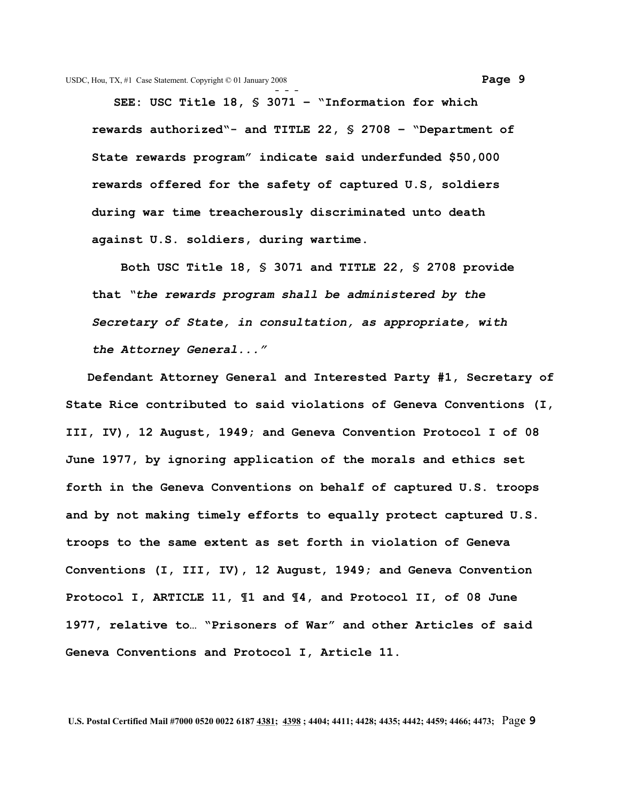**SEE: USC Title 18, § 3071 – "Information for which rewards authorized"- and TITLE 22, § 2708 – "Department of State rewards program" indicate said underfunded \$50,000 rewards offered for the safety of captured U.S, soldiers during war time treacherously discriminated unto death against U.S. soldiers, during wartime.** 

 **Both USC Title 18, § 3071 and TITLE 22, § 2708 provide that** *"the rewards program shall be administered by the Secretary of State, in consultation, as appropriate, with the Attorney General..."* 

 **Defendant Attorney General and Interested Party #1, Secretary of State Rice contributed to said violations of Geneva Conventions (I, III, IV), 12 August, 1949; and Geneva Convention Protocol I of 08 June 1977, by ignoring application of the morals and ethics set forth in the Geneva Conventions on behalf of captured U.S. troops and by not making timely efforts to equally protect captured U.S. troops to the same extent as set forth in violation of Geneva Conventions (I, III, IV), 12 August, 1949; and Geneva Convention Protocol I, ARTICLE 11, ¶1 and ¶4, and Protocol II, of 08 June 1977, relative to… "Prisoners of War" and other Articles of said Geneva Conventions and Protocol I, Article 11.**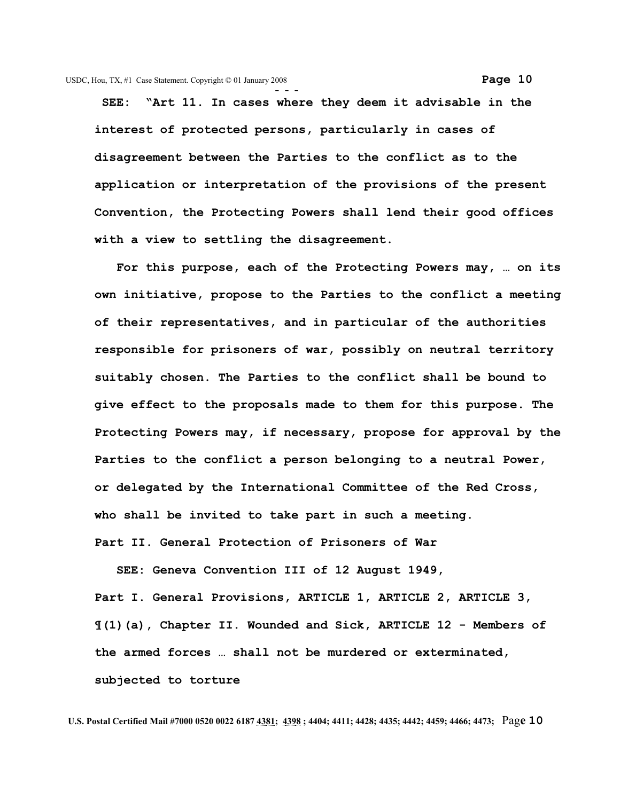**SEE: "Art 11. In cases where they deem it advisable in the interest of protected persons, particularly in cases of disagreement between the Parties to the conflict as to the application or interpretation of the provisions of the present Convention, the Protecting Powers shall lend their good offices with a view to settling the disagreement.**

 **For this purpose, each of the Protecting Powers may, … on its own initiative, propose to the Parties to the conflict a meeting of their representatives, and in particular of the authorities responsible for prisoners of war, possibly on neutral territory suitably chosen. The Parties to the conflict shall be bound to give effect to the proposals made to them for this purpose. The Protecting Powers may, if necessary, propose for approval by the Parties to the conflict a person belonging to a neutral Power, or delegated by the International Committee of the Red Cross, who shall be invited to take part in such a meeting. Part II. General Protection of Prisoners of War**

 **SEE: Geneva Convention III of 12 August 1949, Part I. General Provisions, ARTICLE 1, ARTICLE 2, ARTICLE 3, ¶(1)(a), Chapter II. Wounded and Sick, ARTICLE 12 - Members of the armed forces … shall not be murdered or exterminated, subjected to torture**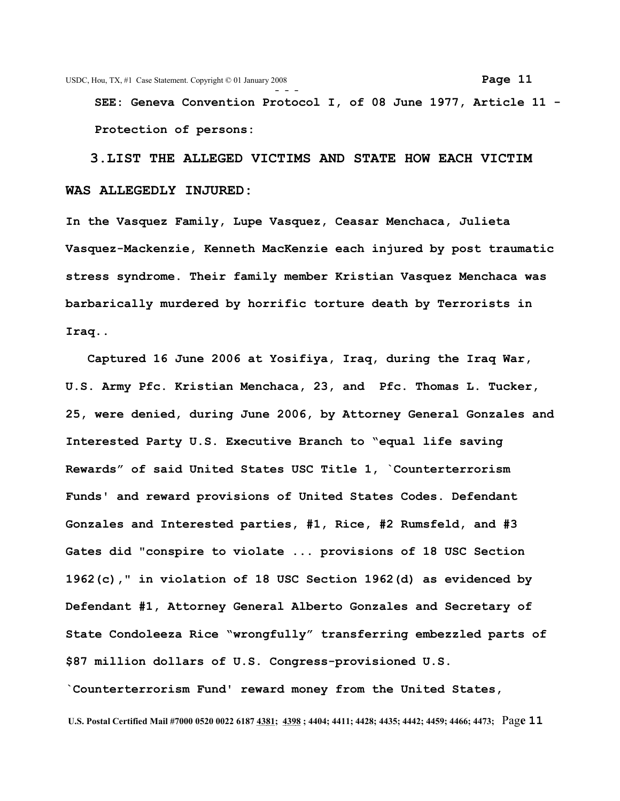USDC, Hou, TX, #1 Case Statement. Copyright © 01 January 2008 **Page 11 - - - SEE: Geneva Convention Protocol I, of 08 June 1977, Article 11 - Protection of persons:** 

 **3.LIST THE ALLEGED VICTIMS AND STATE HOW EACH VICTIM WAS ALLEGEDLY INJURED:**

**In the Vasquez Family, Lupe Vasquez, Ceasar Menchaca, Julieta Vasquez-Mackenzie, Kenneth MacKenzie each injured by post traumatic stress syndrome. Their family member Kristian Vasquez Menchaca was barbarically murdered by horrific torture death by Terrorists in Iraq..**

 **Captured 16 June 2006 at Yosifiya, Iraq, during the Iraq War, U.S. Army Pfc. Kristian Menchaca, 23, and Pfc. Thomas L. Tucker, 25, were denied, during June 2006, by Attorney General Gonzales and Interested Party U.S. Executive Branch to "equal life saving Rewards" of said United States USC Title 1, `Counterterrorism Funds' and reward provisions of United States Codes. Defendant Gonzales and Interested parties, #1, Rice, #2 Rumsfeld, and #3 Gates did "conspire to violate ... provisions of 18 USC Section 1962(c)," in violation of 18 USC Section 1962(d) as evidenced by Defendant #1, Attorney General Alberto Gonzales and Secretary of State Condoleeza Rice "wrongfully" transferring embezzled parts of \$87 million dollars of U.S. Congress-provisioned U.S.**

**`Counterterrorism Fund' reward money from the United States,**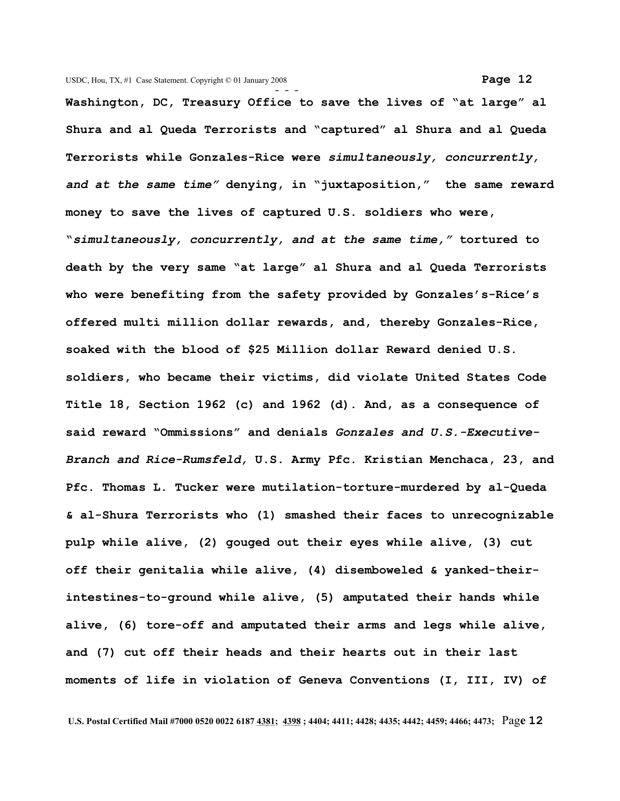**- - - Washington, DC, Treasury Office to save the lives of "at large" al Shura and al Queda Terrorists and "captured" al Shura and al Queda Terrorists while Gonzales-Rice were** *simultaneously, concurrently, and at the same time"* **denying, in "juxtaposition," the same reward money to save the lives of captured U.S. soldiers who were, "***simultaneously, concurrently, and at the same time,"* **tortured to death by the very same "at large" al Shura and al Queda Terrorists who were benefiting from the safety provided by Gonzales's-Rice's offered multi million dollar rewards, and, thereby Gonzales-Rice, soaked with the blood of \$25 Million dollar Reward denied U.S. soldiers, who became their victims, did violate United States Code Title 18, Section 1962 (c) and 1962 (d). And, as a consequence of said reward "Ommissions" and denials** *Gonzales and U.S.-Executive-Branch and Rice-Rumsfeld,* **U.S. Army Pfc. Kristian Menchaca, 23, and Pfc. Thomas L. Tucker were mutilation-torture-murdered by al-Queda & al-Shura Terrorists who (1) smashed their faces to unrecognizable pulp while alive, (2) gouged out their eyes while alive, (3) cut off their genitalia while alive, (4) disemboweled & yanked-theirintestines-to-ground while alive, (5) amputated their hands while alive, (6) tore-off and amputated their arms and legs while alive, and (7) cut off their heads and their hearts out in their last moments of life in violation of Geneva Conventions (I, III, IV) of**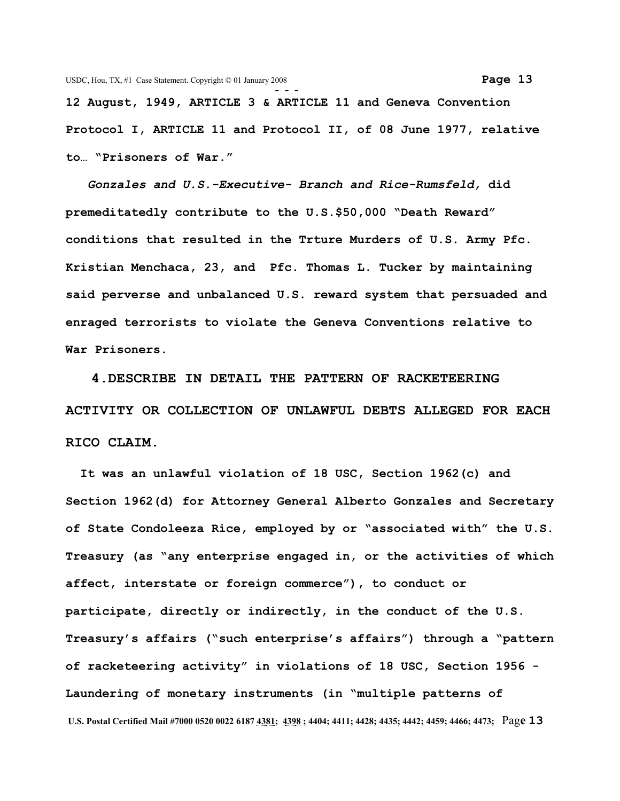**12 August, 1949, ARTICLE 3 & ARTICLE 11 and Geneva Convention Protocol I, ARTICLE 11 and Protocol II, of 08 June 1977, relative to… "Prisoners of War."**

*Gonzales and U.S.-Executive- Branch and Rice-Rumsfeld,* **did premeditatedly contribute to the U.S.\$50,000 "Death Reward" conditions that resulted in the Trture Murders of U.S. Army Pfc. Kristian Menchaca, 23, and Pfc. Thomas L. Tucker by maintaining said perverse and unbalanced U.S. reward system that persuaded and enraged terrorists to violate the Geneva Conventions relative to War Prisoners.** 

 **4.DESCRIBE IN DETAIL THE PATTERN OF RACKETEERING ACTIVITY OR COLLECTION OF UNLAWFUL DEBTS ALLEGED FOR EACH RICO CLAIM.** 

 **It was an unlawful violation of 18 USC, Section 1962(c) and Section 1962(d) for Attorney General Alberto Gonzales and Secretary of State Condoleeza Rice, employed by or "associated with" the U.S. Treasury (as "any enterprise engaged in, or the activities of which affect, interstate or foreign commerce"), to conduct or participate, directly or indirectly, in the conduct of the U.S. Treasury's affairs ("such enterprise's affairs") through a "pattern of racketeering activity" in violations of 18 USC, Section 1956 - Laundering of monetary instruments (in "multiple patterns of U.S. Postal Certified Mail #7000 0520 0022 6187 4381; 4398 ; 4404; 4411; 4428; 4435; 4442; 4459; 4466; 4473;** Pag**e 13**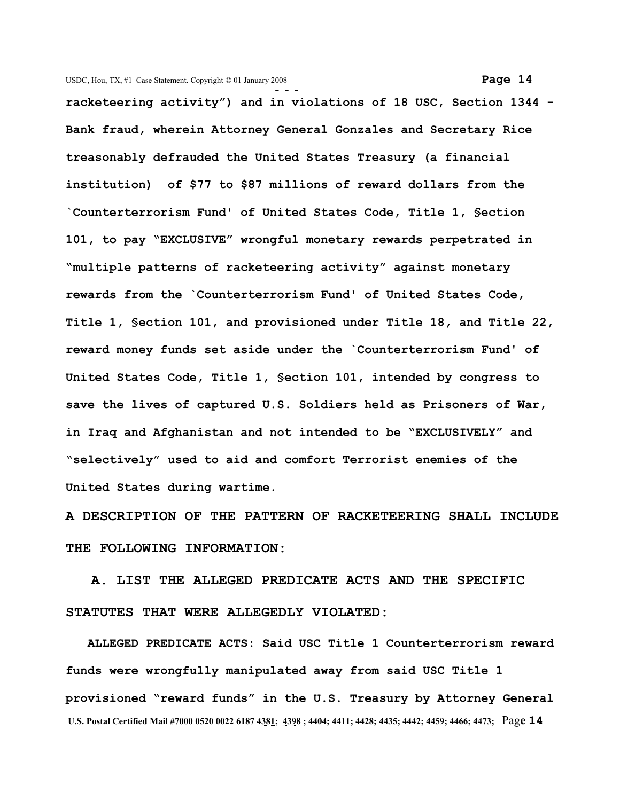**- - racketeering activity") and in violations of 18 USC, Section 1344 - Bank fraud, wherein Attorney General Gonzales and Secretary Rice treasonably defrauded the United States Treasury (a financial institution) of \$77 to \$87 millions of reward dollars from the `Counterterrorism Fund' of United States Code, Title 1, §ection 101, to pay "EXCLUSIVE" wrongful monetary rewards perpetrated in "multiple patterns of racketeering activity" against monetary rewards from the `Counterterrorism Fund' of United States Code, Title 1, §ection 101, and provisioned under Title 18, and Title 22, reward money funds set aside under the `Counterterrorism Fund' of United States Code, Title 1, §ection 101, intended by congress to save the lives of captured U.S. Soldiers held as Prisoners of War, in Iraq and Afghanistan and not intended to be "EXCLUSIVELY" and "selectively" used to aid and comfort Terrorist enemies of the United States during wartime.** 

**A DESCRIPTION OF THE PATTERN OF RACKETEERING SHALL INCLUDE THE FOLLOWING INFORMATION:**

 **A. LIST THE ALLEGED PREDICATE ACTS AND THE SPECIFIC STATUTES THAT WERE ALLEGEDLY VIOLATED:**

 **ALLEGED PREDICATE ACTS: Said USC Title 1 Counterterrorism reward funds were wrongfully manipulated away from said USC Title 1 provisioned "reward funds" in the U.S. Treasury by Attorney General U.S. Postal Certified Mail #7000 0520 0022 6187 4381; 4398 ; 4404; 4411; 4428; 4435; 4442; 4459; 4466; 4473;** Pag**e 14**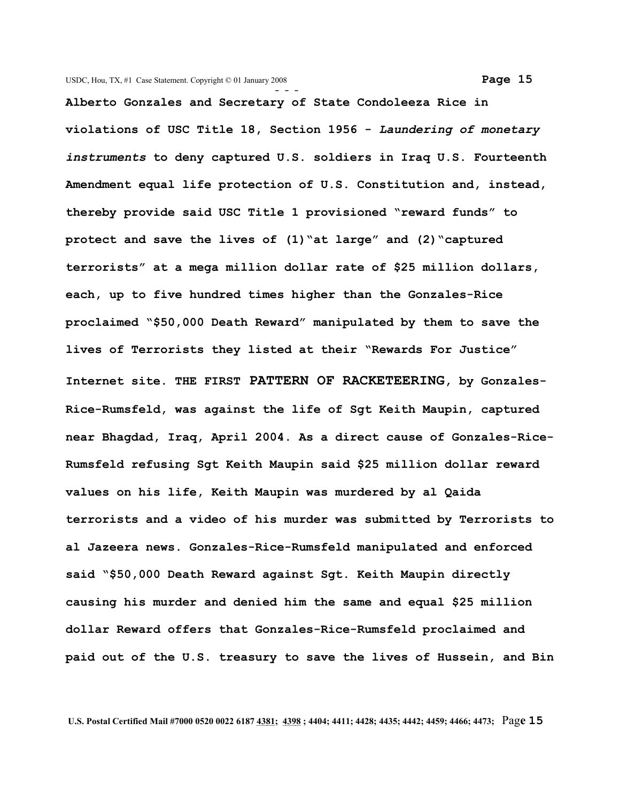**Alberto Gonzales and Secretary of State Condoleeza Rice in violations of USC Title 18, Section 1956 -** *Laundering of monetary instruments* **to deny captured U.S. soldiers in Iraq U.S. Fourteenth Amendment equal life protection of U.S. Constitution and, instead, thereby provide said USC Title 1 provisioned "reward funds" to protect and save the lives of (1)"at large" and (2)"captured terrorists" at a mega million dollar rate of \$25 million dollars, each, up to five hundred times higher than the Gonzales-Rice proclaimed "\$50,000 Death Reward" manipulated by them to save the lives of Terrorists they listed at their "Rewards For Justice" Internet site. THE FIRST PATTERN OF RACKETEERING, by Gonzales-Rice-Rumsfeld, was against the life of Sgt Keith Maupin, captured near Bhagdad, Iraq, April 2004. As a direct cause of Gonzales-Rice-Rumsfeld refusing Sgt Keith Maupin said \$25 million dollar reward values on his life, Keith Maupin was murdered by al Qaida terrorists and a video of his murder was submitted by Terrorists to al Jazeera news. Gonzales-Rice-Rumsfeld manipulated and enforced said "\$50,000 Death Reward against Sgt. Keith Maupin directly causing his murder and denied him the same and equal \$25 million dollar Reward offers that Gonzales-Rice-Rumsfeld proclaimed and paid out of the U.S. treasury to save the lives of Hussein, and Bin**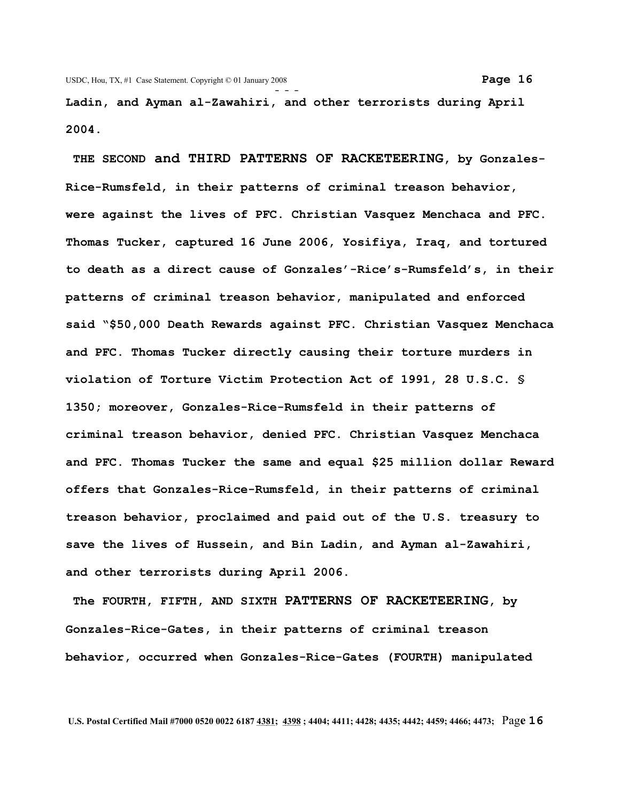**Ladin, and Ayman al-Zawahiri, and other terrorists during April 2004.**

 **THE SECOND and THIRD PATTERNS OF RACKETEERING, by Gonzales-Rice-Rumsfeld, in their patterns of criminal treason behavior, were against the lives of PFC. Christian Vasquez Menchaca and PFC. Thomas Tucker, captured 16 June 2006, Yosifiya, Iraq, and tortured to death as a direct cause of Gonzales'-Rice's-Rumsfeld's, in their patterns of criminal treason behavior, manipulated and enforced said "\$50,000 Death Rewards against PFC. Christian Vasquez Menchaca and PFC. Thomas Tucker directly causing their torture murders in violation of Torture Victim Protection Act of 1991, 28 U.S.C. § 1350; moreover, Gonzales-Rice-Rumsfeld in their patterns of criminal treason behavior, denied PFC. Christian Vasquez Menchaca and PFC. Thomas Tucker the same and equal \$25 million dollar Reward offers that Gonzales-Rice-Rumsfeld, in their patterns of criminal treason behavior, proclaimed and paid out of the U.S. treasury to save the lives of Hussein, and Bin Ladin, and Ayman al-Zawahiri, and other terrorists during April 2006.**

 **The FOURTH, FIFTH, AND SIXTH PATTERNS OF RACKETEERING, by Gonzales-Rice-Gates, in their patterns of criminal treason behavior, occurred when Gonzales-Rice-Gates (FOURTH) manipulated**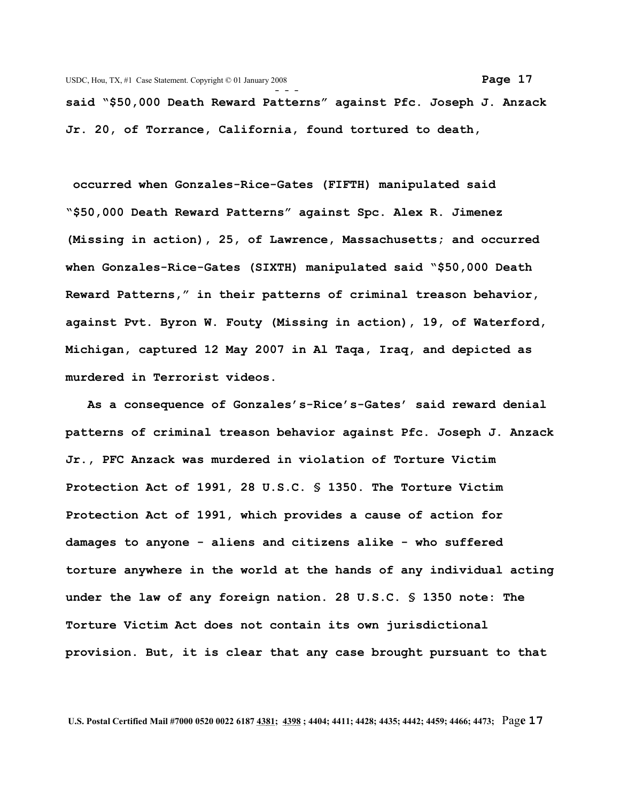**said "\$50,000 Death Reward Patterns" against Pfc. Joseph J. Anzack Jr. 20, of Torrance, California, found tortured to death,**

 **occurred when Gonzales-Rice-Gates (FIFTH) manipulated said "\$50,000 Death Reward Patterns" against Spc. Alex R. Jimenez (Missing in action), 25, of Lawrence, Massachusetts; and occurred when Gonzales-Rice-Gates (SIXTH) manipulated said "\$50,000 Death Reward Patterns," in their patterns of criminal treason behavior, against Pvt. Byron W. Fouty (Missing in action), 19, of Waterford, Michigan, captured 12 May 2007 in Al Taqa, Iraq, and depicted as murdered in Terrorist videos.**

 **As a consequence of Gonzales's-Rice's-Gates' said reward denial patterns of criminal treason behavior against Pfc. Joseph J. Anzack Jr., PFC Anzack was murdered in violation of Torture Victim Protection Act of 1991, 28 U.S.C. § 1350. The Torture Victim Protection Act of 1991, which provides a cause of action for damages to anyone - aliens and citizens alike - who suffered torture anywhere in the world at the hands of any individual acting under the law of any foreign nation. 28 U.S.C. § 1350 note: The Torture Victim Act does not contain its own jurisdictional provision. But, it is clear that any case brought pursuant to that**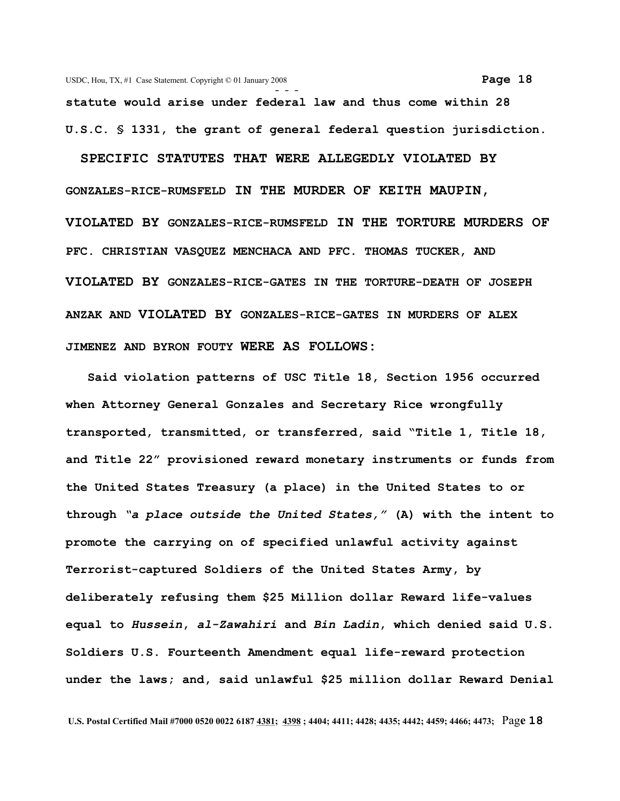**- - statute would arise under federal law and thus come within 28 U.S.C. § 1331, the grant of general federal question jurisdiction.**

**SPECIFIC STATUTES THAT WERE ALLEGEDLY VIOLATED BY GONZALES-RICE-RUMSFELD IN THE MURDER OF KEITH MAUPIN, VIOLATED BY GONZALES-RICE-RUMSFELD IN THE TORTURE MURDERS OF PFC. CHRISTIAN VASQUEZ MENCHACA AND PFC. THOMAS TUCKER, AND VIOLATED BY GONZALES-RICE-GATES IN THE TORTURE-DEATH OF JOSEPH ANZAK AND VIOLATED BY GONZALES-RICE-GATES IN MURDERS OF ALEX JIMENEZ AND BYRON FOUTY WERE AS FOLLOWS:**

 **Said violation patterns of USC Title 18, Section 1956 occurred when Attorney General Gonzales and Secretary Rice wrongfully transported, transmitted, or transferred, said "Title 1, Title 18, and Title 22" provisioned reward monetary instruments or funds from the United States Treasury (a place) in the United States to or through** *"a place outside the United States,"* **(A) with the intent to promote the carrying on of specified unlawful activity against Terrorist-captured Soldiers of the United States Army, by deliberately refusing them \$25 Million dollar Reward life-values equal to** *Hussein***,** *al-Zawahiri* **and** *Bin Ladin***, which denied said U.S. Soldiers U.S. Fourteenth Amendment equal life-reward protection under the laws; and, said unlawful \$25 million dollar Reward Denial**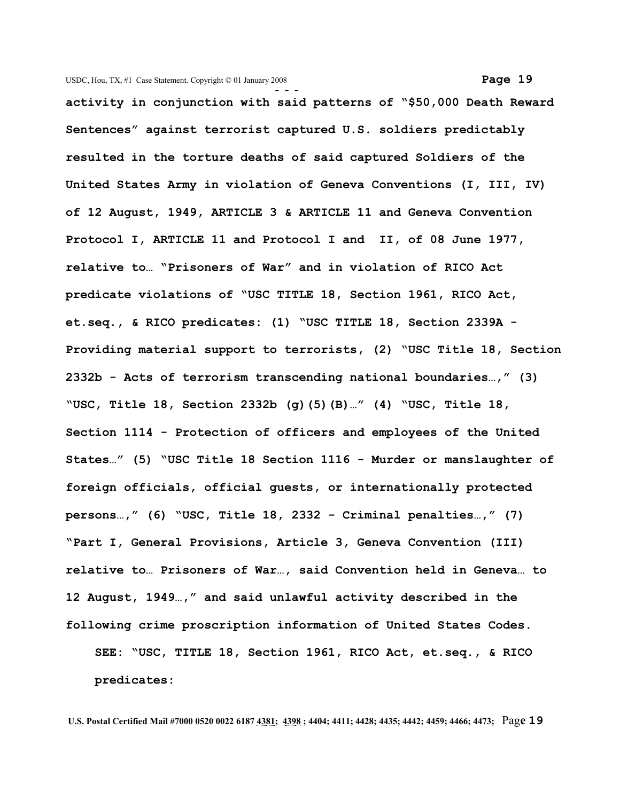**- - activity in conjunction with said patterns of "\$50,000 Death Reward Sentences" against terrorist captured U.S. soldiers predictably resulted in the torture deaths of said captured Soldiers of the United States Army in violation of Geneva Conventions (I, III, IV) of 12 August, 1949, ARTICLE 3 & ARTICLE 11 and Geneva Convention Protocol I, ARTICLE 11 and Protocol I and II, of 08 June 1977, relative to… "Prisoners of War" and in violation of RICO Act predicate violations of "USC TITLE 18, Section 1961, RICO Act, et.seq., & RICO predicates: (1) "USC TITLE 18, Section 2339A - Providing material support to terrorists, (2) "USC Title 18, Section 2332b - Acts of terrorism transcending national boundaries…," (3) "USC, Title 18, Section 2332b (g)(5)(B)…" (4) "USC, Title 18, Section 1114 - Protection of officers and employees of the United States…" (5) "USC Title 18 Section 1116 - Murder or manslaughter of foreign officials, official guests, or internationally protected persons…," (6) "USC, Title 18, 2332 - Criminal penalties…," (7) "Part I, General Provisions, Article 3, Geneva Convention (III) relative to… Prisoners of War…, said Convention held in Geneva… to 12 August, 1949…," and said unlawful activity described in the following crime proscription information of United States Codes. SEE: "USC, TITLE 18, Section 1961, RICO Act, et.seq., & RICO predicates:**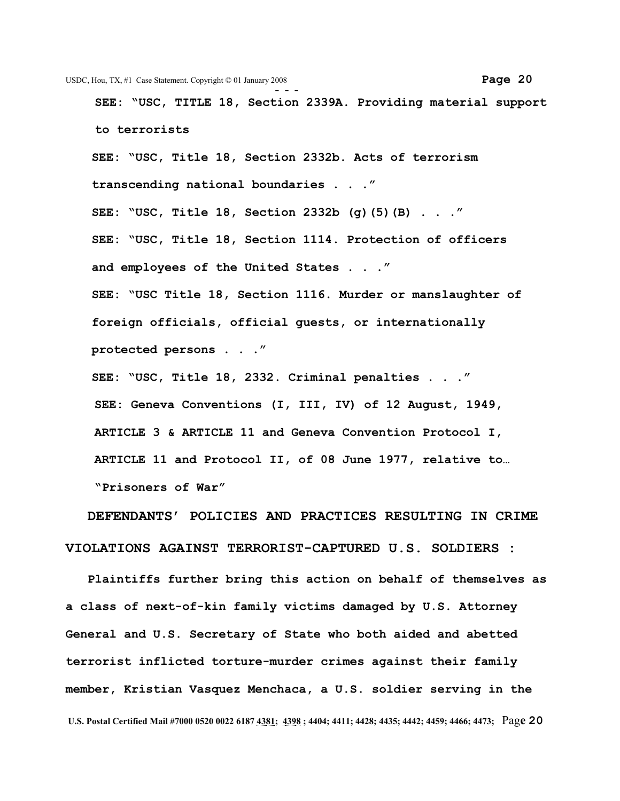**SEE: "USC, TITLE 18, Section 2339A. Providing material support to terrorists** 

**SEE: "USC, Title 18, Section 2332b. Acts of terrorism transcending national boundaries . . ." SEE: "USC, Title 18, Section 2332b (g)(5)(B) . . ." SEE: "USC, Title 18, Section 1114. Protection of officers and employees of the United States . . ." SEE: "USC Title 18, Section 1116. Murder or manslaughter of foreign officials, official guests, or internationally protected persons . . ."**

**SEE: "USC, Title 18, 2332. Criminal penalties . . ." SEE: Geneva Conventions (I, III, IV) of 12 August, 1949, ARTICLE 3 & ARTICLE 11 and Geneva Convention Protocol I, ARTICLE 11 and Protocol II, of 08 June 1977, relative to… "Prisoners of War"**

 **DEFENDANTS' POLICIES AND PRACTICES RESULTING IN CRIME VIOLATIONS AGAINST TERRORIST-CAPTURED U.S. SOLDIERS :** 

 **Plaintiffs further bring this action on behalf of themselves as a class of next-of-kin family victims damaged by U.S. Attorney General and U.S. Secretary of State who both aided and abetted terrorist inflicted torture-murder crimes against their family member, Kristian Vasquez Menchaca, a U.S. soldier serving in the U.S. Postal Certified Mail #7000 0520 0022 6187 4381; 4398 ; 4404; 4411; 4428; 4435; 4442; 4459; 4466; 4473;** Pag**e 20**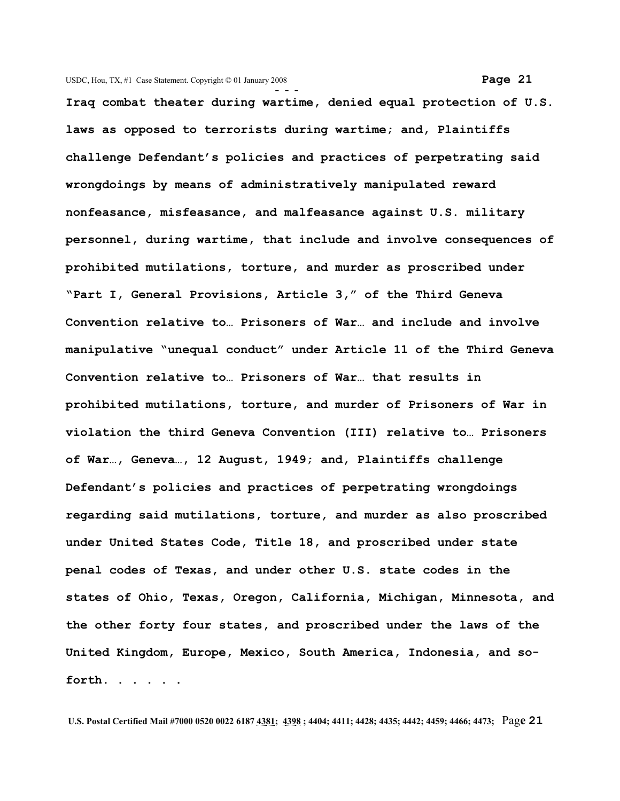**Iraq combat theater during wartime, denied equal protection of U.S. laws as opposed to terrorists during wartime; and, Plaintiffs challenge Defendant's policies and practices of perpetrating said wrongdoings by means of administratively manipulated reward nonfeasance, misfeasance, and malfeasance against U.S. military personnel, during wartime, that include and involve consequences of prohibited mutilations, torture, and murder as proscribed under "Part I, General Provisions, Article 3," of the Third Geneva Convention relative to… Prisoners of War… and include and involve manipulative "unequal conduct" under Article 11 of the Third Geneva Convention relative to… Prisoners of War… that results in prohibited mutilations, torture, and murder of Prisoners of War in violation the third Geneva Convention (III) relative to… Prisoners of War…, Geneva…, 12 August, 1949; and, Plaintiffs challenge Defendant's policies and practices of perpetrating wrongdoings regarding said mutilations, torture, and murder as also proscribed under United States Code, Title 18, and proscribed under state penal codes of Texas, and under other U.S. state codes in the states of Ohio, Texas, Oregon, California, Michigan, Minnesota, and the other forty four states, and proscribed under the laws of the United Kingdom, Europe, Mexico, South America, Indonesia, and so-**

**forth. . . . . .**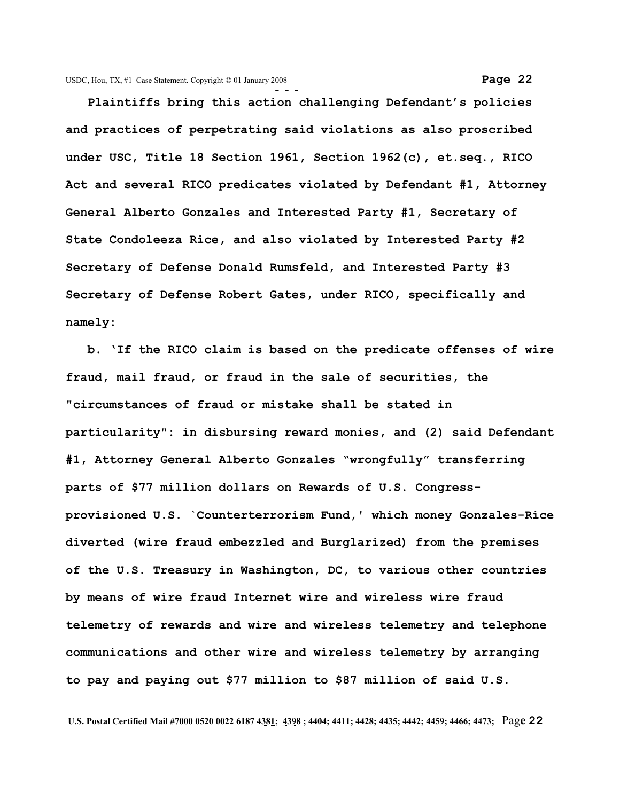**- - - Plaintiffs bring this action challenging Defendant's policies and practices of perpetrating said violations as also proscribed under USC, Title 18 Section 1961, Section 1962(c), et.seq., RICO Act and several RICO predicates violated by Defendant #1, Attorney General Alberto Gonzales and Interested Party #1, Secretary of State Condoleeza Rice, and also violated by Interested Party #2 Secretary of Defense Donald Rumsfeld, and Interested Party #3 Secretary of Defense Robert Gates, under RICO, specifically and namely:**

 **b. 'If the RICO claim is based on the predicate offenses of wire fraud, mail fraud, or fraud in the sale of securities, the "circumstances of fraud or mistake shall be stated in particularity": in disbursing reward monies, and (2) said Defendant #1, Attorney General Alberto Gonzales "wrongfully" transferring parts of \$77 million dollars on Rewards of U.S. Congressprovisioned U.S. `Counterterrorism Fund,' which money Gonzales-Rice diverted (wire fraud embezzled and Burglarized) from the premises of the U.S. Treasury in Washington, DC, to various other countries by means of wire fraud Internet wire and wireless wire fraud telemetry of rewards and wire and wireless telemetry and telephone communications and other wire and wireless telemetry by arranging to pay and paying out \$77 million to \$87 million of said U.S.**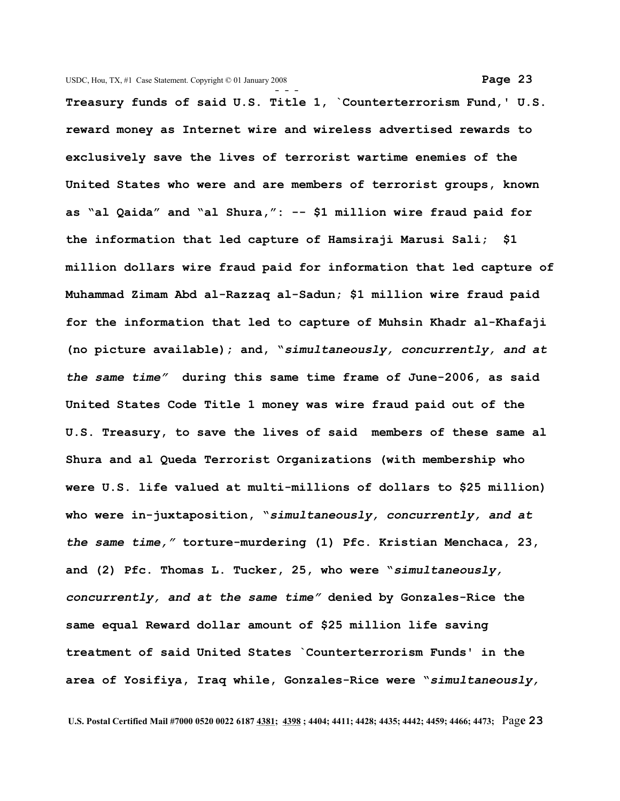**Treasury funds of said U.S. Title 1, `Counterterrorism Fund,' U.S. reward money as Internet wire and wireless advertised rewards to exclusively save the lives of terrorist wartime enemies of the United States who were and are members of terrorist groups, known as "al Qaida" and "al Shura,": -- \$1 million wire fraud paid for the information that led capture of Hamsiraji Marusi Sali; \$1 million dollars wire fraud paid for information that led capture of Muhammad Zimam Abd al-Razzaq al-Sadun; \$1 million wire fraud paid for the information that led to capture of Muhsin Khadr al-Khafaji (no picture available); and, "***simultaneously, concurrently, and at the same time"* **during this same time frame of June-2006, as said United States Code Title 1 money was wire fraud paid out of the U.S. Treasury, to save the lives of said members of these same al Shura and al Queda Terrorist Organizations (with membership who were U.S. life valued at multi-millions of dollars to \$25 million) who were in-juxtaposition, "***simultaneously, concurrently, and at the same time,"* **torture-murdering (1) Pfc. Kristian Menchaca, 23, and (2) Pfc. Thomas L. Tucker, 25, who were "***simultaneously, concurrently, and at the same time"* **denied by Gonzales-Rice the same equal Reward dollar amount of \$25 million life saving treatment of said United States `Counterterrorism Funds' in the area of Yosifiya, Iraq while, Gonzales-Rice were "***simultaneously,*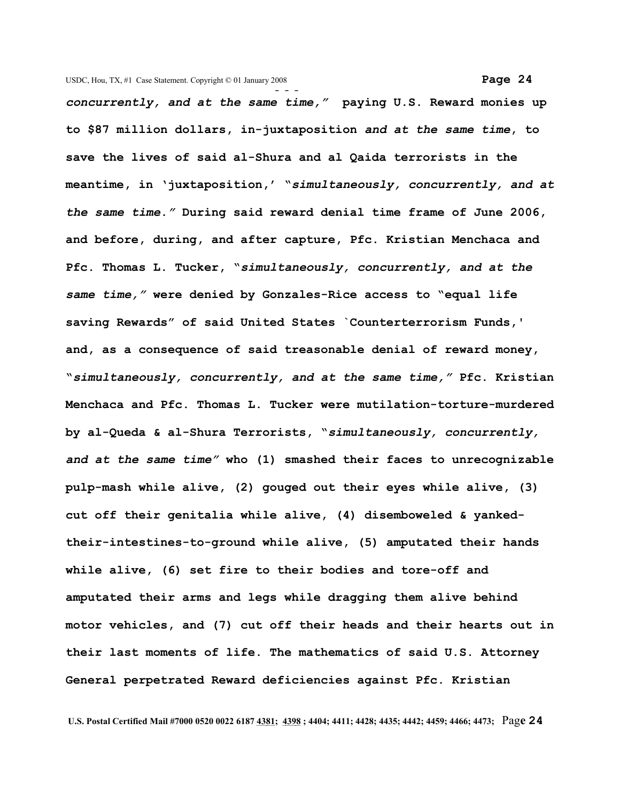**- -**  *concurrently, and at the same time,"* **paying U.S. Reward monies up to \$87 million dollars, in-juxtaposition** *and at the same time***, to save the lives of said al-Shura and al Qaida terrorists in the meantime, in 'juxtaposition,' "***simultaneously, concurrently, and at the same time."* **During said reward denial time frame of June 2006, and before, during, and after capture, Pfc. Kristian Menchaca and Pfc. Thomas L. Tucker, "***simultaneously, concurrently, and at the same time,"* **were denied by Gonzales-Rice access to "equal life saving Rewards" of said United States `Counterterrorism Funds,' and, as a consequence of said treasonable denial of reward money, "***simultaneously, concurrently, and at the same time,"* **Pfc. Kristian Menchaca and Pfc. Thomas L. Tucker were mutilation-torture-murdered by al-Queda & al-Shura Terrorists, "***simultaneously, concurrently, and at the same time"* **who (1) smashed their faces to unrecognizable pulp-mash while alive, (2) gouged out their eyes while alive, (3) cut off their genitalia while alive, (4) disemboweled & yankedtheir-intestines-to-ground while alive, (5) amputated their hands while alive, (6) set fire to their bodies and tore-off and amputated their arms and legs while dragging them alive behind motor vehicles, and (7) cut off their heads and their hearts out in their last moments of life. The mathematics of said U.S. Attorney General perpetrated Reward deficiencies against Pfc. Kristian**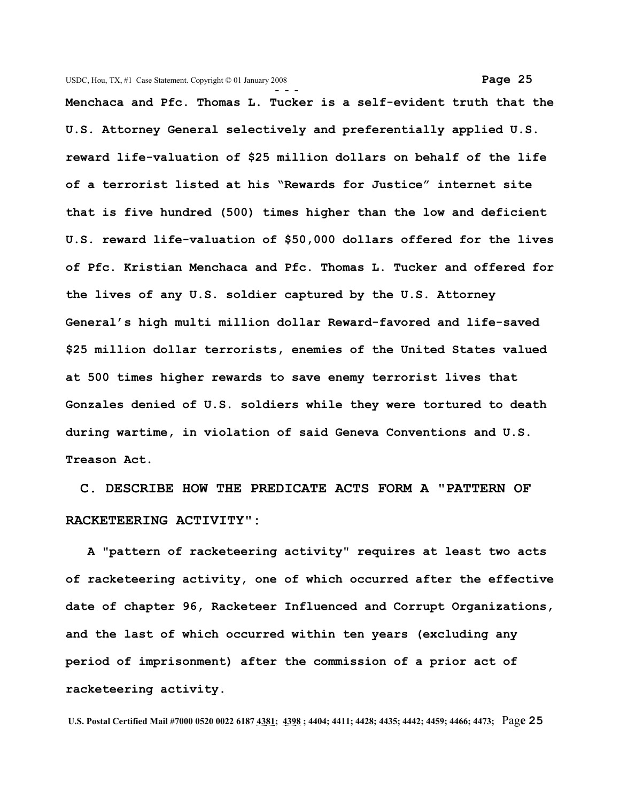**- - - Menchaca and Pfc. Thomas L. Tucker is a self-evident truth that the U.S. Attorney General selectively and preferentially applied U.S. reward life-valuation of \$25 million dollars on behalf of the life of a terrorist listed at his "Rewards for Justice" internet site that is five hundred (500) times higher than the low and deficient U.S. reward life-valuation of \$50,000 dollars offered for the lives of Pfc. Kristian Menchaca and Pfc. Thomas L. Tucker and offered for the lives of any U.S. soldier captured by the U.S. Attorney General's high multi million dollar Reward-favored and life-saved \$25 million dollar terrorists, enemies of the United States valued at 500 times higher rewards to save enemy terrorist lives that Gonzales denied of U.S. soldiers while they were tortured to death during wartime, in violation of said Geneva Conventions and U.S. Treason Act.**

 **C. DESCRIBE HOW THE PREDICATE ACTS FORM A "PATTERN OF RACKETEERING ACTIVITY":** 

 **A "pattern of racketeering activity" requires at least two acts of racketeering activity, one of which occurred after the effective date of chapter 96, Racketeer Influenced and Corrupt Organizations, and the last of which occurred within ten years (excluding any period of imprisonment) after the commission of a prior act of racketeering activity.**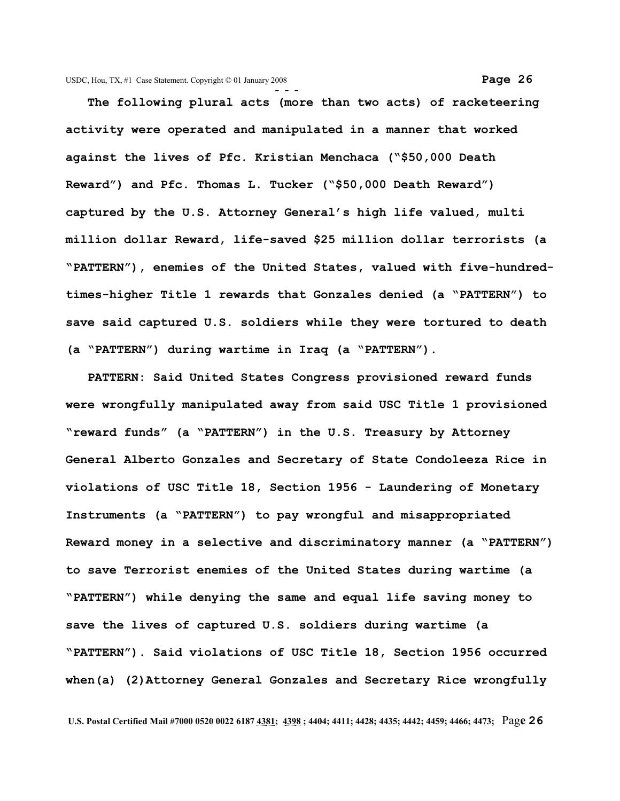**The following plural acts (more than two acts) of racketeering activity were operated and manipulated in a manner that worked against the lives of Pfc. Kristian Menchaca ("\$50,000 Death Reward") and Pfc. Thomas L. Tucker ("\$50,000 Death Reward") captured by the U.S. Attorney General's high life valued, multi million dollar Reward, life-saved \$25 million dollar terrorists (a "PATTERN"), enemies of the United States, valued with five-hundredtimes-higher Title 1 rewards that Gonzales denied (a "PATTERN") to save said captured U.S. soldiers while they were tortured to death (a "PATTERN") during wartime in Iraq (a "PATTERN").**

 **PATTERN: Said United States Congress provisioned reward funds were wrongfully manipulated away from said USC Title 1 provisioned "reward funds" (a "PATTERN") in the U.S. Treasury by Attorney General Alberto Gonzales and Secretary of State Condoleeza Rice in violations of USC Title 18, Section 1956 - Laundering of Monetary Instruments (a "PATTERN") to pay wrongful and misappropriated Reward money in a selective and discriminatory manner (a "PATTERN") to save Terrorist enemies of the United States during wartime (a "PATTERN") while denying the same and equal life saving money to save the lives of captured U.S. soldiers during wartime (a "PATTERN"). Said violations of USC Title 18, Section 1956 occurred when(a) (2)Attorney General Gonzales and Secretary Rice wrongfully**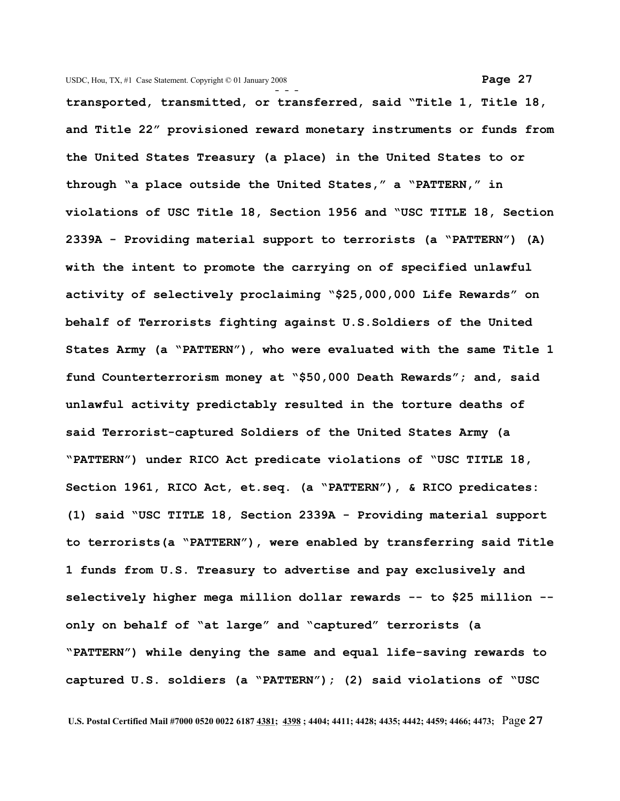**- - transported, transmitted, or transferred, said "Title 1, Title 18, and Title 22" provisioned reward monetary instruments or funds from the United States Treasury (a place) in the United States to or through "a place outside the United States," a "PATTERN," in violations of USC Title 18, Section 1956 and "USC TITLE 18, Section 2339A - Providing material support to terrorists (a "PATTERN") (A) with the intent to promote the carrying on of specified unlawful activity of selectively proclaiming "\$25,000,000 Life Rewards" on behalf of Terrorists fighting against U.S.Soldiers of the United States Army (a "PATTERN"), who were evaluated with the same Title 1 fund Counterterrorism money at "\$50,000 Death Rewards"; and, said unlawful activity predictably resulted in the torture deaths of said Terrorist-captured Soldiers of the United States Army (a "PATTERN") under RICO Act predicate violations of "USC TITLE 18, Section 1961, RICO Act, et.seq. (a "PATTERN"), & RICO predicates: (1) said "USC TITLE 18, Section 2339A - Providing material support to terrorists(a "PATTERN"), were enabled by transferring said Title 1 funds from U.S. Treasury to advertise and pay exclusively and selectively higher mega million dollar rewards -- to \$25 million - only on behalf of "at large" and "captured" terrorists (a "PATTERN") while denying the same and equal life-saving rewards to captured U.S. soldiers (a "PATTERN"); (2) said violations of "USC**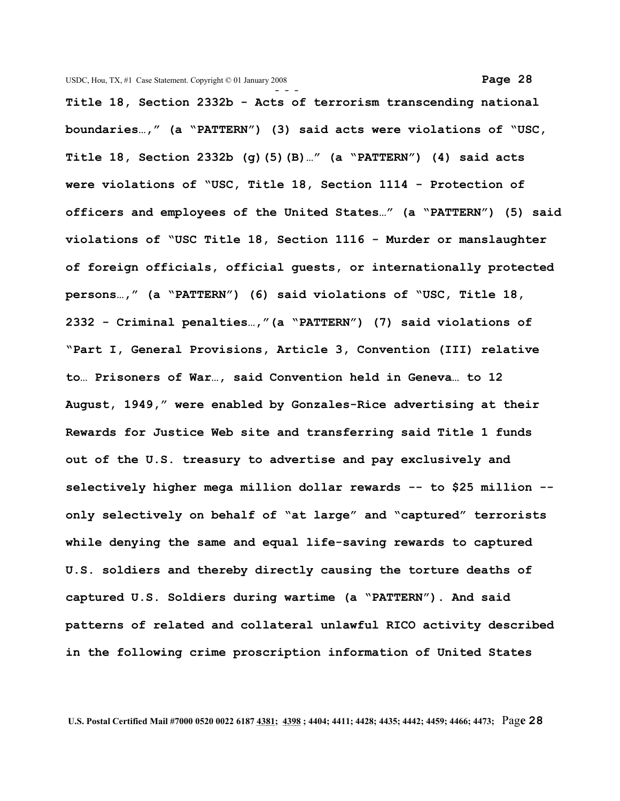**- - - Title 18, Section 2332b - Acts of terrorism transcending national boundaries…," (a "PATTERN") (3) said acts were violations of "USC, Title 18, Section 2332b (g)(5)(B)…" (a "PATTERN") (4) said acts were violations of "USC, Title 18, Section 1114 - Protection of officers and employees of the United States…" (a "PATTERN") (5) said violations of "USC Title 18, Section 1116 - Murder or manslaughter of foreign officials, official guests, or internationally protected persons…," (a "PATTERN") (6) said violations of "USC, Title 18, 2332 - Criminal penalties…,"(a "PATTERN") (7) said violations of "Part I, General Provisions, Article 3, Convention (III) relative to… Prisoners of War…, said Convention held in Geneva… to 12 August, 1949," were enabled by Gonzales-Rice advertising at their Rewards for Justice Web site and transferring said Title 1 funds out of the U.S. treasury to advertise and pay exclusively and selectively higher mega million dollar rewards -- to \$25 million - only selectively on behalf of "at large" and "captured" terrorists while denying the same and equal life-saving rewards to captured U.S. soldiers and thereby directly causing the torture deaths of captured U.S. Soldiers during wartime (a "PATTERN"). And said patterns of related and collateral unlawful RICO activity described in the following crime proscription information of United States**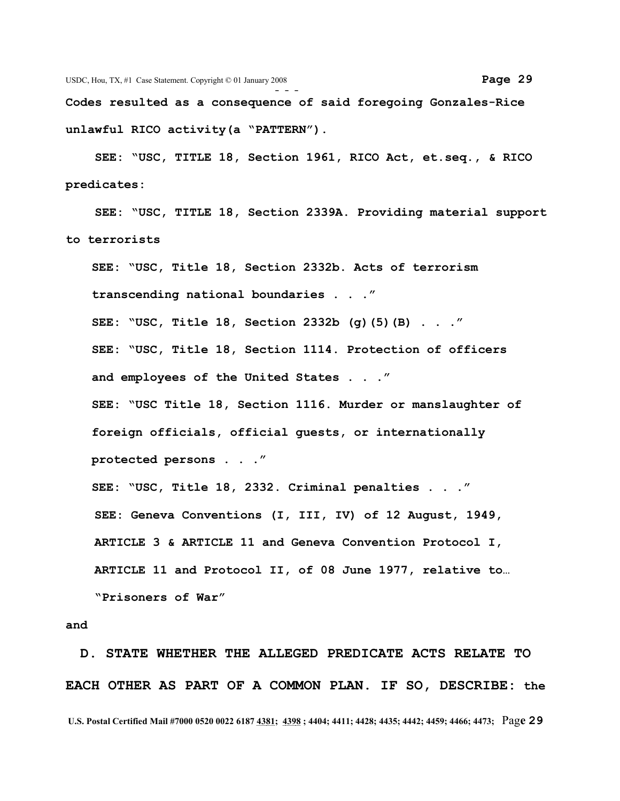**Codes resulted as a consequence of said foregoing Gonzales-Rice unlawful RICO activity(a "PATTERN").**

 **SEE: "USC, TITLE 18, Section 1961, RICO Act, et.seq., & RICO predicates:** 

 **SEE: "USC, TITLE 18, Section 2339A. Providing material support to terrorists** 

**SEE: "USC, Title 18, Section 2332b. Acts of terrorism transcending national boundaries . . ." SEE: "USC, Title 18, Section 2332b (g)(5)(B) . . ." SEE: "USC, Title 18, Section 1114. Protection of officers and employees of the United States . . ." SEE: "USC Title 18, Section 1116. Murder or manslaughter of foreign officials, official guests, or internationally protected persons . . ." SEE: "USC, Title 18, 2332. Criminal penalties . . ." SEE: Geneva Conventions (I, III, IV) of 12 August, 1949, ARTICLE 3 & ARTICLE 11 and Geneva Convention Protocol I, ARTICLE 11 and Protocol II, of 08 June 1977, relative to… "Prisoners of War"**

## **and**

 **D. STATE WHETHER THE ALLEGED PREDICATE ACTS RELATE TO EACH OTHER AS PART OF A COMMON PLAN. IF SO, DESCRIBE: the U.S. Postal Certified Mail #7000 0520 0022 6187 4381; 4398 ; 4404; 4411; 4428; 4435; 4442; 4459; 4466; 4473;** Pag**e 29**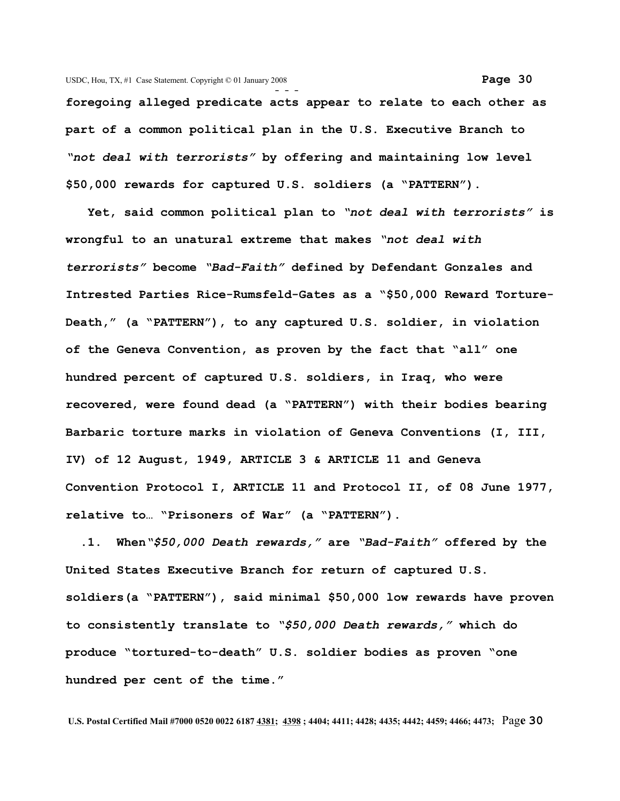**- - foregoing alleged predicate acts appear to relate to each other as part of a common political plan in the U.S. Executive Branch to** *"not deal with terrorists"* **by offering and maintaining low level \$50,000 rewards for captured U.S. soldiers (a "PATTERN").** 

 **Yet, said common political plan to** *"not deal with terrorists"* **is wrongful to an unatural extreme that makes** *"not deal with terrorists"* **become** *"Bad-Faith"* **defined by Defendant Gonzales and Intrested Parties Rice-Rumsfeld-Gates as a "\$50,000 Reward Torture-Death," (a "PATTERN"), to any captured U.S. soldier, in violation of the Geneva Convention, as proven by the fact that "all" one hundred percent of captured U.S. soldiers, in Iraq, who were recovered, were found dead (a "PATTERN") with their bodies bearing Barbaric torture marks in violation of Geneva Conventions (I, III, IV) of 12 August, 1949, ARTICLE 3 & ARTICLE 11 and Geneva Convention Protocol I, ARTICLE 11 and Protocol II, of 08 June 1977, relative to… "Prisoners of War" (a "PATTERN").**

 **.1. When***"\$50,000 Death rewards,"* **are** *"Bad-Faith"* **offered by the United States Executive Branch for return of captured U.S. soldiers(a "PATTERN"), said minimal \$50,000 low rewards have proven to consistently translate to** *"\$50,000 Death rewards,"* **which do produce "tortured-to-death" U.S. soldier bodies as proven "one hundred per cent of the time."**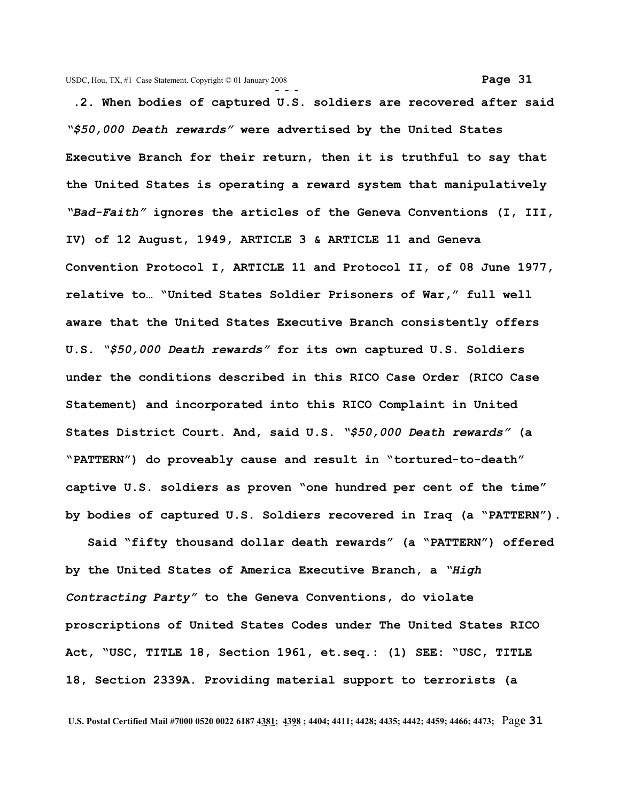**- - - .2. When bodies of captured U.S. soldiers are recovered after said** *"\$50,000 Death rewards"* **were advertised by the United States Executive Branch for their return, then it is truthful to say that the United States is operating a reward system that manipulatively** *"Bad-Faith"* **ignores the articles of the Geneva Conventions (I, III, IV) of 12 August, 1949, ARTICLE 3 & ARTICLE 11 and Geneva Convention Protocol I, ARTICLE 11 and Protocol II, of 08 June 1977, relative to… "United States Soldier Prisoners of War," full well**

**aware that the United States Executive Branch consistently offers U.S.** *"\$50,000 Death rewards"* **for its own captured U.S. Soldiers under the conditions described in this RICO Case Order (RICO Case Statement) and incorporated into this RICO Complaint in United States District Court. And, said U.S.** *"\$50,000 Death rewards"* **(a "PATTERN") do proveably cause and result in "tortured-to-death" captive U.S. soldiers as proven "one hundred per cent of the time" by bodies of captured U.S. Soldiers recovered in Iraq (a "PATTERN").**

 **Said "fifty thousand dollar death rewards" (a "PATTERN") offered by the United States of America Executive Branch, a** *"High Contracting Party"* **to the Geneva Conventions, do violate proscriptions of United States Codes under The United States RICO Act, "USC, TITLE 18, Section 1961, et.seq.: (1) SEE: "USC, TITLE 18, Section 2339A. Providing material support to terrorists (a**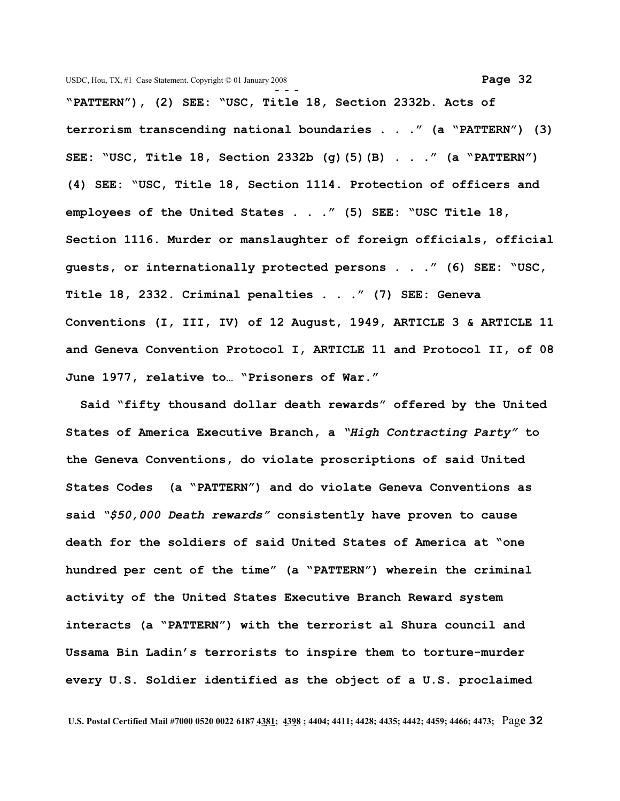**- - - "PATTERN"), (2) SEE: "USC, Title 18, Section 2332b. Acts of terrorism transcending national boundaries . . ." (a "PATTERN") (3) SEE: "USC, Title 18, Section 2332b (g)(5)(B) . . ." (a "PATTERN") (4) SEE: "USC, Title 18, Section 1114. Protection of officers and employees of the United States . . ." (5) SEE: "USC Title 18, Section 1116. Murder or manslaughter of foreign officials, official guests, or internationally protected persons . . ." (6) SEE: "USC, Title 18, 2332. Criminal penalties . . ." (7) SEE: Geneva Conventions (I, III, IV) of 12 August, 1949, ARTICLE 3 & ARTICLE 11 and Geneva Convention Protocol I, ARTICLE 11 and Protocol II, of 08 June 1977, relative to… "Prisoners of War."**

 **Said "fifty thousand dollar death rewards" offered by the United States of America Executive Branch, a** *"High Contracting Party"* **to the Geneva Conventions, do violate proscriptions of said United States Codes (a "PATTERN") and do violate Geneva Conventions as said** *"\$50,000 Death rewards"* **consistently have proven to cause death for the soldiers of said United States of America at "one hundred per cent of the time" (a "PATTERN") wherein the criminal activity of the United States Executive Branch Reward system interacts (a "PATTERN") with the terrorist al Shura council and Ussama Bin Ladin's terrorists to inspire them to torture-murder every U.S. Soldier identified as the object of a U.S. proclaimed**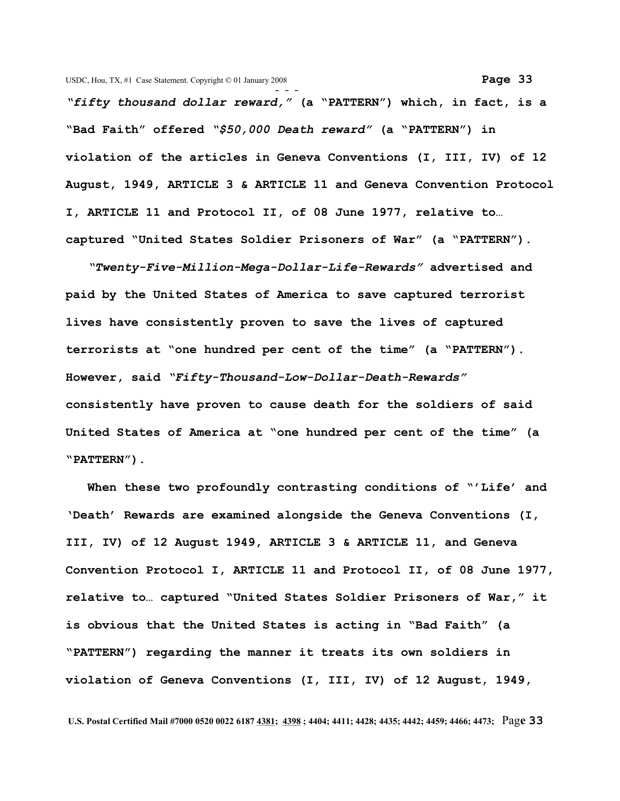*"fifty thousand dollar reward,"* **(a "PATTERN") which, in fact, is a "Bad Faith" offered** *"\$50,000 Death reward"* **(a "PATTERN") in violation of the articles in Geneva Conventions (I, III, IV) of 12 August, 1949, ARTICLE 3 & ARTICLE 11 and Geneva Convention Protocol I, ARTICLE 11 and Protocol II, of 08 June 1977, relative to… captured "United States Soldier Prisoners of War" (a "PATTERN").**

*"Twenty-Five-Million-Mega-Dollar-Life-Rewards"* **advertised and paid by the United States of America to save captured terrorist lives have consistently proven to save the lives of captured terrorists at "one hundred per cent of the time" (a "PATTERN"). However, said** *"Fifty-Thousand-Low-Dollar-Death-Rewards"* **consistently have proven to cause death for the soldiers of said United States of America at "one hundred per cent of the time" (a "PATTERN").**

 **When these two profoundly contrasting conditions of "'Life' and 'Death' Rewards are examined alongside the Geneva Conventions (I, III, IV) of 12 August 1949, ARTICLE 3 & ARTICLE 11, and Geneva Convention Protocol I, ARTICLE 11 and Protocol II, of 08 June 1977, relative to… captured "United States Soldier Prisoners of War," it is obvious that the United States is acting in "Bad Faith" (a "PATTERN") regarding the manner it treats its own soldiers in violation of Geneva Conventions (I, III, IV) of 12 August, 1949,**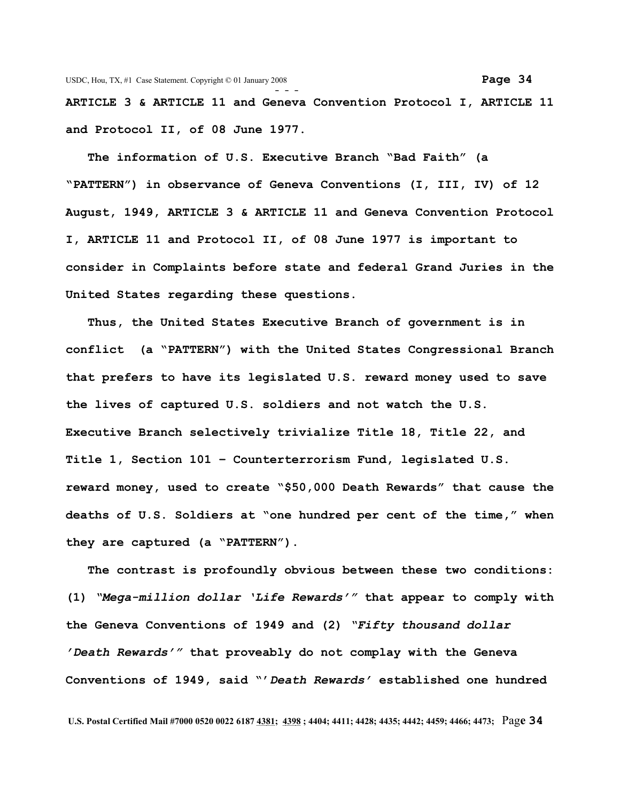**ARTICLE 3 & ARTICLE 11 and Geneva Convention Protocol I, ARTICLE 11 and Protocol II, of 08 June 1977.**

 **The information of U.S. Executive Branch "Bad Faith" (a "PATTERN") in observance of Geneva Conventions (I, III, IV) of 12 August, 1949, ARTICLE 3 & ARTICLE 11 and Geneva Convention Protocol I, ARTICLE 11 and Protocol II, of 08 June 1977 is important to consider in Complaints before state and federal Grand Juries in the United States regarding these questions.** 

 **Thus, the United States Executive Branch of government is in conflict (a "PATTERN") with the United States Congressional Branch that prefers to have its legislated U.S. reward money used to save the lives of captured U.S. soldiers and not watch the U.S. Executive Branch selectively trivialize Title 18, Title 22, and Title 1, Section 101 – Counterterrorism Fund, legislated U.S. reward money, used to create "\$50,000 Death Rewards" that cause the deaths of U.S. Soldiers at "one hundred per cent of the time," when they are captured (a "PATTERN").**

 **The contrast is profoundly obvious between these two conditions: (1)** *"Mega-million dollar 'Life Rewards'"* **that appear to comply with the Geneva Conventions of 1949 and (2)** *"Fifty thousand dollar 'Death Rewards'"* **that proveably do not complay with the Geneva Conventions of 1949, said "'***Death Rewards'* **established one hundred**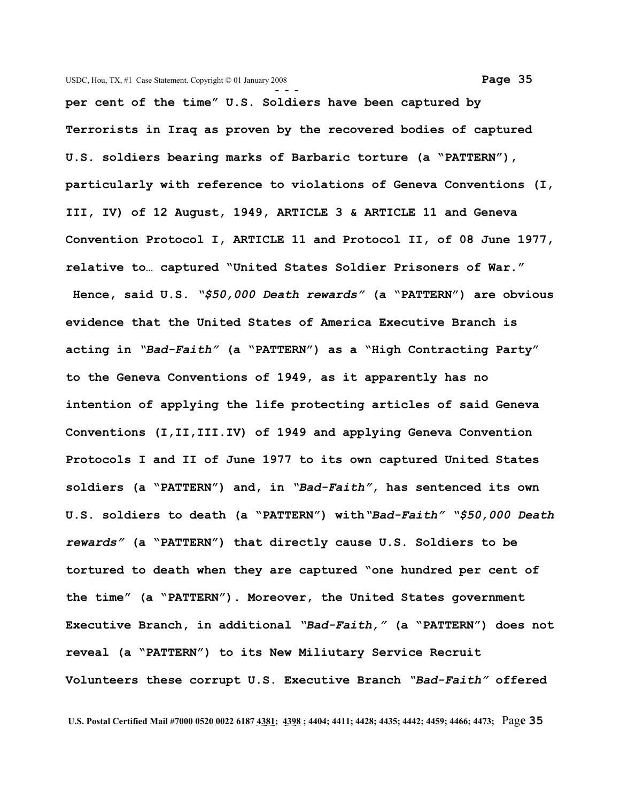**per cent of the time" U.S. Soldiers have been captured by Terrorists in Iraq as proven by the recovered bodies of captured U.S. soldiers bearing marks of Barbaric torture (a "PATTERN"), particularly with reference to violations of Geneva Conventions (I, III, IV) of 12 August, 1949, ARTICLE 3 & ARTICLE 11 and Geneva Convention Protocol I, ARTICLE 11 and Protocol II, of 08 June 1977, relative to… captured "United States Soldier Prisoners of War." Hence, said U.S.** *"\$50,000 Death rewards"* **(a "PATTERN") are obvious evidence that the United States of America Executive Branch is acting in** *"Bad-Faith"* **(a "PATTERN") as a "High Contracting Party" to the Geneva Conventions of 1949, as it apparently has no intention of applying the life protecting articles of said Geneva Conventions (I,II,III.IV) of 1949 and applying Geneva Convention Protocols I and II of June 1977 to its own captured United States soldiers (a "PATTERN") and, in** *"Bad-Faith"***, has sentenced its own U.S. soldiers to death (a "PATTERN") with***"Bad-Faith" "\$50,000 Death rewards"* **(a "PATTERN") that directly cause U.S. Soldiers to be tortured to death when they are captured "one hundred per cent of the time" (a "PATTERN"). Moreover, the United States government Executive Branch, in additional** *"Bad-Faith,"* **(a "PATTERN") does not reveal (a "PATTERN") to its New Miliutary Service Recruit Volunteers these corrupt U.S. Executive Branch** *"Bad-Faith"* **offered**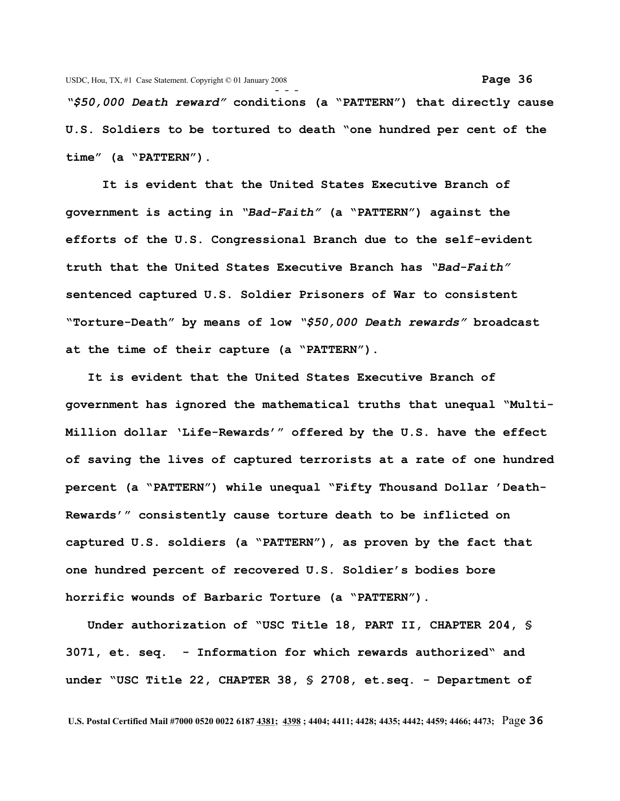*"\$50,000 Death reward"* **conditions (a "PATTERN") that directly cause U.S. Soldiers to be tortured to death "one hundred per cent of the time" (a "PATTERN").**

 **It is evident that the United States Executive Branch of government is acting in** *"Bad-Faith"* **(a "PATTERN") against the efforts of the U.S. Congressional Branch due to the self-evident truth that the United States Executive Branch has** *"Bad-Faith"* **sentenced captured U.S. Soldier Prisoners of War to consistent "Torture-Death" by means of low** *"\$50,000 Death rewards"* **broadcast at the time of their capture (a "PATTERN").** 

 **It is evident that the United States Executive Branch of government has ignored the mathematical truths that unequal "Multi-Million dollar 'Life-Rewards'" offered by the U.S. have the effect of saving the lives of captured terrorists at a rate of one hundred percent (a "PATTERN") while unequal "Fifty Thousand Dollar 'Death-Rewards'" consistently cause torture death to be inflicted on captured U.S. soldiers (a "PATTERN"), as proven by the fact that one hundred percent of recovered U.S. Soldier's bodies bore horrific wounds of Barbaric Torture (a "PATTERN").** 

 **Under authorization of "USC Title 18, PART II, CHAPTER 204, § 3071, et. seq. - Information for which rewards authorized" and under "USC Title 22, CHAPTER 38, § 2708, et.seq. - Department of**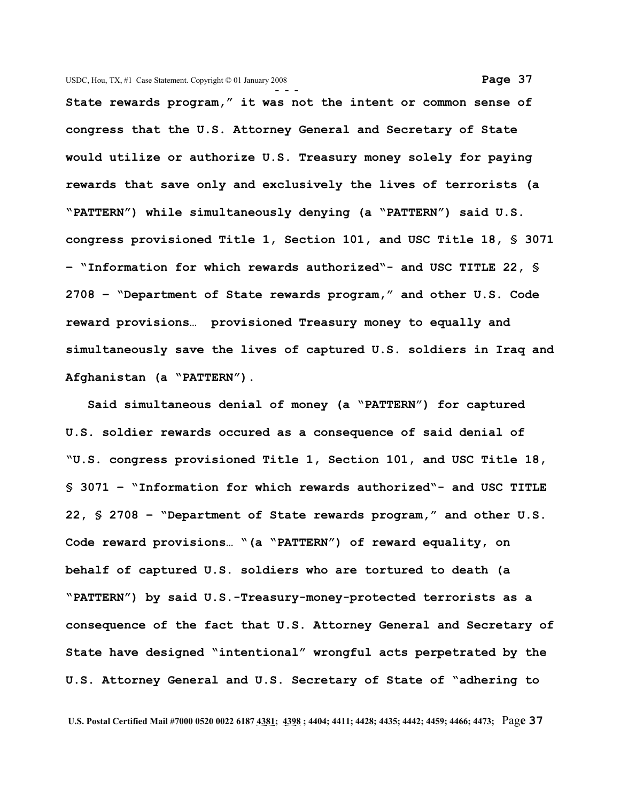**- - - State rewards program," it was not the intent or common sense of congress that the U.S. Attorney General and Secretary of State would utilize or authorize U.S. Treasury money solely for paying rewards that save only and exclusively the lives of terrorists (a "PATTERN") while simultaneously denying (a "PATTERN") said U.S. congress provisioned Title 1, Section 101, and USC Title 18, § 3071 – "Information for which rewards authorized"- and USC TITLE 22, § 2708 – "Department of State rewards program," and other U.S. Code reward provisions… provisioned Treasury money to equally and simultaneously save the lives of captured U.S. soldiers in Iraq and Afghanistan (a "PATTERN").** 

 **Said simultaneous denial of money (a "PATTERN") for captured U.S. soldier rewards occured as a consequence of said denial of "U.S. congress provisioned Title 1, Section 101, and USC Title 18, § 3071 – "Information for which rewards authorized"- and USC TITLE 22, § 2708 – "Department of State rewards program," and other U.S. Code reward provisions… "(a "PATTERN") of reward equality, on behalf of captured U.S. soldiers who are tortured to death (a "PATTERN") by said U.S.-Treasury-money-protected terrorists as a consequence of the fact that U.S. Attorney General and Secretary of State have designed "intentional" wrongful acts perpetrated by the U.S. Attorney General and U.S. Secretary of State of "adhering to**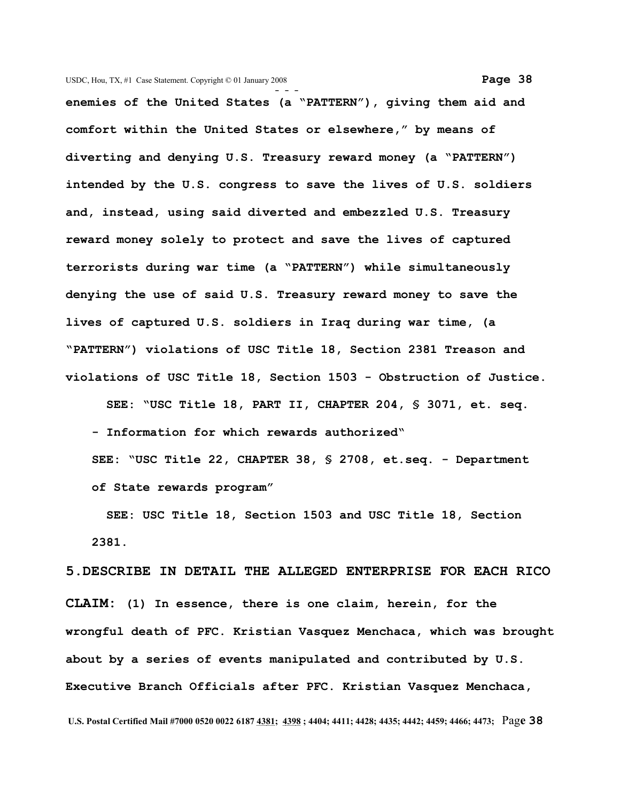**- - enemies of the United States (a "PATTERN"), giving them aid and comfort within the United States or elsewhere," by means of diverting and denying U.S. Treasury reward money (a "PATTERN") intended by the U.S. congress to save the lives of U.S. soldiers and, instead, using said diverted and embezzled U.S. Treasury reward money solely to protect and save the lives of captured terrorists during war time (a "PATTERN") while simultaneously denying the use of said U.S. Treasury reward money to save the lives of captured U.S. soldiers in Iraq during war time, (a "PATTERN") violations of USC Title 18, Section 2381 Treason and violations of USC Title 18, Section 1503 - Obstruction of Justice.**

 **SEE: "USC Title 18, PART II, CHAPTER 204, § 3071, et. seq. - Information for which rewards authorized" SEE: "USC Title 22, CHAPTER 38, § 2708, et.seq. - Department of State rewards program"**

 **SEE: USC Title 18, Section 1503 and USC Title 18, Section 2381.**

**5.DESCRIBE IN DETAIL THE ALLEGED ENTERPRISE FOR EACH RICO CLAIM: (1) In essence, there is one claim, herein, for the wrongful death of PFC. Kristian Vasquez Menchaca, which was brought about by a series of events manipulated and contributed by U.S. Executive Branch Officials after PFC. Kristian Vasquez Menchaca,**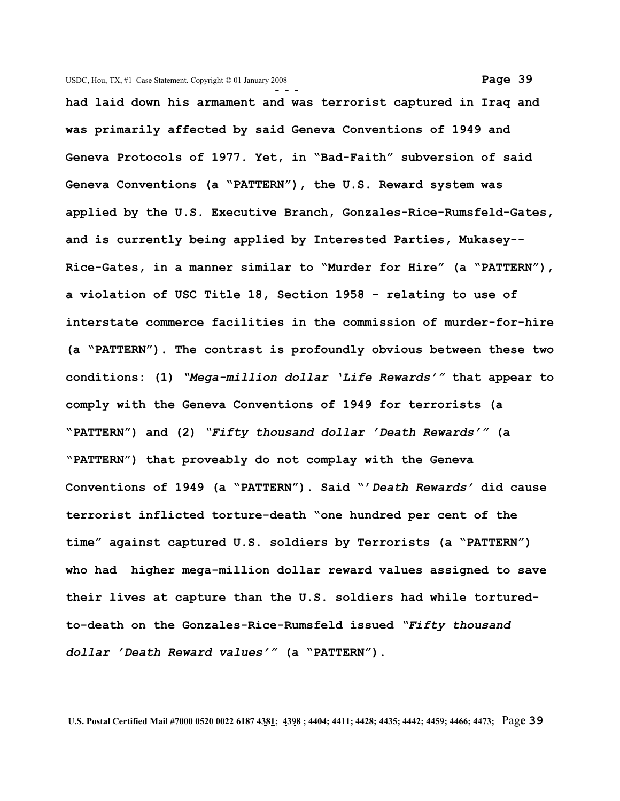**- - had laid down his armament and was terrorist captured in Iraq and was primarily affected by said Geneva Conventions of 1949 and Geneva Protocols of 1977. Yet, in "Bad-Faith" subversion of said Geneva Conventions (a "PATTERN"), the U.S. Reward system was applied by the U.S. Executive Branch, Gonzales-Rice-Rumsfeld-Gates, and is currently being applied by Interested Parties, Mukasey-- Rice-Gates, in a manner similar to "Murder for Hire" (a "PATTERN"), a violation of USC Title 18, Section 1958 - relating to use of interstate commerce facilities in the commission of murder-for-hire (a "PATTERN"). The contrast is profoundly obvious between these two conditions: (1)** *"Mega-million dollar 'Life Rewards'"* **that appear to comply with the Geneva Conventions of 1949 for terrorists (a "PATTERN") and (2)** *"Fifty thousand dollar 'Death Rewards'"* **(a "PATTERN") that proveably do not complay with the Geneva Conventions of 1949 (a "PATTERN"). Said "'***Death Rewards'* **did cause terrorist inflicted torture-death "one hundred per cent of the time" against captured U.S. soldiers by Terrorists (a "PATTERN") who had higher mega-million dollar reward values assigned to save their lives at capture than the U.S. soldiers had while torturedto-death on the Gonzales-Rice-Rumsfeld issued** *"Fifty thousand*

 **U.S. Postal Certified Mail #7000 0520 0022 6187 4381; 4398 ; 4404; 4411; 4428; 4435; 4442; 4459; 4466; 4473;** Pag**e 39**

*dollar 'Death Reward values'"* **(a "PATTERN").**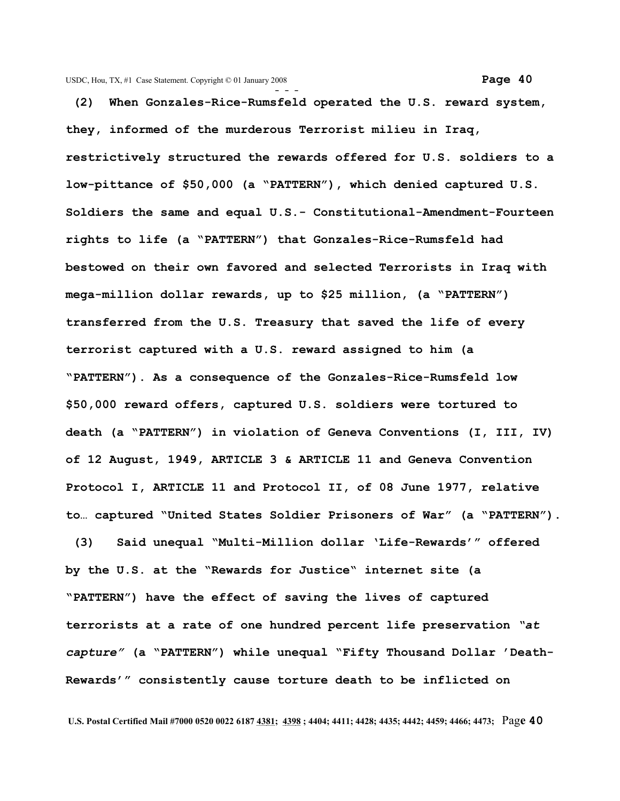**(2) When Gonzales-Rice-Rumsfeld operated the U.S. reward system, they, informed of the murderous Terrorist milieu in Iraq, restrictively structured the rewards offered for U.S. soldiers to a low-pittance of \$50,000 (a "PATTERN"), which denied captured U.S. Soldiers the same and equal U.S.- Constitutional-Amendment-Fourteen rights to life (a "PATTERN") that Gonzales-Rice-Rumsfeld had bestowed on their own favored and selected Terrorists in Iraq with mega-million dollar rewards, up to \$25 million, (a "PATTERN") transferred from the U.S. Treasury that saved the life of every terrorist captured with a U.S. reward assigned to him (a "PATTERN"). As a consequence of the Gonzales-Rice-Rumsfeld low \$50,000 reward offers, captured U.S. soldiers were tortured to death (a "PATTERN") in violation of Geneva Conventions (I, III, IV) of 12 August, 1949, ARTICLE 3 & ARTICLE 11 and Geneva Convention Protocol I, ARTICLE 11 and Protocol II, of 08 June 1977, relative to… captured "United States Soldier Prisoners of War" (a "PATTERN").**

 **(3) Said unequal "Multi-Million dollar 'Life-Rewards'" offered by the U.S. at the "Rewards for Justice" internet site (a "PATTERN") have the effect of saving the lives of captured terrorists at a rate of one hundred percent life preservation** *"at capture"* **(a "PATTERN") while unequal "Fifty Thousand Dollar 'Death-Rewards'" consistently cause torture death to be inflicted on**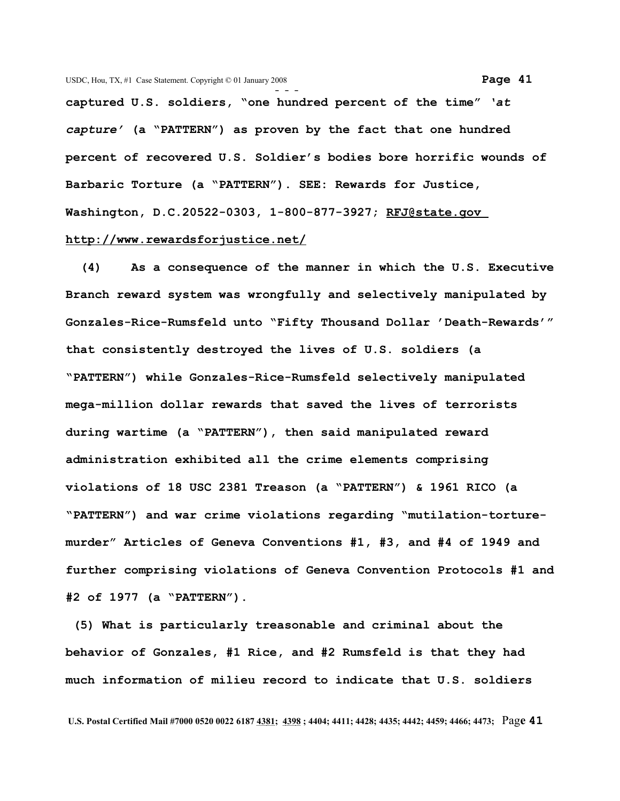**captured U.S. soldiers, "one hundred percent of the time"** *'at capture'* **(a "PATTERN") as proven by the fact that one hundred percent of recovered U.S. Soldier's bodies bore horrific wounds of Barbaric Torture (a "PATTERN"). SEE: Rewards for Justice, Washington, D.C.20522-0303, 1-800-877-3927; [RFJ@state.gov](mailto:RFJ@state.gov) <http://www.rewardsforjustice.net/>**

 **(4) As a consequence of the manner in which the U.S. Executive Branch reward system was wrongfully and selectively manipulated by Gonzales-Rice-Rumsfeld unto "Fifty Thousand Dollar 'Death-Rewards'" that consistently destroyed the lives of U.S. soldiers (a "PATTERN") while Gonzales-Rice-Rumsfeld selectively manipulated mega-million dollar rewards that saved the lives of terrorists during wartime (a "PATTERN"), then said manipulated reward administration exhibited all the crime elements comprising violations of 18 USC 2381 Treason (a "PATTERN") & 1961 RICO (a "PATTERN") and war crime violations regarding "mutilation-torturemurder" Articles of Geneva Conventions #1, #3, and #4 of 1949 and further comprising violations of Geneva Convention Protocols #1 and #2 of 1977 (a "PATTERN").**

 **(5) What is particularly treasonable and criminal about the behavior of Gonzales, #1 Rice, and #2 Rumsfeld is that they had much information of milieu record to indicate that U.S. soldiers**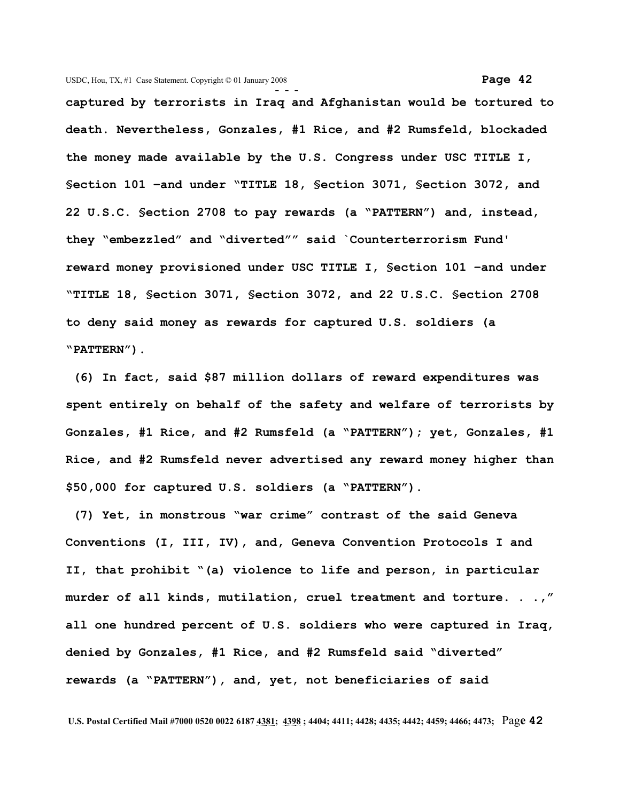**- - captured by terrorists in Iraq and Afghanistan would be tortured to death. Nevertheless, Gonzales, #1 Rice, and #2 Rumsfeld, blockaded the money made available by the U.S. Congress under USC TITLE I, §ection 101 –and under "TITLE 18, §ection 3071, §ection 3072, and 22 U.S.C. §ection 2708 to pay rewards (a "PATTERN") and, instead, they "embezzled" and "diverted"" said `Counterterrorism Fund' reward money provisioned under USC TITLE I, §ection 101 –and under "TITLE 18, §ection 3071, §ection 3072, and 22 U.S.C. §ection 2708 to deny said money as rewards for captured U.S. soldiers (a "PATTERN").**

 **(6) In fact, said \$87 million dollars of reward expenditures was spent entirely on behalf of the safety and welfare of terrorists by Gonzales, #1 Rice, and #2 Rumsfeld (a "PATTERN"); yet, Gonzales, #1 Rice, and #2 Rumsfeld never advertised any reward money higher than \$50,000 for captured U.S. soldiers (a "PATTERN").**

 **(7) Yet, in monstrous "war crime" contrast of the said Geneva Conventions (I, III, IV), and, Geneva Convention Protocols I and II, that prohibit "(a) violence to life and person, in particular murder of all kinds, mutilation, cruel treatment and torture. . .," all one hundred percent of U.S. soldiers who were captured in Iraq, denied by Gonzales, #1 Rice, and #2 Rumsfeld said "diverted" rewards (a "PATTERN"), and, yet, not beneficiaries of said**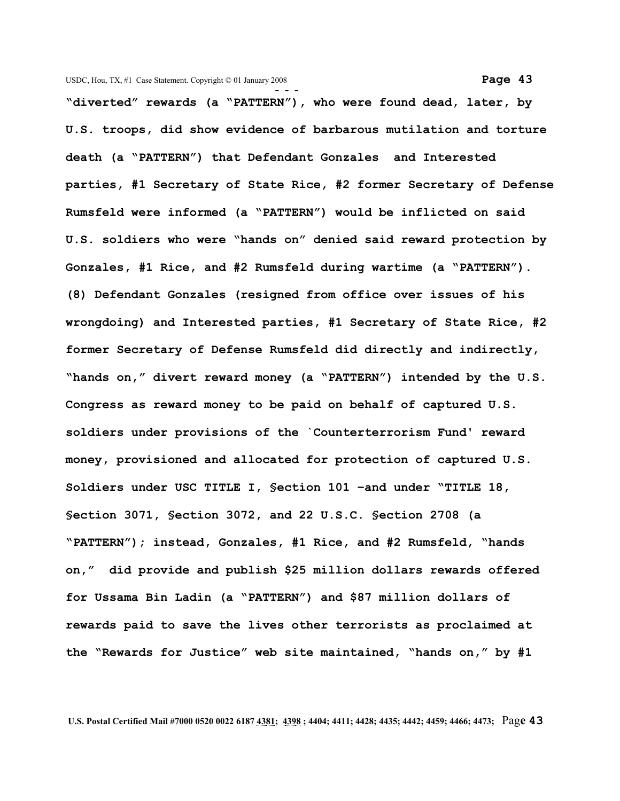**- - - "diverted" rewards (a "PATTERN"), who were found dead, later, by U.S. troops, did show evidence of barbarous mutilation and torture death (a "PATTERN") that Defendant Gonzales and Interested parties, #1 Secretary of State Rice, #2 former Secretary of Defense Rumsfeld were informed (a "PATTERN") would be inflicted on said U.S. soldiers who were "hands on" denied said reward protection by Gonzales, #1 Rice, and #2 Rumsfeld during wartime (a "PATTERN"). (8) Defendant Gonzales (resigned from office over issues of his wrongdoing) and Interested parties, #1 Secretary of State Rice, #2 former Secretary of Defense Rumsfeld did directly and indirectly, "hands on," divert reward money (a "PATTERN") intended by the U.S. Congress as reward money to be paid on behalf of captured U.S. soldiers under provisions of the `Counterterrorism Fund' reward money, provisioned and allocated for protection of captured U.S. Soldiers under USC TITLE I, §ection 101 –and under "TITLE 18, §ection 3071, §ection 3072, and 22 U.S.C. §ection 2708 (a "PATTERN"); instead, Gonzales, #1 Rice, and #2 Rumsfeld, "hands on," did provide and publish \$25 million dollars rewards offered for Ussama Bin Ladin (a "PATTERN") and \$87 million dollars of rewards paid to save the lives other terrorists as proclaimed at the "Rewards for Justice" web site maintained, "hands on," by #1**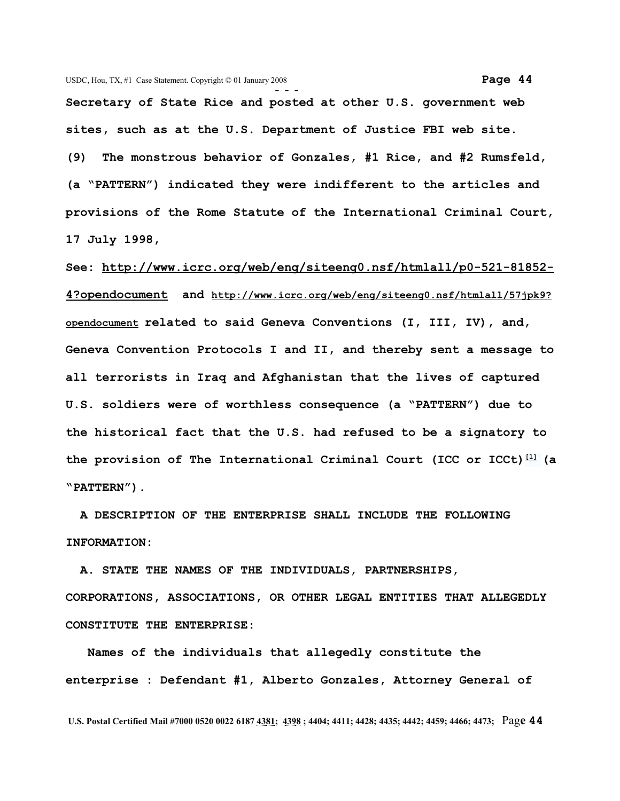**Secretary of State Rice and posted at other U.S. government web sites, such as at the U.S. Department of Justice FBI web site. (9) The monstrous behavior of Gonzales, #1 Rice, and #2 Rumsfeld, (a "PATTERN") indicated they were indifferent to the articles and provisions of the Rome Statute of the International Criminal Court, 17 July 1998,**

**See: [http://www.icrc.org/web/eng/siteeng0.nsf/htmlall/p0-521-81852-](http://www.icrc.org/web/eng/siteeng0.nsf/htmlall/p0-521-81852-4?opendocument) [4?opendocument](http://www.icrc.org/web/eng/siteeng0.nsf/htmlall/p0-521-81852-4?opendocument) and [http://www.icrc.org/web/eng/siteeng0.nsf/htmlall/57jpk9?](http://www.icrc.org/web/eng/siteeng0.nsf/htmlall/57jpk9?opendocument) [opendocument](http://www.icrc.org/web/eng/siteeng0.nsf/htmlall/57jpk9?opendocument) related to said Geneva Conventions (I, III, IV), and, Geneva Convention Protocols I and II, and thereby sent a message to all terrorists in Iraq and Afghanistan that the lives of captured U.S. soldiers were of worthless consequence (a "PATTERN") due to the historical fact that the U.S. had refused to be a signatory to the provision of The International Criminal Court (ICC or ICCt) [\[1\]](http://en.wikipedia.org/wiki/International_Criminal_Court#_note-0%23_note-0) (a "PATTERN").** 

 **A DESCRIPTION OF THE ENTERPRISE SHALL INCLUDE THE FOLLOWING INFORMATION:**

 **A. STATE THE NAMES OF THE INDIVIDUALS, PARTNERSHIPS, CORPORATIONS, ASSOCIATIONS, OR OTHER LEGAL ENTITIES THAT ALLEGEDLY CONSTITUTE THE ENTERPRISE:**

 **Names of the individuals that allegedly constitute the enterprise : Defendant #1, Alberto Gonzales, Attorney General of**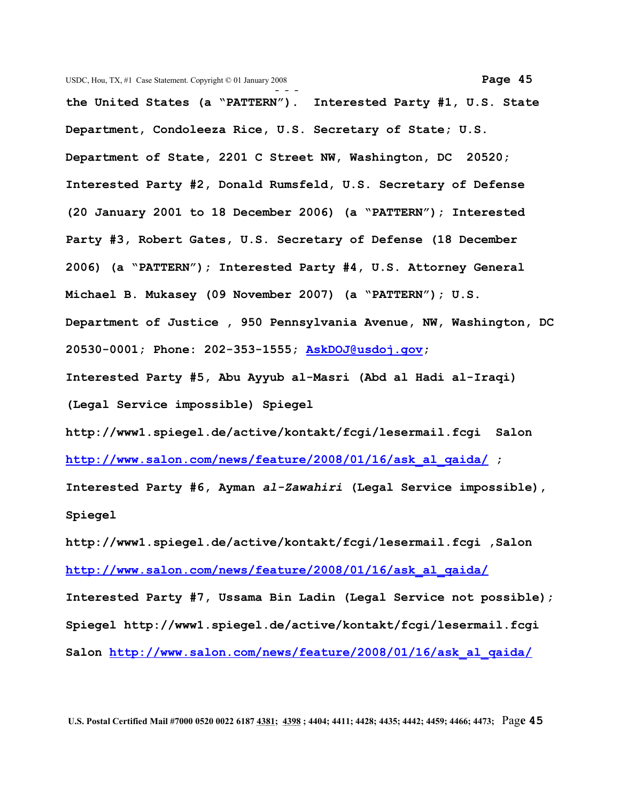**- - the United States (a "PATTERN"). Interested Party #1, U.S. State Department, Condoleeza Rice, U.S. Secretary of State; U.S. Department of State, 2201 C Street NW, Washington, DC 20520; Interested Party #2, Donald Rumsfeld, U.S. Secretary of Defense (20 January 2001 to 18 December 2006) (a "PATTERN"); Interested Party #3, Robert Gates, U.S. Secretary of Defense (18 December 2006) (a "PATTERN"); Interested Party #4, U.S. Attorney General Michael B. Mukasey (09 November 2007) (a "PATTERN"); U.S. Department of Justice , 950 Pennsylvania Avenue, NW, Washington, DC 20530-0001; Phone: 202-353-1555; [AskDOJ@usdoj.gov;](mailto:AskDOJ@usdoj.gov?subject=USDOJ%20Comments) Interested Party #5, Abu Ayyub al-Masri (Abd al Hadi al-Iraqi)**

**(Legal Service impossible) Spiegel**

**[http://www1.spiegel.de/active/kontakt/fcgi/lesermail.fcgi S](http://www1.spiegel.de/active/kontakt/fcgi/lesermail.fcgi%20%20)alon [http://www.salon.com/news/feature/2008/01/16/ask\\_al\\_qaida/](http://www.salon.com/news/feature/2008/01/16/ask_al_qaida/) ;**

**Interested Party #6, Ayman** *al-Zawahiri* **(Legal Service impossible), Spiegel**

**[http://www1.spiegel.de/active/kontakt/fcgi/lesermail.fcgi ,S](http://www1.spiegel.de/active/kontakt/fcgi/lesermail.fcgi%20%20)alon [http://www.salon.com/news/feature/2008/01/16/ask\\_al\\_qaida/](http://www.salon.com/news/feature/2008/01/16/ask_al_qaida/)**

**Interested Party #7, Ussama Bin Ladin (Legal Service not possible); Spiegel [http://www1.spiegel.de/active/kontakt/fcgi/lesermail.fcgi](http://www1.spiegel.de/active/kontakt/fcgi/lesermail.fcgi%20%20) Salon [http://www.salon.com/news/feature/2008/01/16/ask\\_al\\_qaida/](http://www.salon.com/news/feature/2008/01/16/ask_al_qaida/)**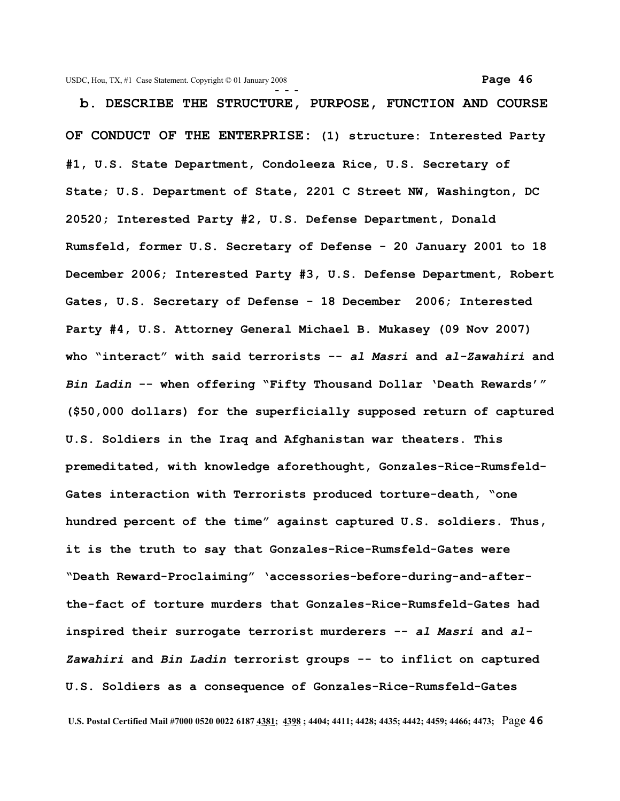**b. DESCRIBE THE STRUCTURE, PURPOSE, FUNCTION AND COURSE OF CONDUCT OF THE ENTERPRISE: (1) structure: Interested Party #1, U.S. State Department, Condoleeza Rice, U.S. Secretary of State; U.S. Department of State, 2201 C Street NW, Washington, DC 20520; Interested Party #2, U.S. Defense Department, Donald Rumsfeld, former U.S. Secretary of Defense - 20 January 2001 to 18 December 2006; Interested Party #3, U.S. Defense Department, Robert Gates, U.S. Secretary of Defense - 18 December 2006; Interested Party #4, U.S. Attorney General Michael B. Mukasey (09 Nov 2007) who "interact" with said terrorists --** *al Masri* **and** *al-Zawahiri* **and** *Bin Ladin* **-- when offering "Fifty Thousand Dollar 'Death Rewards'" (\$50,000 dollars) for the superficially supposed return of captured U.S. Soldiers in the Iraq and Afghanistan war theaters. This premeditated, with knowledge aforethought, Gonzales-Rice-Rumsfeld-Gates interaction with Terrorists produced torture-death, "one hundred percent of the time" against captured U.S. soldiers. Thus, it is the truth to say that Gonzales-Rice-Rumsfeld-Gates were "Death Reward-Proclaiming" 'accessories-before-during-and-afterthe-fact of torture murders that Gonzales-Rice-Rumsfeld-Gates had inspired their surrogate terrorist murderers --** *al Masri* **and** *al-Zawahiri* **and** *Bin Ladin* **terrorist groups -- to inflict on captured U.S. Soldiers as a consequence of Gonzales-Rice-Rumsfeld-Gates**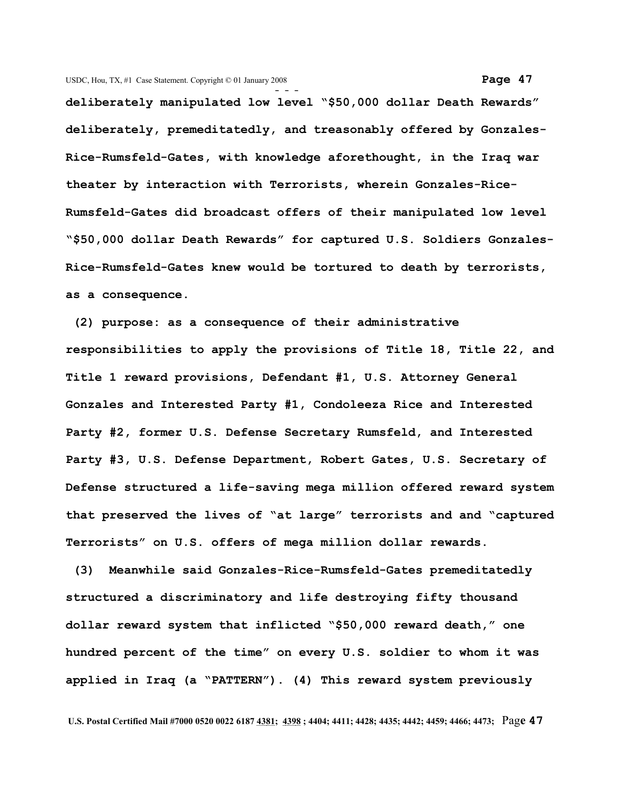**deliberately manipulated low level "\$50,000 dollar Death Rewards" deliberately, premeditatedly, and treasonably offered by Gonzales-Rice-Rumsfeld-Gates, with knowledge aforethought, in the Iraq war theater by interaction with Terrorists, wherein Gonzales-Rice-Rumsfeld-Gates did broadcast offers of their manipulated low level "\$50,000 dollar Death Rewards" for captured U.S. Soldiers Gonzales-Rice-Rumsfeld-Gates knew would be tortured to death by terrorists, as a consequence.**

 **(2) purpose: as a consequence of their administrative responsibilities to apply the provisions of Title 18, Title 22, and Title 1 reward provisions, Defendant #1, U.S. Attorney General Gonzales and Interested Party #1, Condoleeza Rice and Interested Party #2, former U.S. Defense Secretary Rumsfeld, and Interested Party #3, U.S. Defense Department, Robert Gates, U.S. Secretary of Defense structured a life-saving mega million offered reward system that preserved the lives of "at large" terrorists and and "captured Terrorists" on U.S. offers of mega million dollar rewards.** 

 **(3) Meanwhile said Gonzales-Rice-Rumsfeld-Gates premeditatedly structured a discriminatory and life destroying fifty thousand dollar reward system that inflicted "\$50,000 reward death," one hundred percent of the time" on every U.S. soldier to whom it was applied in Iraq (a "PATTERN"). (4) This reward system previously**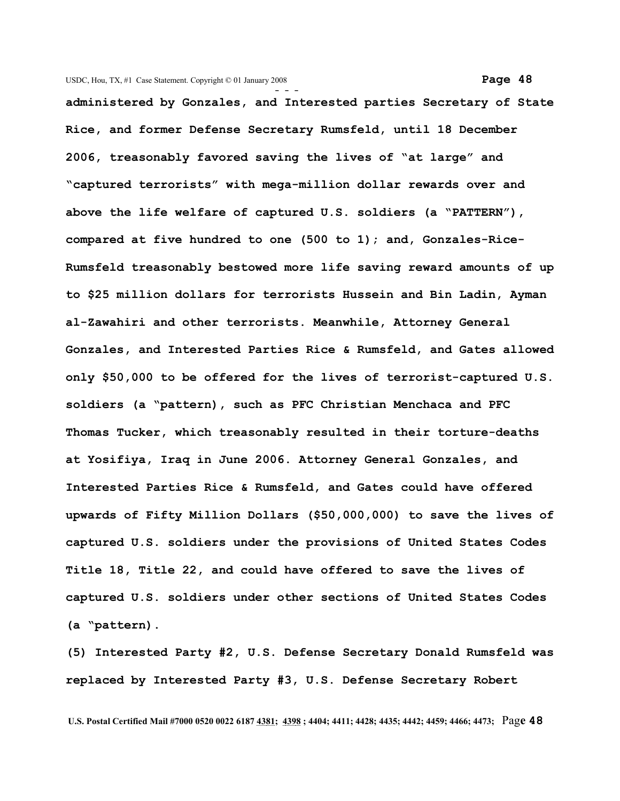**- - administered by Gonzales, and Interested parties Secretary of State Rice, and former Defense Secretary Rumsfeld, until 18 December 2006, treasonably favored saving the lives of "at large" and "captured terrorists" with mega-million dollar rewards over and above the life welfare of captured U.S. soldiers (a "PATTERN"), compared at five hundred to one (500 to 1); and, Gonzales-Rice-Rumsfeld treasonably bestowed more life saving reward amounts of up to \$25 million dollars for terrorists Hussein and Bin Ladin, Ayman al-Zawahiri and other terrorists. Meanwhile, Attorney General Gonzales, and Interested Parties Rice & Rumsfeld, and Gates allowed only \$50,000 to be offered for the lives of terrorist-captured U.S. soldiers (a "pattern), such as PFC Christian Menchaca and PFC Thomas Tucker, which treasonably resulted in their torture-deaths at Yosifiya, Iraq in June 2006. Attorney General Gonzales, and Interested Parties Rice & Rumsfeld, and Gates could have offered upwards of Fifty Million Dollars (\$50,000,000) to save the lives of captured U.S. soldiers under the provisions of United States Codes Title 18, Title 22, and could have offered to save the lives of captured U.S. soldiers under other sections of United States Codes (a "pattern).** 

**(5) Interested Party #2, U.S. Defense Secretary Donald Rumsfeld was replaced by Interested Party #3, U.S. Defense Secretary Robert**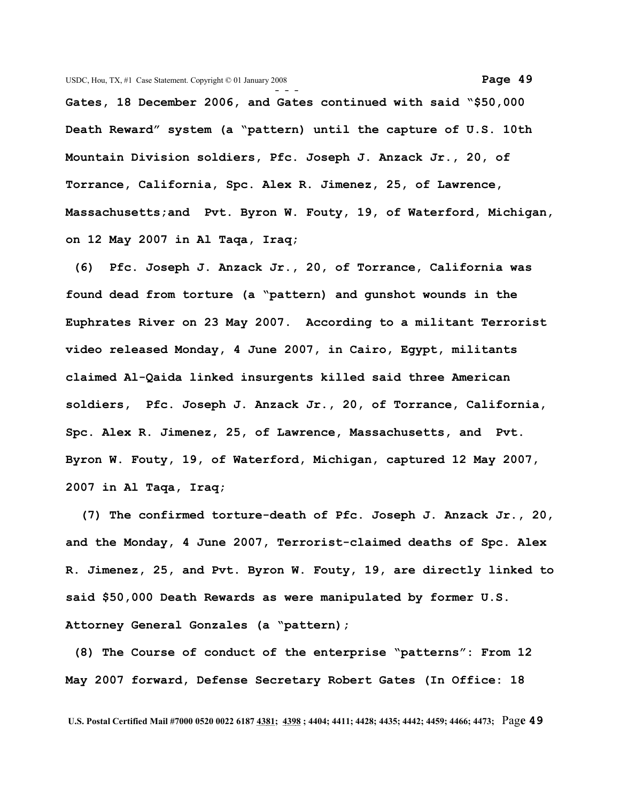**- - - Gates, 18 December 2006, and Gates continued with said "\$50,000 Death Reward" system (a "pattern) until the capture of U.S. 10th Mountain Division soldiers, Pfc. Joseph J. Anzack Jr., 20, of Torrance, California, Spc. Alex R. Jimenez, 25, of Lawrence, Massachusetts;and Pvt. Byron W. Fouty, 19, of Waterford, Michigan, on 12 May 2007 in Al Taqa, Iraq;**

 **(6) Pfc. Joseph J. Anzack Jr., 20, of Torrance, California was found dead from torture (a "pattern) and gunshot wounds in the Euphrates River on 23 May 2007. According to a militant Terrorist video released Monday, 4 June 2007, in Cairo, Egypt, militants claimed Al-Qaida linked insurgents killed said three American soldiers, Pfc. Joseph J. Anzack Jr., 20, of Torrance, California, Spc. Alex R. Jimenez, 25, of Lawrence, Massachusetts, and Pvt. Byron W. Fouty, 19, of Waterford, Michigan, captured 12 May 2007, 2007 in Al Taqa, Iraq;**

 **(7) The confirmed torture-death of Pfc. Joseph J. Anzack Jr., 20, and the Monday, 4 June 2007, Terrorist-claimed deaths of Spc. Alex R. Jimenez, 25, and Pvt. Byron W. Fouty, 19, are directly linked to said \$50,000 Death Rewards as were manipulated by former U.S. Attorney General Gonzales (a "pattern);** 

 **(8) The Course of conduct of the enterprise "patterns": From 12 May 2007 forward, Defense Secretary Robert Gates (In Office: 18**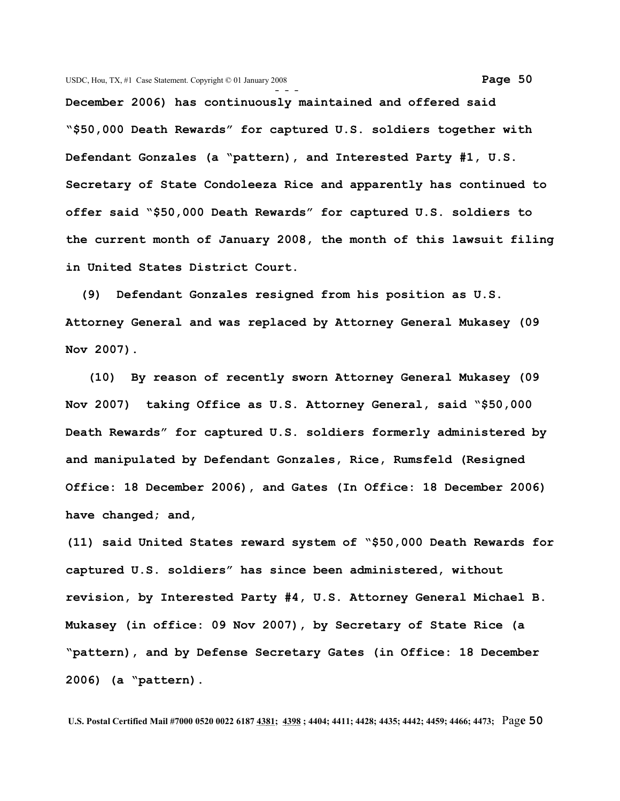**December 2006) has continuously maintained and offered said "\$50,000 Death Rewards" for captured U.S. soldiers together with Defendant Gonzales (a "pattern), and Interested Party #1, U.S. Secretary of State Condoleeza Rice and apparently has continued to offer said "\$50,000 Death Rewards" for captured U.S. soldiers to the current month of January 2008, the month of this lawsuit filing in United States District Court.** 

 **(9) Defendant Gonzales resigned from his position as U.S. Attorney General and was replaced by Attorney General Mukasey (09 Nov 2007).** 

 **(10) By reason of recently sworn Attorney General Mukasey (09 Nov 2007) taking Office as U.S. Attorney General, said "\$50,000 Death Rewards" for captured U.S. soldiers formerly administered by and manipulated by Defendant Gonzales, Rice, Rumsfeld (Resigned Office: 18 December 2006), and Gates (In Office: 18 December 2006) have changed; and,**

**(11) said United States reward system of "\$50,000 Death Rewards for captured U.S. soldiers" has since been administered, without revision, by Interested Party #4, U.S. Attorney General Michael B. Mukasey (in office: 09 Nov 2007), by Secretary of State Rice (a "pattern), and by Defense Secretary Gates (in Office: 18 December 2006) (a "pattern).**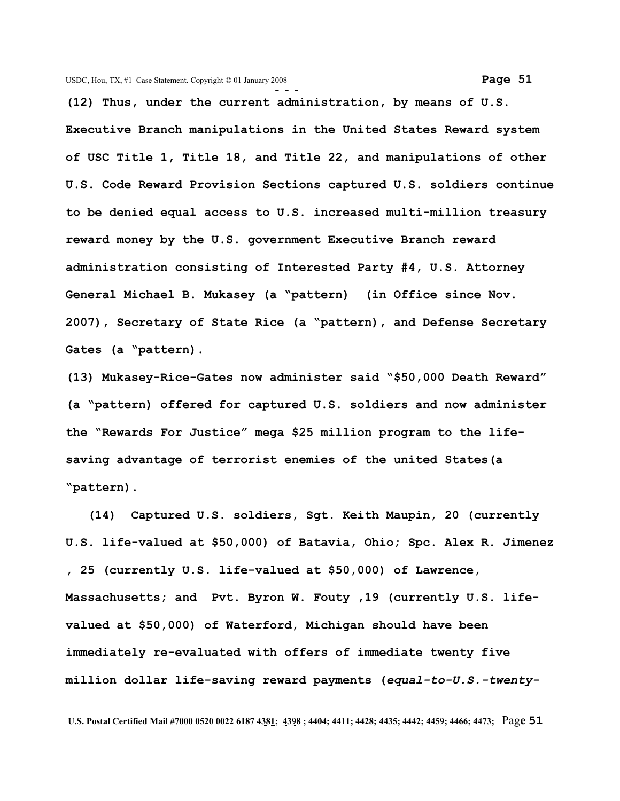**(12) Thus, under the current administration, by means of U.S. Executive Branch manipulations in the United States Reward system of USC Title 1, Title 18, and Title 22, and manipulations of other U.S. Code Reward Provision Sections captured U.S. soldiers continue to be denied equal access to U.S. increased multi-million treasury reward money by the U.S. government Executive Branch reward administration consisting of Interested Party #4, U.S. Attorney General Michael B. Mukasey (a "pattern) (in Office since Nov. 2007), Secretary of State Rice (a "pattern), and Defense Secretary Gates (a "pattern).**

**(13) Mukasey-Rice-Gates now administer said "\$50,000 Death Reward" (a "pattern) offered for captured U.S. soldiers and now administer the "Rewards For Justice" mega \$25 million program to the lifesaving advantage of terrorist enemies of the united States(a "pattern).**

 **(14) Captured U.S. soldiers, Sgt. Keith Maupin, 20 (currently U.S. life-valued at \$50,000) of Batavia, Ohio; Spc. Alex R. Jimenez , 25 (currently U.S. life-valued at \$50,000) of Lawrence, Massachusetts; and Pvt. Byron W. Fouty ,19 (currently U.S. lifevalued at \$50,000) of Waterford, Michigan should have been immediately re-evaluated with offers of immediate twenty five million dollar life-saving reward payments (***equal-to-U.S.-twenty-*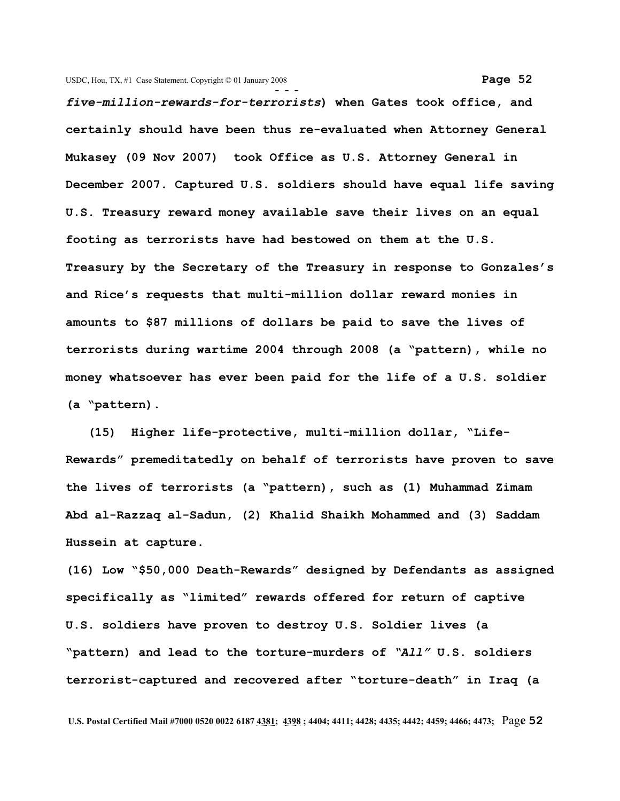**- -**  *five-million-rewards-for-terrorists***) when Gates took office, and certainly should have been thus re-evaluated when Attorney General Mukasey (09 Nov 2007) took Office as U.S. Attorney General in December 2007. Captured U.S. soldiers should have equal life saving U.S. Treasury reward money available save their lives on an equal footing as terrorists have had bestowed on them at the U.S. Treasury by the Secretary of the Treasury in response to Gonzales's and Rice's requests that multi-million dollar reward monies in amounts to \$87 millions of dollars be paid to save the lives of terrorists during wartime 2004 through 2008 (a "pattern), while no money whatsoever has ever been paid for the life of a U.S. soldier (a "pattern).**

 **(15) Higher life-protective, multi-million dollar, "Life-Rewards" premeditatedly on behalf of terrorists have proven to save the lives of terrorists (a "pattern), such as (1) Muhammad Zimam Abd al-Razzaq al-Sadun, (2) Khalid Shaikh Mohammed and (3) Saddam Hussein at capture.**

**(16) Low "\$50,000 Death-Rewards" designed by Defendants as assigned specifically as "limited" rewards offered for return of captive U.S. soldiers have proven to destroy U.S. Soldier lives (a "pattern) and lead to the torture-murders of** *"All"* **U.S. soldiers terrorist-captured and recovered after "torture-death" in Iraq (a**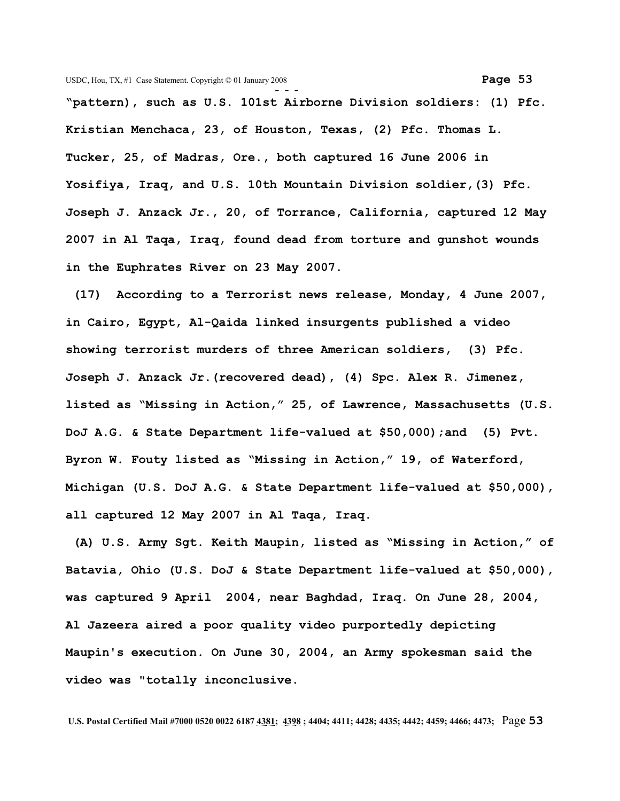**"pattern), such as U.S. 101st Airborne Division soldiers: (1) Pfc. Kristian Menchaca, 23, of Houston, Texas, (2) Pfc. Thomas L. Tucker, 25, of Madras, Ore., both captured 16 June 2006 in Yosifiya, Iraq, and U.S. 10th Mountain Division soldier,(3) Pfc. Joseph J. Anzack Jr., 20, of Torrance, California, captured 12 May 2007 in Al Taqa, Iraq, found dead from torture and gunshot wounds in the Euphrates River on 23 May 2007.**

**(17) According to a Terrorist news release, Monday, 4 June 2007, in Cairo, Egypt, Al-Qaida linked insurgents published a video showing terrorist murders of three American soldiers, (3) Pfc. Joseph J. Anzack Jr.(recovered dead), (4) Spc. Alex R. Jimenez, listed as "Missing in Action," 25, of Lawrence, Massachusetts (U.S. DoJ A.G. & State Department life-valued at \$50,000);and (5) Pvt. Byron W. Fouty listed as "Missing in Action," 19, of Waterford, Michigan (U.S. DoJ A.G. & State Department life-valued at \$50,000), all captured 12 May 2007 in Al Taqa, Iraq.**

 **(A) U.S. Army Sgt. Keith Maupin, listed as "Missing in Action," of Batavia, Ohio (U.S. DoJ & State Department life-valued at \$50,000), was captured 9 April 2004, near Baghdad, Iraq. On June 28, 2004, Al Jazeera aired a poor quality video purportedly depicting Maupin's execution. On June 30, 2004, an Army spokesman said the video was "totally inconclusive.**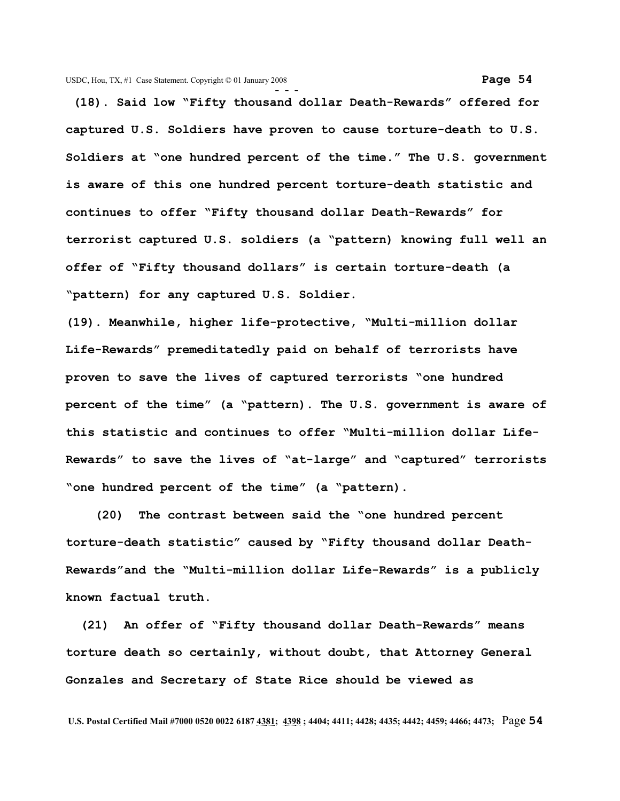**(18). Said low "Fifty thousand dollar Death-Rewards" offered for captured U.S. Soldiers have proven to cause torture-death to U.S. Soldiers at "one hundred percent of the time." The U.S. government is aware of this one hundred percent torture-death statistic and continues to offer "Fifty thousand dollar Death-Rewards" for terrorist captured U.S. soldiers (a "pattern) knowing full well an offer of "Fifty thousand dollars" is certain torture-death (a "pattern) for any captured U.S. Soldier.** 

**(19). Meanwhile, higher life-protective, "Multi-million dollar Life-Rewards" premeditatedly paid on behalf of terrorists have proven to save the lives of captured terrorists "one hundred percent of the time" (a "pattern). The U.S. government is aware of this statistic and continues to offer "Multi-million dollar Life-Rewards" to save the lives of "at-large" and "captured" terrorists "one hundred percent of the time" (a "pattern).**

 **(20) The contrast between said the "one hundred percent torture-death statistic" caused by "Fifty thousand dollar Death-Rewards"and the "Multi-million dollar Life-Rewards" is a publicly known factual truth.**

 **(21) An offer of "Fifty thousand dollar Death-Rewards" means torture death so certainly, without doubt, that Attorney General Gonzales and Secretary of State Rice should be viewed as**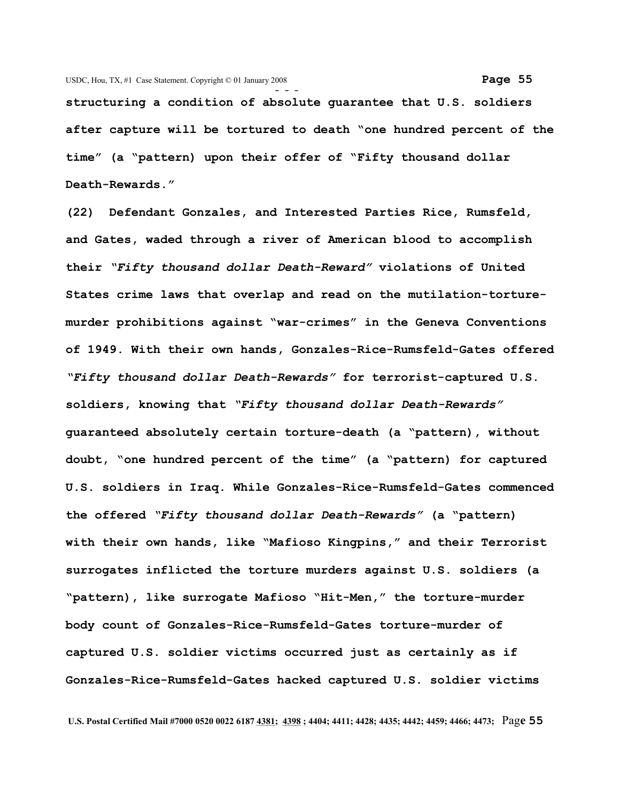**- - structuring a condition of absolute guarantee that U.S. soldiers after capture will be tortured to death "one hundred percent of the time" (a "pattern) upon their offer of "Fifty thousand dollar Death-Rewards."** 

**(22) Defendant Gonzales, and Interested Parties Rice, Rumsfeld, and Gates, waded through a river of American blood to accomplish their** *"Fifty thousand dollar Death-Reward"* **violations of United States crime laws that overlap and read on the mutilation-torturemurder prohibitions against "war-crimes" in the Geneva Conventions of 1949. With their own hands, Gonzales-Rice-Rumsfeld-Gates offered** *"Fifty thousand dollar Death-Rewards"* **for terrorist-captured U.S. soldiers, knowing that** *"Fifty thousand dollar Death-Rewards"* **guaranteed absolutely certain torture-death (a "pattern), without doubt, "one hundred percent of the time" (a "pattern) for captured U.S. soldiers in Iraq. While Gonzales-Rice-Rumsfeld-Gates commenced the offered** *"Fifty thousand dollar Death-Rewards"* **(a "pattern) with their own hands, like "Mafioso Kingpins," and their Terrorist surrogates inflicted the torture murders against U.S. soldiers (a "pattern), like surrogate Mafioso "Hit-Men," the torture-murder body count of Gonzales-Rice-Rumsfeld-Gates torture-murder of captured U.S. soldier victims occurred just as certainly as if Gonzales-Rice-Rumsfeld-Gates hacked captured U.S. soldier victims**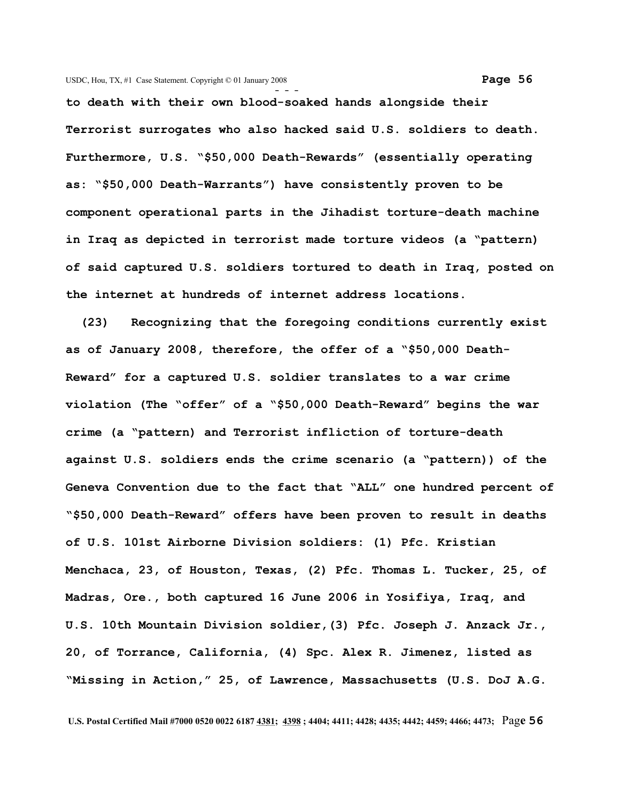**to death with their own blood-soaked hands alongside their Terrorist surrogates who also hacked said U.S. soldiers to death. Furthermore, U.S. "\$50,000 Death-Rewards" (essentially operating as: "\$50,000 Death-Warrants") have consistently proven to be component operational parts in the Jihadist torture-death machine in Iraq as depicted in terrorist made torture videos (a "pattern) of said captured U.S. soldiers tortured to death in Iraq, posted on the internet at hundreds of internet address locations.** 

 **(23) Recognizing that the foregoing conditions currently exist as of January 2008, therefore, the offer of a "\$50,000 Death-Reward" for a captured U.S. soldier translates to a war crime violation (The "offer" of a "\$50,000 Death-Reward" begins the war crime (a "pattern) and Terrorist infliction of torture-death against U.S. soldiers ends the crime scenario (a "pattern)) of the Geneva Convention due to the fact that "ALL" one hundred percent of "\$50,000 Death-Reward" offers have been proven to result in deaths of U.S. 101st Airborne Division soldiers: (1) Pfc. Kristian Menchaca, 23, of Houston, Texas, (2) Pfc. Thomas L. Tucker, 25, of Madras, Ore., both captured 16 June 2006 in Yosifiya, Iraq, and U.S. 10th Mountain Division soldier,(3) Pfc. Joseph J. Anzack Jr., 20, of Torrance, California, (4) Spc. Alex R. Jimenez, listed as "Missing in Action," 25, of Lawrence, Massachusetts (U.S. DoJ A.G.**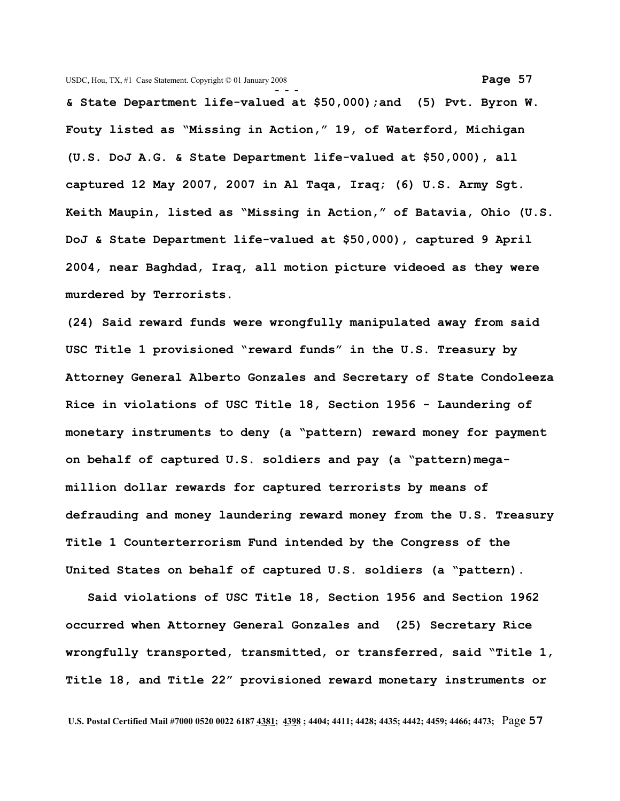**& State Department life-valued at \$50,000);and (5) Pvt. Byron W. Fouty listed as "Missing in Action," 19, of Waterford, Michigan (U.S. DoJ A.G. & State Department life-valued at \$50,000), all captured 12 May 2007, 2007 in Al Taqa, Iraq; (6) U.S. Army Sgt. Keith Maupin, listed as "Missing in Action," of Batavia, Ohio (U.S. DoJ & State Department life-valued at \$50,000), captured 9 April 2004, near Baghdad, Iraq, all motion picture videoed as they were murdered by Terrorists.**

**(24) Said reward funds were wrongfully manipulated away from said USC Title 1 provisioned "reward funds" in the U.S. Treasury by Attorney General Alberto Gonzales and Secretary of State Condoleeza Rice in violations of USC Title 18, Section 1956 - Laundering of monetary instruments to deny (a "pattern) reward money for payment on behalf of captured U.S. soldiers and pay (a "pattern)megamillion dollar rewards for captured terrorists by means of defrauding and money laundering reward money from the U.S. Treasury Title 1 Counterterrorism Fund intended by the Congress of the United States on behalf of captured U.S. soldiers (a "pattern).**

 **Said violations of USC Title 18, Section 1956 and Section 1962 occurred when Attorney General Gonzales and (25) Secretary Rice wrongfully transported, transmitted, or transferred, said "Title 1, Title 18, and Title 22" provisioned reward monetary instruments or**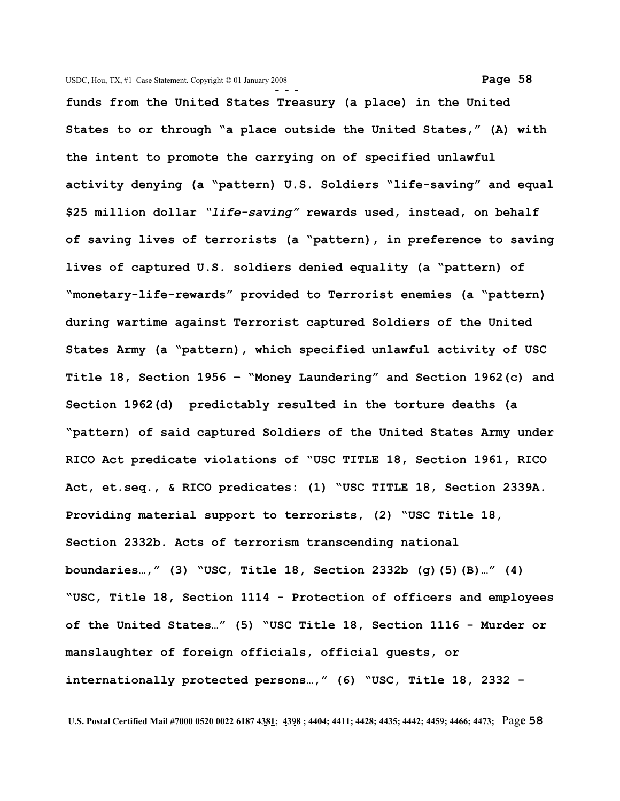**- - funds from the United States Treasury (a place) in the United States to or through "a place outside the United States," (A) with the intent to promote the carrying on of specified unlawful activity denying (a "pattern) U.S. Soldiers "life-saving" and equal \$25 million dollar** *"life-saving"* **rewards used, instead, on behalf of saving lives of terrorists (a "pattern), in preference to saving lives of captured U.S. soldiers denied equality (a "pattern) of "monetary-life-rewards" provided to Terrorist enemies (a "pattern) during wartime against Terrorist captured Soldiers of the United States Army (a "pattern), which specified unlawful activity of USC Title 18, Section 1956 – "Money Laundering" and Section 1962(c) and Section 1962(d) predictably resulted in the torture deaths (a "pattern) of said captured Soldiers of the United States Army under RICO Act predicate violations of "USC TITLE 18, Section 1961, RICO Act, et.seq., & RICO predicates: (1) "USC TITLE 18, Section 2339A. Providing material support to terrorists, (2) "USC Title 18, Section 2332b. Acts of terrorism transcending national boundaries…," (3) "USC, Title 18, Section 2332b (g)(5)(B)…" (4) "USC, Title 18, Section 1114 - Protection of officers and employees of the United States…" (5) "USC Title 18, Section 1116 - Murder or manslaughter of foreign officials, official guests, or internationally protected persons…," (6) "USC, Title 18, 2332 -**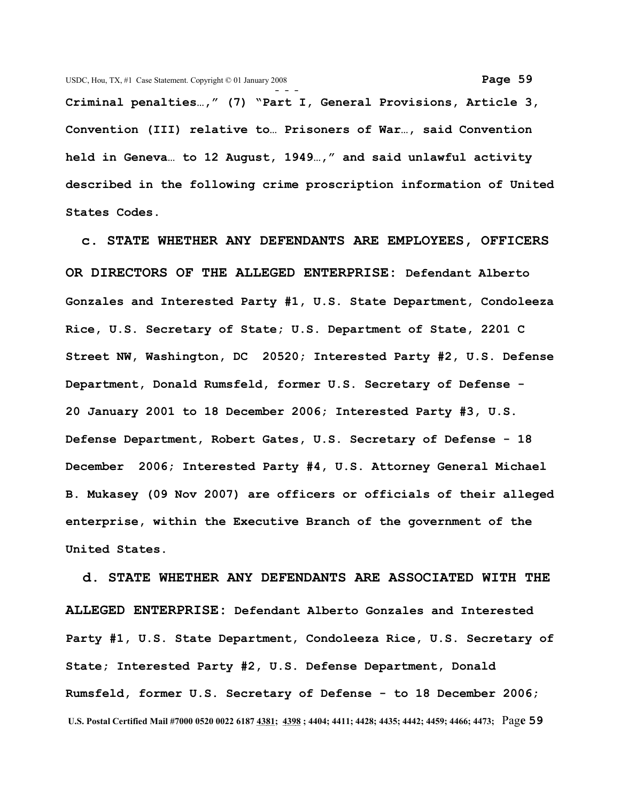**Criminal penalties…," (7) "Part I, General Provisions, Article 3, Convention (III) relative to… Prisoners of War…, said Convention held in Geneva… to 12 August, 1949…," and said unlawful activity described in the following crime proscription information of United States Codes.**

 **c. STATE WHETHER ANY DEFENDANTS ARE EMPLOYEES, OFFICERS OR DIRECTORS OF THE ALLEGED ENTERPRISE: Defendant Alberto Gonzales and Interested Party #1, U.S. State Department, Condoleeza Rice, U.S. Secretary of State; U.S. Department of State, 2201 C Street NW, Washington, DC 20520; Interested Party #2, U.S. Defense Department, Donald Rumsfeld, former U.S. Secretary of Defense - 20 January 2001 to 18 December 2006; Interested Party #3, U.S. Defense Department, Robert Gates, U.S. Secretary of Defense - 18 December 2006; Interested Party #4, U.S. Attorney General Michael B. Mukasey (09 Nov 2007) are officers or officials of their alleged enterprise, within the Executive Branch of the government of the United States.**

 **d. STATE WHETHER ANY DEFENDANTS ARE ASSOCIATED WITH THE ALLEGED ENTERPRISE: Defendant Alberto Gonzales and Interested Party #1, U.S. State Department, Condoleeza Rice, U.S. Secretary of State; Interested Party #2, U.S. Defense Department, Donald Rumsfeld, former U.S. Secretary of Defense - to 18 December 2006; U.S. Postal Certified Mail #7000 0520 0022 6187 4381; 4398 ; 4404; 4411; 4428; 4435; 4442; 4459; 4466; 4473;** Pag**e 59**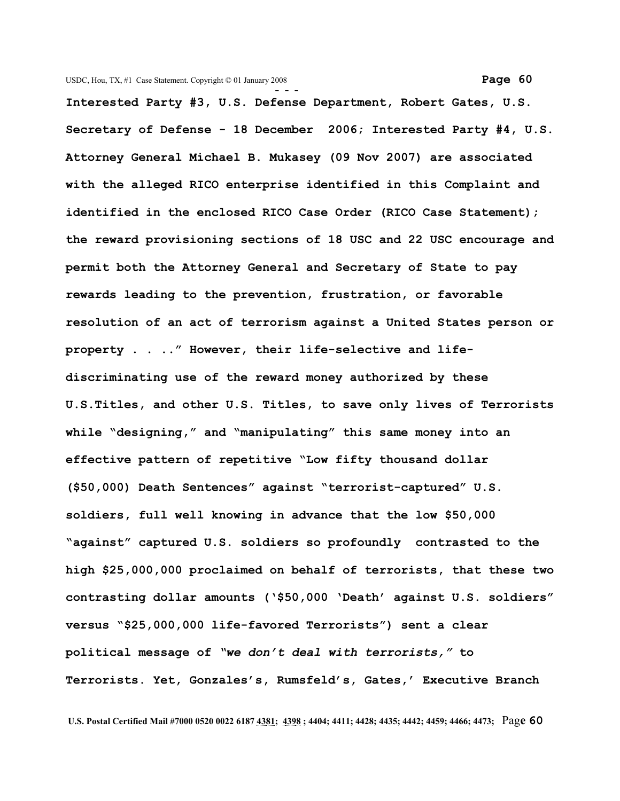**Interested Party #3, U.S. Defense Department, Robert Gates, U.S. Secretary of Defense - 18 December 2006; Interested Party #4, U.S. Attorney General Michael B. Mukasey (09 Nov 2007) are associated with the alleged RICO enterprise identified in this Complaint and identified in the enclosed RICO Case Order (RICO Case Statement); the reward provisioning sections of 18 USC and 22 USC encourage and permit both the Attorney General and Secretary of State to pay rewards leading to the prevention, frustration, or favorable resolution of an act of terrorism against a United States person or property . . .." However, their life-selective and lifediscriminating use of the reward money authorized by these U.S.Titles, and other U.S. Titles, to save only lives of Terrorists while "designing," and "manipulating" this same money into an effective pattern of repetitive "Low fifty thousand dollar (\$50,000) Death Sentences" against "terrorist-captured" U.S. soldiers, full well knowing in advance that the low \$50,000 "against" captured U.S. soldiers so profoundly contrasted to the high \$25,000,000 proclaimed on behalf of terrorists, that these two contrasting dollar amounts ('\$50,000 'Death' against U.S. soldiers" versus "\$25,000,000 life-favored Terrorists") sent a clear political message of** *"we don't deal with terrorists,"* **to Terrorists. Yet, Gonzales's, Rumsfeld's, Gates,' Executive Branch**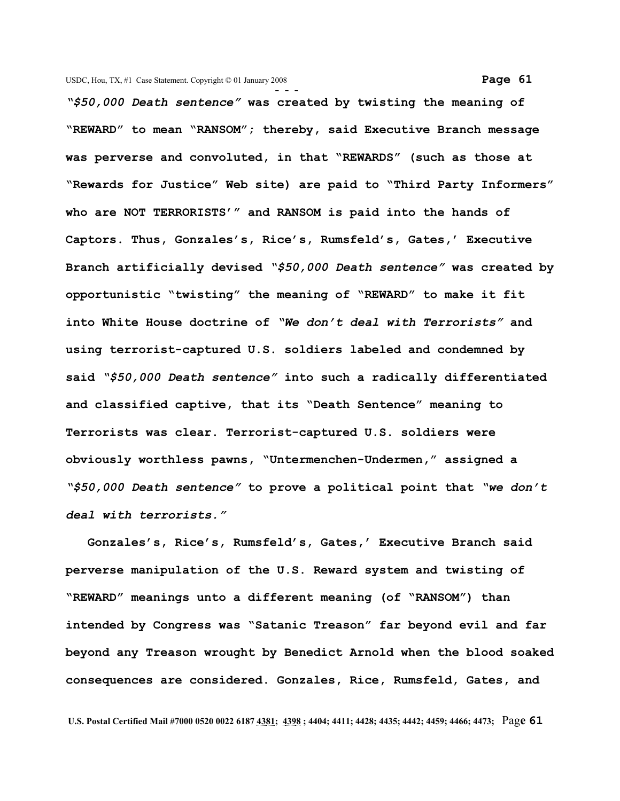**- - -** *"\$50,000 Death sentence"* **was created by twisting the meaning of "REWARD" to mean "RANSOM"; thereby, said Executive Branch message was perverse and convoluted, in that "REWARDS" (such as those at "Rewards for Justice" Web site) are paid to "Third Party Informers" who are NOT TERRORISTS'" and RANSOM is paid into the hands of Captors. Thus, Gonzales's, Rice's, Rumsfeld's, Gates,' Executive Branch artificially devised** *"\$50,000 Death sentence"* **was created by opportunistic "twisting" the meaning of "REWARD" to make it fit into White House doctrine of** *"We don't deal with Terrorists"* **and using terrorist-captured U.S. soldiers labeled and condemned by said** *"\$50,000 Death sentence"* **into such a radically differentiated and classified captive, that its "Death Sentence" meaning to Terrorists was clear. Terrorist-captured U.S. soldiers were obviously worthless pawns, "Untermenchen-Undermen," assigned a** *"\$50,000 Death sentence"* **to prove a political point that** *"we don't deal with terrorists."*

 **Gonzales's, Rice's, Rumsfeld's, Gates,' Executive Branch said perverse manipulation of the U.S. Reward system and twisting of "REWARD" meanings unto a different meaning (of "RANSOM") than intended by Congress was "Satanic Treason" far beyond evil and far beyond any Treason wrought by Benedict Arnold when the blood soaked consequences are considered. Gonzales, Rice, Rumsfeld, Gates, and**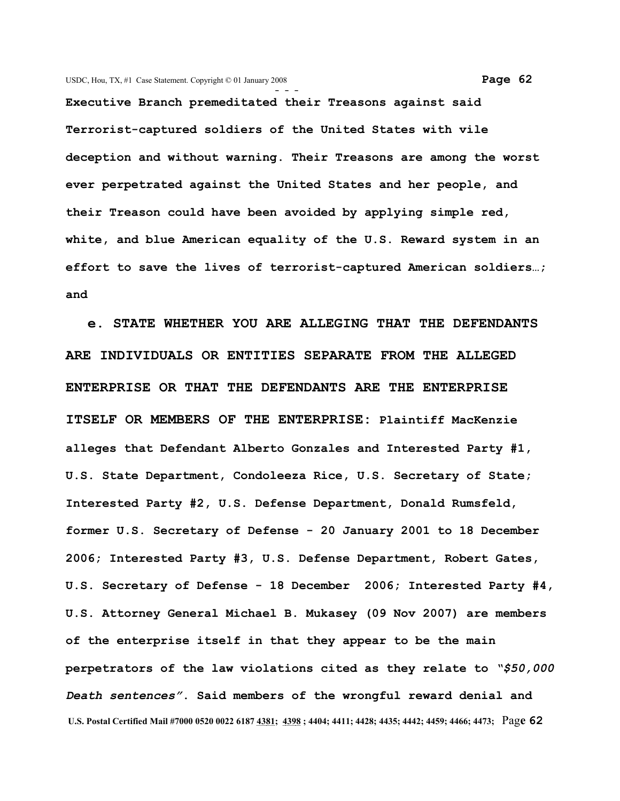**- - - Executive Branch premeditated their Treasons against said Terrorist-captured soldiers of the United States with vile deception and without warning. Their Treasons are among the worst ever perpetrated against the United States and her people, and their Treason could have been avoided by applying simple red, white, and blue American equality of the U.S. Reward system in an effort to save the lives of terrorist-captured American soldiers…; and** 

 **e. STATE WHETHER YOU ARE ALLEGING THAT THE DEFENDANTS ARE INDIVIDUALS OR ENTITIES SEPARATE FROM THE ALLEGED ENTERPRISE OR THAT THE DEFENDANTS ARE THE ENTERPRISE ITSELF OR MEMBERS OF THE ENTERPRISE: Plaintiff MacKenzie alleges that Defendant Alberto Gonzales and Interested Party #1, U.S. State Department, Condoleeza Rice, U.S. Secretary of State; Interested Party #2, U.S. Defense Department, Donald Rumsfeld, former U.S. Secretary of Defense - 20 January 2001 to 18 December 2006; Interested Party #3, U.S. Defense Department, Robert Gates, U.S. Secretary of Defense - 18 December 2006; Interested Party #4, U.S. Attorney General Michael B. Mukasey (09 Nov 2007) are members of the enterprise itself in that they appear to be the main perpetrators of the law violations cited as they relate to** *"\$50,000 Death sentences"***. Said members of the wrongful reward denial and U.S. Postal Certified Mail #7000 0520 0022 6187 4381; 4398 ; 4404; 4411; 4428; 4435; 4442; 4459; 4466; 4473;** Pag**e 62**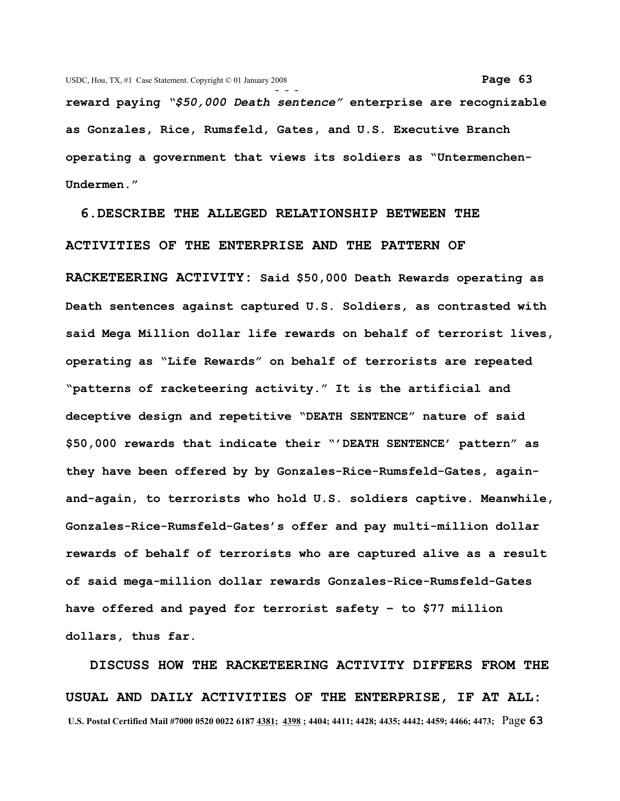**reward paying** *"\$50,000 Death sentence"* **enterprise are recognizable as Gonzales, Rice, Rumsfeld, Gates, and U.S. Executive Branch operating a government that views its soldiers as "Untermenchen-Undermen."**

 **6.DESCRIBE THE ALLEGED RELATIONSHIP BETWEEN THE ACTIVITIES OF THE ENTERPRISE AND THE PATTERN OF RACKETEERING ACTIVITY: Said \$50,000 Death Rewards operating as Death sentences against captured U.S. Soldiers, as contrasted with said Mega Million dollar life rewards on behalf of terrorist lives, operating as "Life Rewards" on behalf of terrorists are repeated "patterns of racketeering activity." It is the artificial and deceptive design and repetitive "DEATH SENTENCE" nature of said \$50,000 rewards that indicate their "'DEATH SENTENCE' pattern" as they have been offered by by Gonzales-Rice-Rumsfeld-Gates, againand-again, to terrorists who hold U.S. soldiers captive. Meanwhile, Gonzales-Rice-Rumsfeld-Gates's offer and pay multi-million dollar rewards of behalf of terrorists who are captured alive as a result of said mega-million dollar rewards Gonzales-Rice-Rumsfeld-Gates have offered and payed for terrorist safety – to \$77 million dollars, thus far.** 

 **DISCUSS HOW THE RACKETEERING ACTIVITY DIFFERS FROM THE USUAL AND DAILY ACTIVITIES OF THE ENTERPRISE, IF AT ALL: U.S. Postal Certified Mail #7000 0520 0022 6187 4381; 4398 ; 4404; 4411; 4428; 4435; 4442; 4459; 4466; 4473;** Pag**e 63**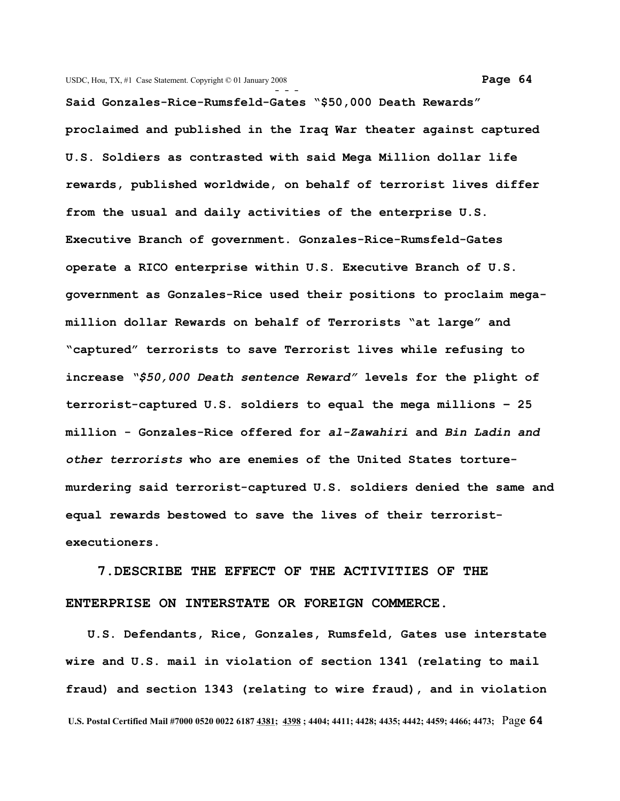**Said Gonzales-Rice-Rumsfeld-Gates "\$50,000 Death Rewards" proclaimed and published in the Iraq War theater against captured U.S. Soldiers as contrasted with said Mega Million dollar life rewards, published worldwide, on behalf of terrorist lives differ from the usual and daily activities of the enterprise U.S. Executive Branch of government. Gonzales-Rice-Rumsfeld-Gates operate a RICO enterprise within U.S. Executive Branch of U.S. government as Gonzales-Rice used their positions to proclaim megamillion dollar Rewards on behalf of Terrorists "at large" and "captured" terrorists to save Terrorist lives while refusing to increase** *"\$50,000 Death sentence Reward"* **levels for the plight of terrorist-captured U.S. soldiers to equal the mega millions – 25 million - Gonzales-Rice offered for** *al-Zawahiri* **and** *Bin Ladin and other terrorists* **who are enemies of the United States torturemurdering said terrorist-captured U.S. soldiers denied the same and equal rewards bestowed to save the lives of their terroristexecutioners.** 

 **7.DESCRIBE THE EFFECT OF THE ACTIVITIES OF THE ENTERPRISE ON INTERSTATE OR FOREIGN COMMERCE.**

 **U.S. Defendants, Rice, Gonzales, Rumsfeld, Gates use interstate wire and U.S. mail in violation of section 1341 (relating to mail fraud) and section 1343 (relating to wire fraud), and in violation U.S. Postal Certified Mail #7000 0520 0022 6187 4381; 4398 ; 4404; 4411; 4428; 4435; 4442; 4459; 4466; 4473;** Pag**e 64**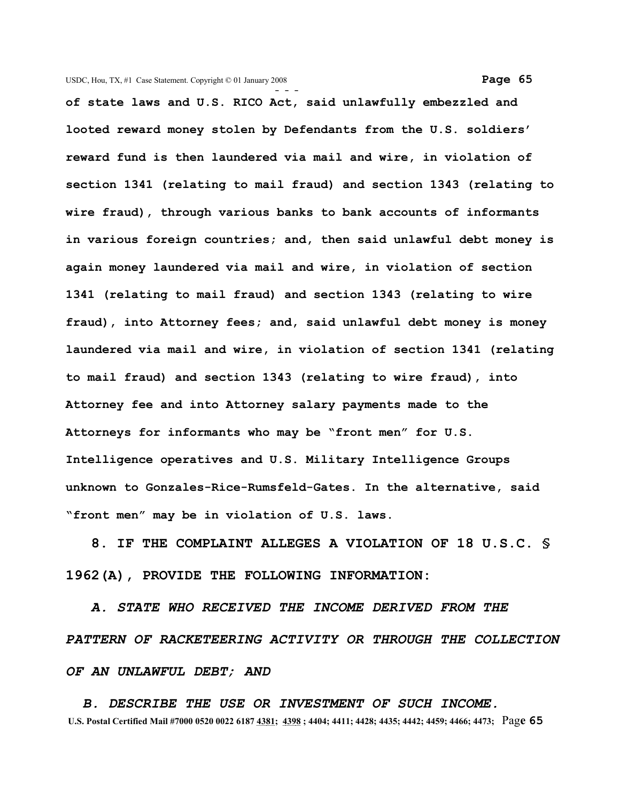**of state laws and U.S. RICO Act, said unlawfully embezzled and looted reward money stolen by Defendants from the U.S. soldiers' reward fund is then laundered via mail and wire, in violation of section 1341 (relating to mail fraud) and section 1343 (relating to wire fraud), through various banks to bank accounts of informants in various foreign countries; and, then said unlawful debt money is again money laundered via mail and wire, in violation of section 1341 (relating to mail fraud) and section 1343 (relating to wire fraud), into Attorney fees; and, said unlawful debt money is money laundered via mail and wire, in violation of section 1341 (relating to mail fraud) and section 1343 (relating to wire fraud), into Attorney fee and into Attorney salary payments made to the Attorneys for informants who may be "front men" for U.S. Intelligence operatives and U.S. Military Intelligence Groups unknown to Gonzales-Rice-Rumsfeld-Gates. In the alternative, said "front men" may be in violation of U.S. laws.**

 **8. IF THE COMPLAINT ALLEGES A VIOLATION OF 18 U.S.C. § 1962(A), PROVIDE THE FOLLOWING INFORMATION:** 

*A. STATE WHO RECEIVED THE INCOME DERIVED FROM THE PATTERN OF RACKETEERING ACTIVITY OR THROUGH THE COLLECTION OF AN UNLAWFUL DEBT; AND* 

 *B. DESCRIBE THE USE OR INVESTMENT OF SUCH INCOME.*  **U.S. Postal Certified Mail #7000 0520 0022 6187 4381; 4398 ; 4404; 4411; 4428; 4435; 4442; 4459; 4466; 4473;** Pag**e 65**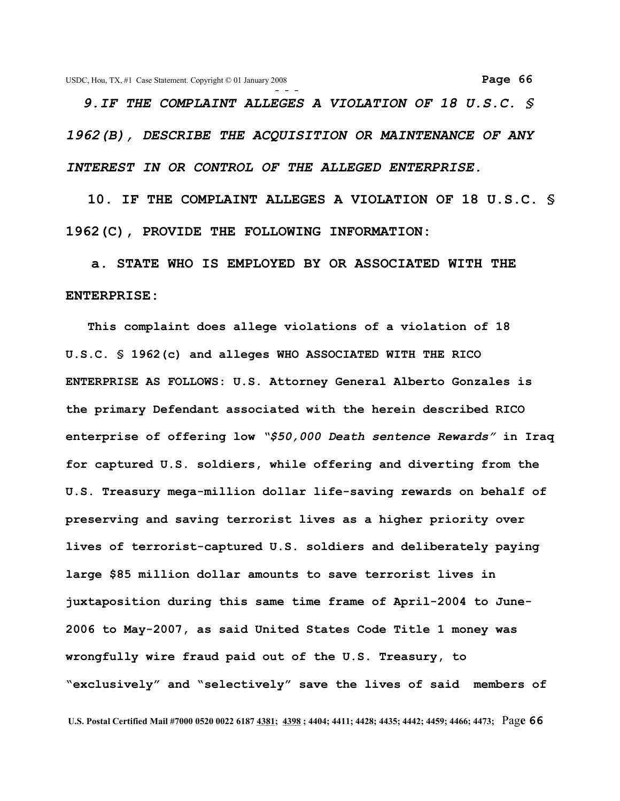*9.IF THE COMPLAINT ALLEGES A VIOLATION OF 18 U.S.C. § 1962(B), DESCRIBE THE ACQUISITION OR MAINTENANCE OF ANY INTEREST IN OR CONTROL OF THE ALLEGED ENTERPRISE.* 

 **10. IF THE COMPLAINT ALLEGES A VIOLATION OF 18 U.S.C. § 1962(C), PROVIDE THE FOLLOWING INFORMATION:** 

 **a. STATE WHO IS EMPLOYED BY OR ASSOCIATED WITH THE ENTERPRISE:** 

 **This complaint does allege violations of a violation of 18 U.S.C. § 1962(c) and alleges WHO ASSOCIATED WITH THE RICO ENTERPRISE AS FOLLOWS: U.S. Attorney General Alberto Gonzales is the primary Defendant associated with the herein described RICO enterprise of offering low** *"\$50,000 Death sentence Rewards"* **in Iraq for captured U.S. soldiers, while offering and diverting from the U.S. Treasury mega-million dollar life-saving rewards on behalf of preserving and saving terrorist lives as a higher priority over lives of terrorist-captured U.S. soldiers and deliberately paying large \$85 million dollar amounts to save terrorist lives in juxtaposition during this same time frame of April-2004 to June-2006 to May-2007, as said United States Code Title 1 money was wrongfully wire fraud paid out of the U.S. Treasury, to "exclusively" and "selectively" save the lives of said members of**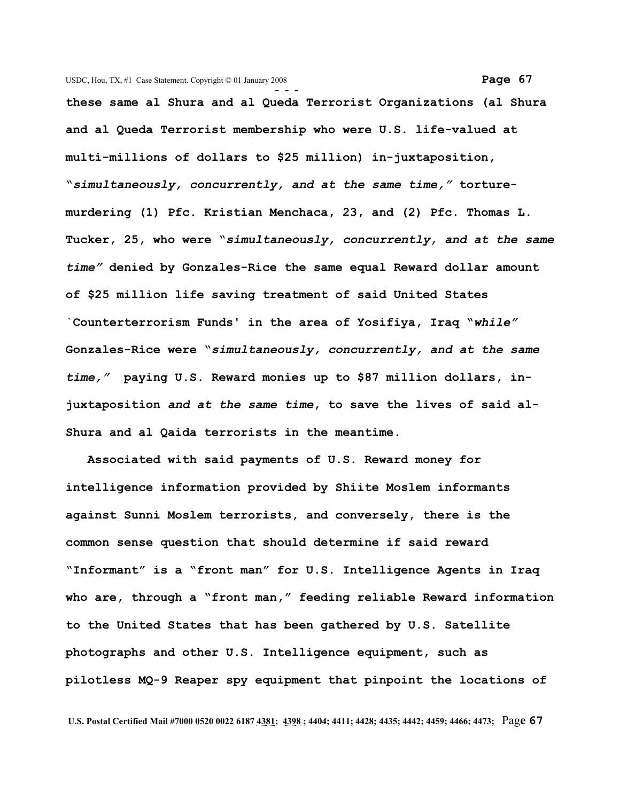**- - these same al Shura and al Queda Terrorist Organizations (al Shura and al Queda Terrorist membership who were U.S. life-valued at multi-millions of dollars to \$25 million) in-juxtaposition, "***simultaneously, concurrently, and at the same time,"* **torturemurdering (1) Pfc. Kristian Menchaca, 23, and (2) Pfc. Thomas L. Tucker, 25, who were "***simultaneously, concurrently, and at the same time"* **denied by Gonzales-Rice the same equal Reward dollar amount of \$25 million life saving treatment of said United States `Counterterrorism Funds' in the area of Yosifiya, Iraq "***while"* **Gonzales-Rice were "***simultaneously, concurrently, and at the same time,"* **paying U.S. Reward monies up to \$87 million dollars, injuxtaposition** *and at the same time***, to save the lives of said al-Shura and al Qaida terrorists in the meantime.**

 **Associated with said payments of U.S. Reward money for intelligence information provided by Shiite Moslem informants against Sunni Moslem terrorists, and conversely, there is the common sense question that should determine if said reward "Informant" is a "front man" for U.S. Intelligence Agents in Iraq who are, through a "front man," feeding reliable Reward information to the United States that has been gathered by U.S. Satellite photographs and other U.S. Intelligence equipment, such as pilotless MQ-9 Reaper spy equipment that pinpoint the locations of**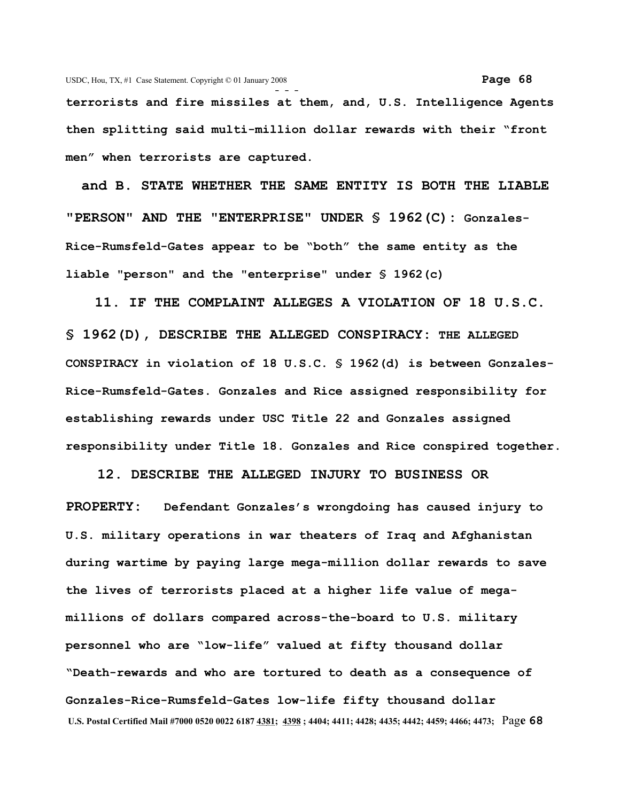**- - terrorists and fire missiles at them, and, U.S. Intelligence Agents then splitting said multi-million dollar rewards with their "front men" when terrorists are captured.** 

 **and B. STATE WHETHER THE SAME ENTITY IS BOTH THE LIABLE "PERSON" AND THE "ENTERPRISE" UNDER § 1962(C): Gonzales-Rice-Rumsfeld-Gates appear to be "both" the same entity as the liable "person" and the "enterprise" under § 1962(c)**

 **11. IF THE COMPLAINT ALLEGES A VIOLATION OF 18 U.S.C. § 1962(D), DESCRIBE THE ALLEGED CONSPIRACY: THE ALLEGED CONSPIRACY in violation of 18 U.S.C. § 1962(d) is between Gonzales-Rice-Rumsfeld-Gates. Gonzales and Rice assigned responsibility for establishing rewards under USC Title 22 and Gonzales assigned responsibility under Title 18. Gonzales and Rice conspired together.**

 **12. DESCRIBE THE ALLEGED INJURY TO BUSINESS OR PROPERTY: Defendant Gonzales's wrongdoing has caused injury to U.S. military operations in war theaters of Iraq and Afghanistan during wartime by paying large mega-million dollar rewards to save the lives of terrorists placed at a higher life value of megamillions of dollars compared across-the-board to U.S. military personnel who are "low-life" valued at fifty thousand dollar "Death-rewards and who are tortured to death as a consequence of Gonzales-Rice-Rumsfeld-Gates low-life fifty thousand dollar U.S. Postal Certified Mail #7000 0520 0022 6187 4381; 4398 ; 4404; 4411; 4428; 4435; 4442; 4459; 4466; 4473;** Pag**e 68**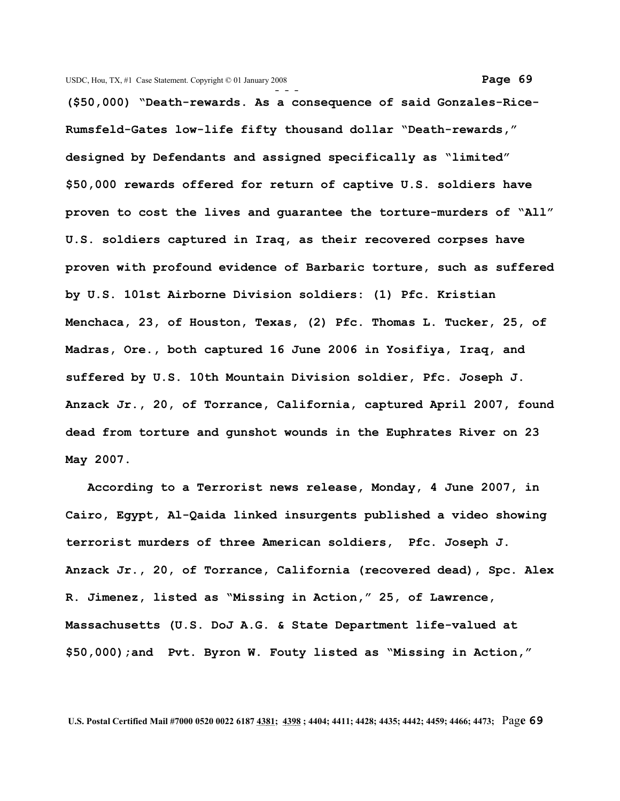**(\$50,000) "Death-rewards. As a consequence of said Gonzales-Rice-Rumsfeld-Gates low-life fifty thousand dollar "Death-rewards," designed by Defendants and assigned specifically as "limited" \$50,000 rewards offered for return of captive U.S. soldiers have proven to cost the lives and guarantee the torture-murders of "All" U.S. soldiers captured in Iraq, as their recovered corpses have proven with profound evidence of Barbaric torture, such as suffered by U.S. 101st Airborne Division soldiers: (1) Pfc. Kristian Menchaca, 23, of Houston, Texas, (2) Pfc. Thomas L. Tucker, 25, of Madras, Ore., both captured 16 June 2006 in Yosifiya, Iraq, and suffered by U.S. 10th Mountain Division soldier, Pfc. Joseph J. Anzack Jr., 20, of Torrance, California, captured April 2007, found dead from torture and gunshot wounds in the Euphrates River on 23 May 2007.**

 **According to a Terrorist news release, Monday, 4 June 2007, in Cairo, Egypt, Al-Qaida linked insurgents published a video showing terrorist murders of three American soldiers, Pfc. Joseph J. Anzack Jr., 20, of Torrance, California (recovered dead), Spc. Alex R. Jimenez, listed as "Missing in Action," 25, of Lawrence, Massachusetts (U.S. DoJ A.G. & State Department life-valued at \$50,000);and Pvt. Byron W. Fouty listed as "Missing in Action,"**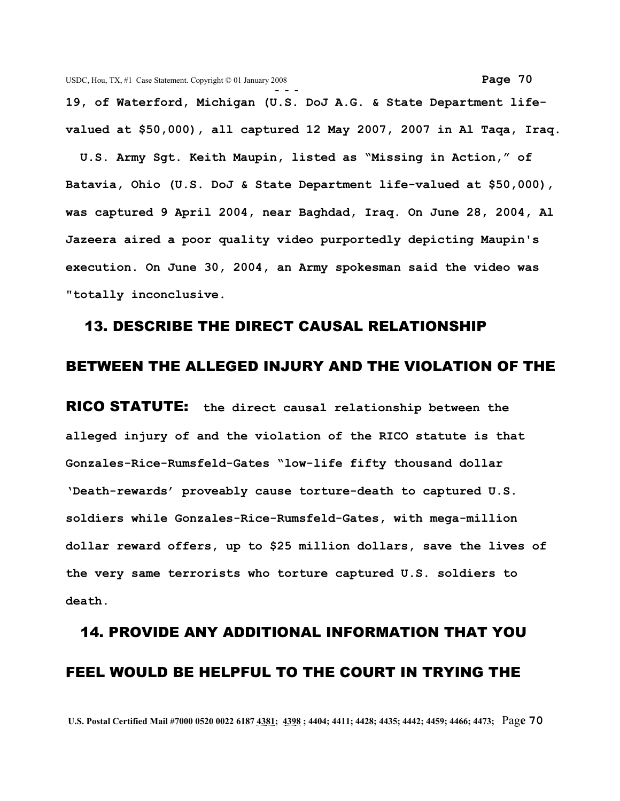**19, of Waterford, Michigan (U.S. DoJ A.G. & State Department lifevalued at \$50,000), all captured 12 May 2007, 2007 in Al Taqa, Iraq.**

 **U.S. Army Sgt. Keith Maupin, listed as "Missing in Action," of Batavia, Ohio (U.S. DoJ & State Department life-valued at \$50,000), was captured 9 April 2004, near Baghdad, Iraq. On June 28, 2004, Al Jazeera aired a poor quality video purportedly depicting Maupin's execution. On June 30, 2004, an Army spokesman said the video was "totally inconclusive.**

## 13. DESCRIBE THE DIRECT CAUSAL RELATIONSHIP

## BETWEEN THE ALLEGED INJURY AND THE VIOLATION OF THE

RICO STATUTE: **the direct causal relationship between the alleged injury of and the violation of the RICO statute is that Gonzales-Rice-Rumsfeld-Gates "low-life fifty thousand dollar 'Death-rewards' proveably cause torture-death to captured U.S. soldiers while Gonzales-Rice-Rumsfeld-Gates, with mega-million dollar reward offers, up to \$25 million dollars, save the lives of the very same terrorists who torture captured U.S. soldiers to death.**

## 14. PROVIDE ANY ADDITIONAL INFORMATION THAT YOU FEEL WOULD BE HELPFUL TO THE COURT IN TRYING THE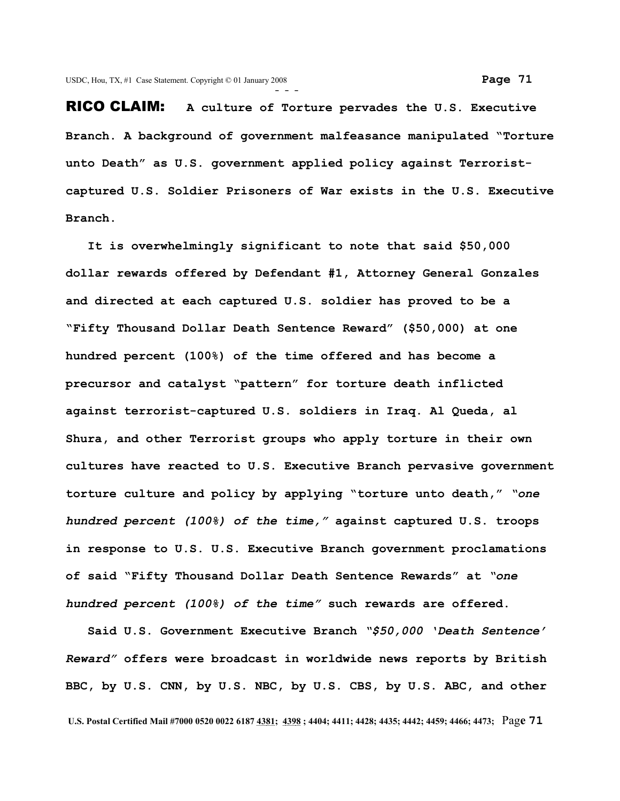RICO CLAIM: **A culture of Torture pervades the U.S. Executive Branch. A background of government malfeasance manipulated "Torture unto Death" as U.S. government applied policy against Terroristcaptured U.S. Soldier Prisoners of War exists in the U.S. Executive Branch.** 

 **It is overwhelmingly significant to note that said \$50,000 dollar rewards offered by Defendant #1, Attorney General Gonzales and directed at each captured U.S. soldier has proved to be a "Fifty Thousand Dollar Death Sentence Reward" (\$50,000) at one hundred percent (100%) of the time offered and has become a precursor and catalyst "pattern" for torture death inflicted against terrorist-captured U.S. soldiers in Iraq. Al Queda, al Shura, and other Terrorist groups who apply torture in their own cultures have reacted to U.S. Executive Branch pervasive government torture culture and policy by applying "torture unto death,"** *"one hundred percent (100%) of the time,"* **against captured U.S. troops in response to U.S. U.S. Executive Branch government proclamations of said "Fifty Thousand Dollar Death Sentence Rewards" at** *"one hundred percent (100%) of the time"* **such rewards are offered.**

 **Said U.S. Government Executive Branch** *"\$50,000 'Death Sentence' Reward"* **offers were broadcast in worldwide news reports by British BBC, by U.S. CNN, by U.S. NBC, by U.S. CBS, by U.S. ABC, and other**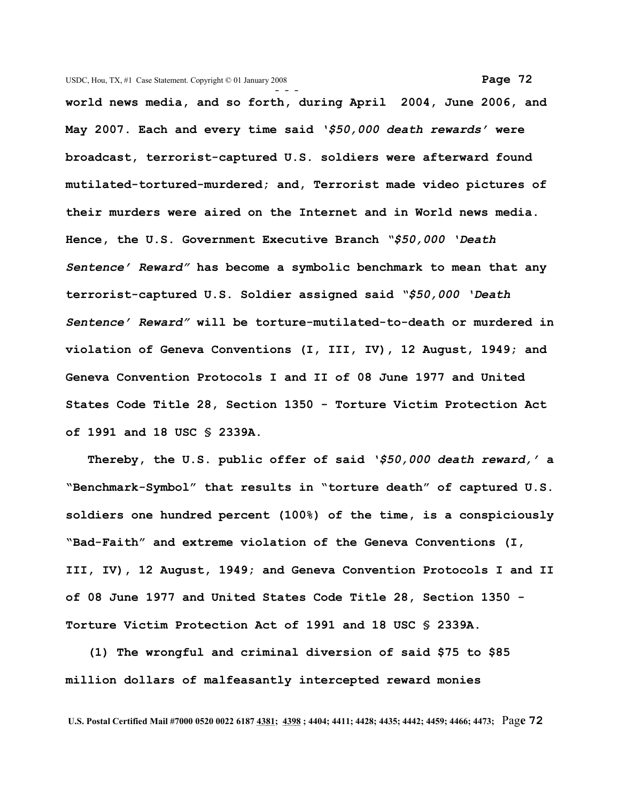**world news media, and so forth, during April 2004, June 2006, and May 2007. Each and every time said** *'\$50,000 death rewards'* **were broadcast, terrorist-captured U.S. soldiers were afterward found mutilated-tortured-murdered; and, Terrorist made video pictures of their murders were aired on the Internet and in World news media. Hence, the U.S. Government Executive Branch** *"\$50,000 'Death Sentence' Reward"* **has become a symbolic benchmark to mean that any terrorist-captured U.S. Soldier assigned said** *"\$50,000 'Death Sentence' Reward"* **will be torture-mutilated-to-death or murdered in violation of Geneva Conventions (I, III, IV), 12 August, 1949; and Geneva Convention Protocols I and II of 08 June 1977 and United States Code Title 28, Section 1350 - Torture Victim Protection Act of 1991 and 18 USC § 2339A.**

 **Thereby, the U.S. public offer of said** *'\$50,000 death reward,'* **a "Benchmark-Symbol" that results in "torture death" of captured U.S. soldiers one hundred percent (100%) of the time, is a conspiciously "Bad-Faith" and extreme violation of the Geneva Conventions (I, III, IV), 12 August, 1949; and Geneva Convention Protocols I and II of 08 June 1977 and United States Code Title 28, Section 1350 - Torture Victim Protection Act of 1991 and 18 USC § 2339A.**

 **(1) The wrongful and criminal diversion of said \$75 to \$85 million dollars of malfeasantly intercepted reward monies**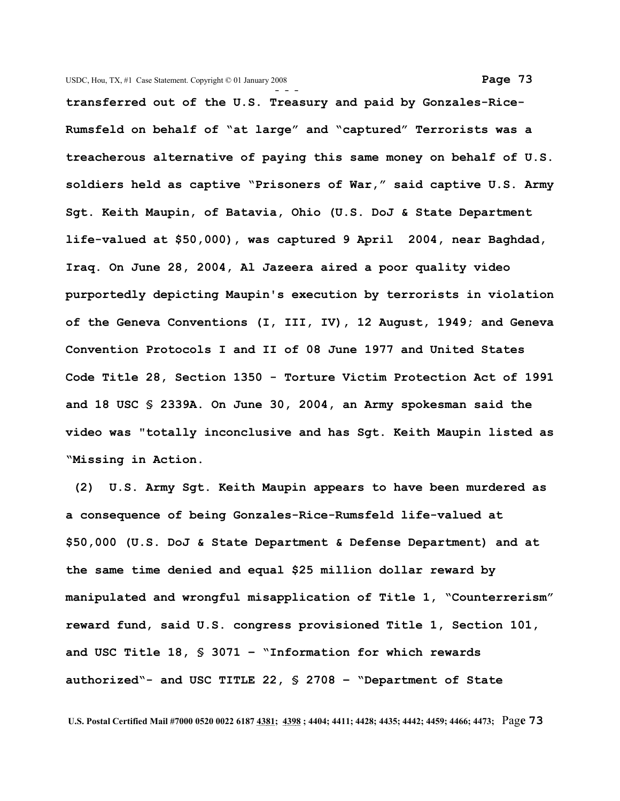**- - transferred out of the U.S. Treasury and paid by Gonzales-Rice-Rumsfeld on behalf of "at large" and "captured" Terrorists was a treacherous alternative of paying this same money on behalf of U.S. soldiers held as captive "Prisoners of War," said captive U.S. Army Sgt. Keith Maupin, of Batavia, Ohio (U.S. DoJ & State Department life-valued at \$50,000), was captured 9 April 2004, near Baghdad, Iraq. On June 28, 2004, Al Jazeera aired a poor quality video purportedly depicting Maupin's execution by terrorists in violation of the Geneva Conventions (I, III, IV), 12 August, 1949; and Geneva Convention Protocols I and II of 08 June 1977 and United States Code Title 28, Section 1350 - Torture Victim Protection Act of 1991 and 18 USC § 2339A. On June 30, 2004, an Army spokesman said the video was "totally inconclusive and has Sgt. Keith Maupin listed as "Missing in Action.** 

 **(2) U.S. Army Sgt. Keith Maupin appears to have been murdered as a consequence of being Gonzales-Rice-Rumsfeld life-valued at \$50,000 (U.S. DoJ & State Department & Defense Department) and at the same time denied and equal \$25 million dollar reward by manipulated and wrongful misapplication of Title 1, "Counterrerism" reward fund, said U.S. congress provisioned Title 1, Section 101, and USC Title 18, § 3071 – "Information for which rewards authorized"- and USC TITLE 22, § 2708 – "Department of State**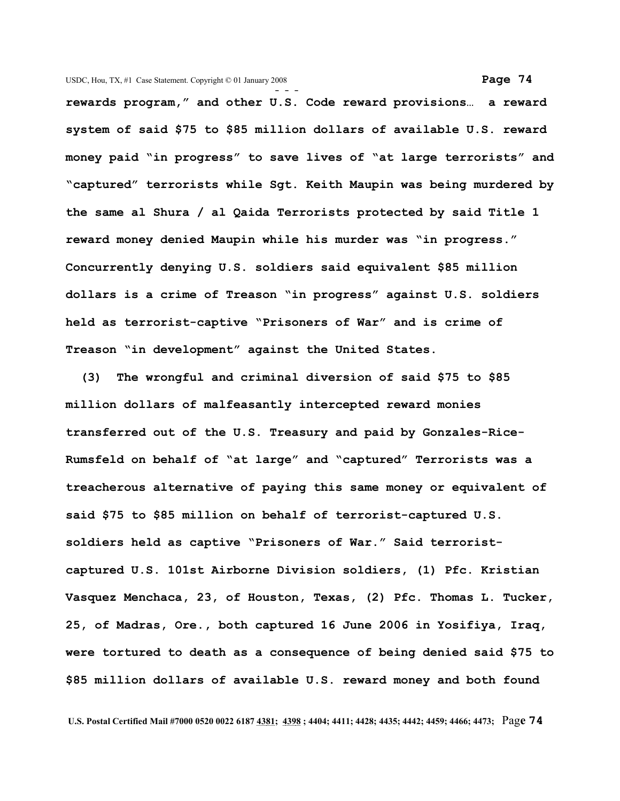**- - rewards program," and other U.S. Code reward provisions… a reward system of said \$75 to \$85 million dollars of available U.S. reward money paid "in progress" to save lives of "at large terrorists" and "captured" terrorists while Sgt. Keith Maupin was being murdered by the same al Shura / al Qaida Terrorists protected by said Title 1 reward money denied Maupin while his murder was "in progress." Concurrently denying U.S. soldiers said equivalent \$85 million dollars is a crime of Treason "in progress" against U.S. soldiers held as terrorist-captive "Prisoners of War" and is crime of Treason "in development" against the United States.** 

 **(3) The wrongful and criminal diversion of said \$75 to \$85 million dollars of malfeasantly intercepted reward monies transferred out of the U.S. Treasury and paid by Gonzales-Rice-Rumsfeld on behalf of "at large" and "captured" Terrorists was a treacherous alternative of paying this same money or equivalent of said \$75 to \$85 million on behalf of terrorist-captured U.S. soldiers held as captive "Prisoners of War." Said terroristcaptured U.S. 101st Airborne Division soldiers, (1) Pfc. Kristian Vasquez Menchaca, 23, of Houston, Texas, (2) Pfc. Thomas L. Tucker, 25, of Madras, Ore., both captured 16 June 2006 in Yosifiya, Iraq, were tortured to death as a consequence of being denied said \$75 to \$85 million dollars of available U.S. reward money and both found**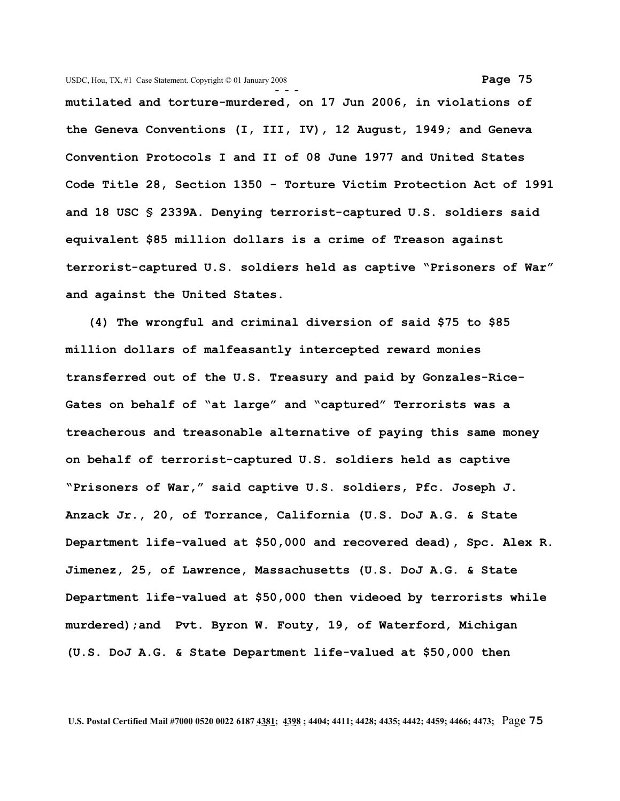**- - mutilated and torture-murdered, on 17 Jun 2006, in violations of the Geneva Conventions (I, III, IV), 12 August, 1949; and Geneva Convention Protocols I and II of 08 June 1977 and United States Code Title 28, Section 1350 - Torture Victim Protection Act of 1991 and 18 USC § 2339A. Denying terrorist-captured U.S. soldiers said equivalent \$85 million dollars is a crime of Treason against terrorist-captured U.S. soldiers held as captive "Prisoners of War" and against the United States.** 

 **(4) The wrongful and criminal diversion of said \$75 to \$85 million dollars of malfeasantly intercepted reward monies transferred out of the U.S. Treasury and paid by Gonzales-Rice-Gates on behalf of "at large" and "captured" Terrorists was a treacherous and treasonable alternative of paying this same money on behalf of terrorist-captured U.S. soldiers held as captive "Prisoners of War," said captive U.S. soldiers, Pfc. Joseph J. Anzack Jr., 20, of Torrance, California (U.S. DoJ A.G. & State Department life-valued at \$50,000 and recovered dead), Spc. Alex R. Jimenez, 25, of Lawrence, Massachusetts (U.S. DoJ A.G. & State Department life-valued at \$50,000 then videoed by terrorists while murdered);and Pvt. Byron W. Fouty, 19, of Waterford, Michigan (U.S. DoJ A.G. & State Department life-valued at \$50,000 then**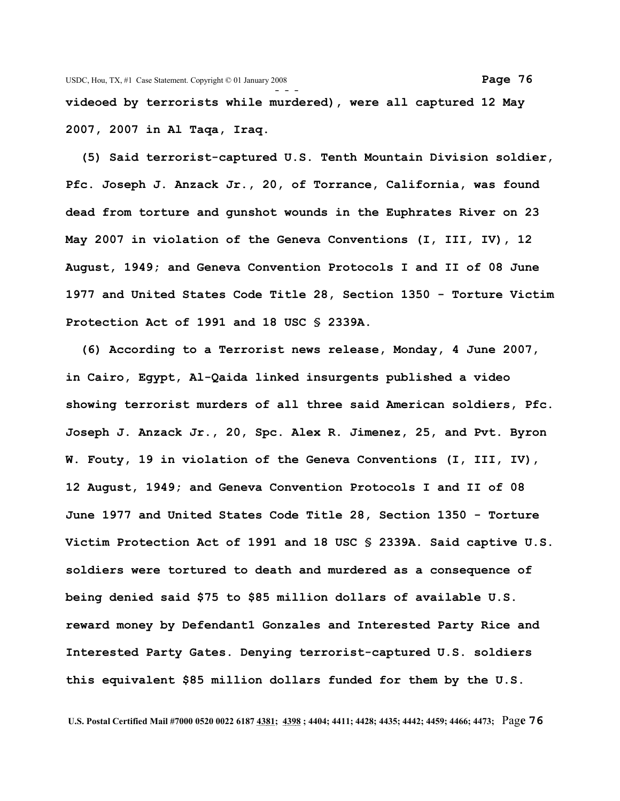**videoed by terrorists while murdered), were all captured 12 May 2007, 2007 in Al Taqa, Iraq.**

 **(5) Said terrorist-captured U.S. Tenth Mountain Division soldier, Pfc. Joseph J. Anzack Jr., 20, of Torrance, California, was found dead from torture and gunshot wounds in the Euphrates River on 23 May 2007 in violation of the Geneva Conventions (I, III, IV), 12 August, 1949; and Geneva Convention Protocols I and II of 08 June 1977 and United States Code Title 28, Section 1350 - Torture Victim Protection Act of 1991 and 18 USC § 2339A.**

 **(6) According to a Terrorist news release, Monday, 4 June 2007, in Cairo, Egypt, Al-Qaida linked insurgents published a video showing terrorist murders of all three said American soldiers, Pfc. Joseph J. Anzack Jr., 20, Spc. Alex R. Jimenez, 25, and Pvt. Byron W. Fouty, 19 in violation of the Geneva Conventions (I, III, IV), 12 August, 1949; and Geneva Convention Protocols I and II of 08 June 1977 and United States Code Title 28, Section 1350 - Torture Victim Protection Act of 1991 and 18 USC § 2339A. Said captive U.S. soldiers were tortured to death and murdered as a consequence of being denied said \$75 to \$85 million dollars of available U.S. reward money by Defendant1 Gonzales and Interested Party Rice and Interested Party Gates. Denying terrorist-captured U.S. soldiers this equivalent \$85 million dollars funded for them by the U.S.**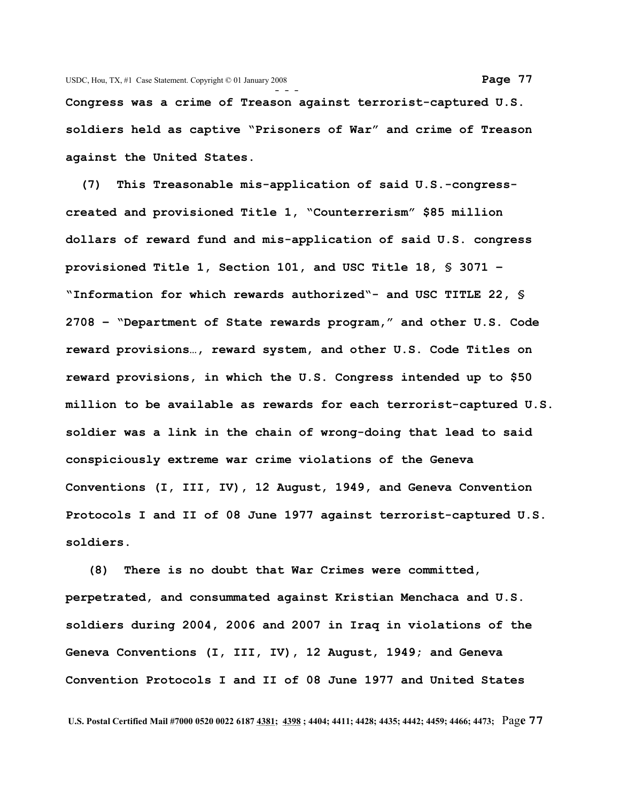**Congress was a crime of Treason against terrorist-captured U.S. soldiers held as captive "Prisoners of War" and crime of Treason against the United States.**

 **(7) This Treasonable mis-application of said U.S.-congresscreated and provisioned Title 1, "Counterrerism" \$85 million dollars of reward fund and mis-application of said U.S. congress provisioned Title 1, Section 101, and USC Title 18, § 3071 – "Information for which rewards authorized"- and USC TITLE 22, § 2708 – "Department of State rewards program," and other U.S. Code reward provisions…, reward system, and other U.S. Code Titles on reward provisions, in which the U.S. Congress intended up to \$50 million to be available as rewards for each terrorist-captured U.S. soldier was a link in the chain of wrong-doing that lead to said conspiciously extreme war crime violations of the Geneva Conventions (I, III, IV), 12 August, 1949, and Geneva Convention Protocols I and II of 08 June 1977 against terrorist-captured U.S. soldiers.** 

 **(8) There is no doubt that War Crimes were committed, perpetrated, and consummated against Kristian Menchaca and U.S. soldiers during 2004, 2006 and 2007 in Iraq in violations of the Geneva Conventions (I, III, IV), 12 August, 1949; and Geneva Convention Protocols I and II of 08 June 1977 and United States**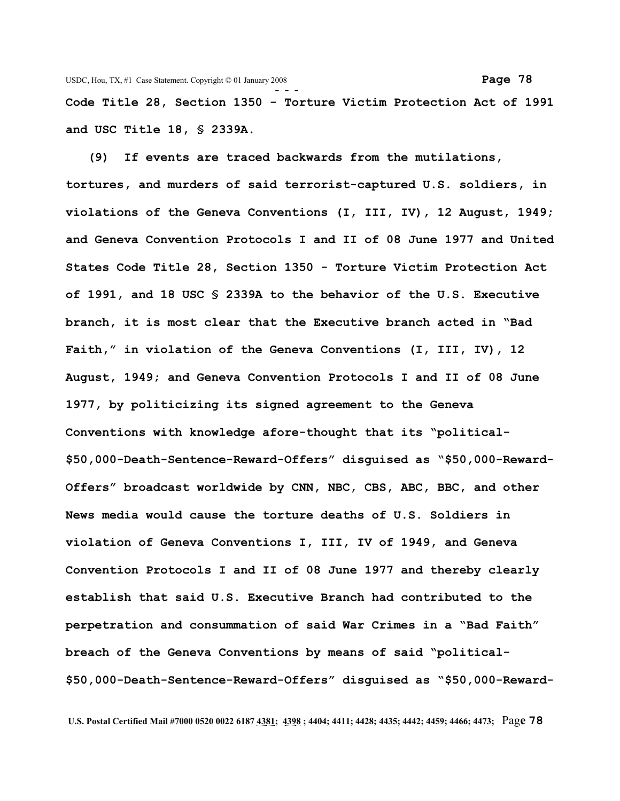**Code Title 28, Section 1350 - Torture Victim Protection Act of 1991 and USC Title 18, § 2339A.**

 **(9) If events are traced backwards from the mutilations, tortures, and murders of said terrorist-captured U.S. soldiers, in violations of the Geneva Conventions (I, III, IV), 12 August, 1949; and Geneva Convention Protocols I and II of 08 June 1977 and United States Code Title 28, Section 1350 - Torture Victim Protection Act of 1991, and 18 USC § 2339A to the behavior of the U.S. Executive branch, it is most clear that the Executive branch acted in "Bad Faith," in violation of the Geneva Conventions (I, III, IV), 12 August, 1949; and Geneva Convention Protocols I and II of 08 June 1977, by politicizing its signed agreement to the Geneva Conventions with knowledge afore-thought that its "political- \$50,000-Death-Sentence-Reward-Offers" disguised as "\$50,000-Reward-Offers" broadcast worldwide by CNN, NBC, CBS, ABC, BBC, and other News media would cause the torture deaths of U.S. Soldiers in violation of Geneva Conventions I, III, IV of 1949, and Geneva Convention Protocols I and II of 08 June 1977 and thereby clearly establish that said U.S. Executive Branch had contributed to the perpetration and consummation of said War Crimes in a "Bad Faith" breach of the Geneva Conventions by means of said "political- \$50,000-Death-Sentence-Reward-Offers" disguised as "\$50,000-Reward-**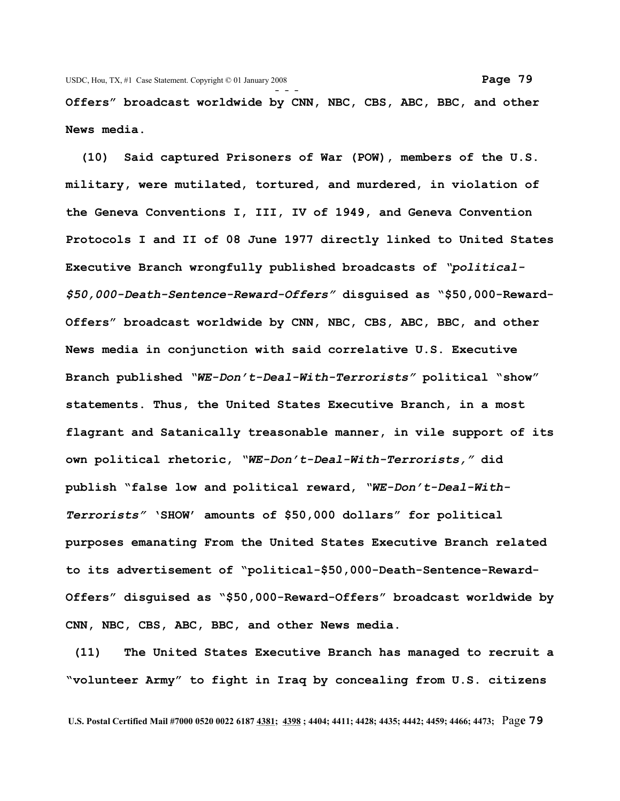**Offers" broadcast worldwide by CNN, NBC, CBS, ABC, BBC, and other News media.** 

 **(10) Said captured Prisoners of War (POW), members of the U.S. military, were mutilated, tortured, and murdered, in violation of the Geneva Conventions I, III, IV of 1949, and Geneva Convention Protocols I and II of 08 June 1977 directly linked to United States Executive Branch wrongfully published broadcasts of** *"political- \$50,000-Death-Sentence-Reward-Offers"* **disguised as "\$50,000-Reward-Offers" broadcast worldwide by CNN, NBC, CBS, ABC, BBC, and other News media in conjunction with said correlative U.S. Executive Branch published** *"WE-Don't-Deal-With-Terrorists"* **political "show" statements. Thus, the United States Executive Branch, in a most flagrant and Satanically treasonable manner, in vile support of its own political rhetoric,** *"WE-Don't-Deal-With-Terrorists,"* **did publish "false low and political reward,** *"WE-Don't-Deal-With-Terrorists"* **'SHOW' amounts of \$50,000 dollars" for political purposes emanating From the United States Executive Branch related to its advertisement of "political-\$50,000-Death-Sentence-Reward-Offers" disguised as "\$50,000-Reward-Offers" broadcast worldwide by CNN, NBC, CBS, ABC, BBC, and other News media.**

**(11) The United States Executive Branch has managed to recruit a "volunteer Army" to fight in Iraq by concealing from U.S. citizens**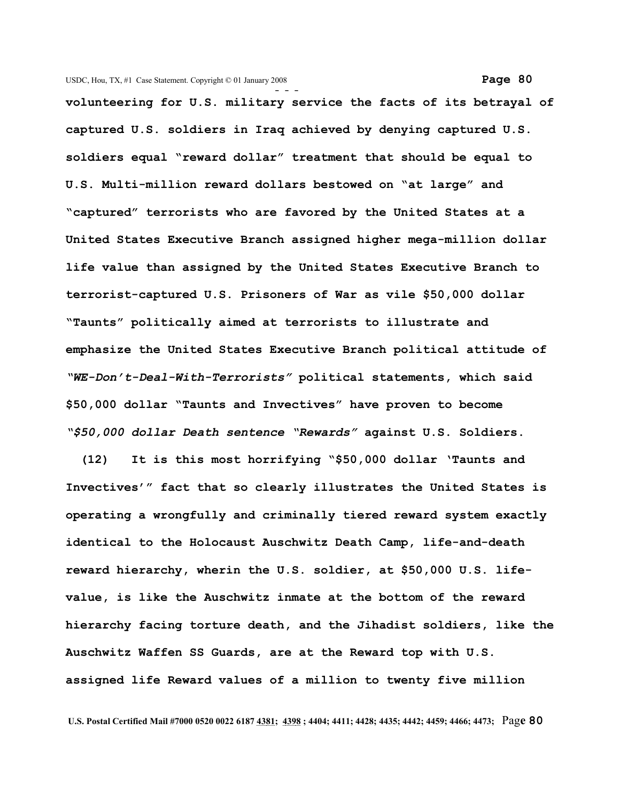**- - volunteering for U.S. military service the facts of its betrayal of captured U.S. soldiers in Iraq achieved by denying captured U.S. soldiers equal "reward dollar" treatment that should be equal to U.S. Multi-million reward dollars bestowed on "at large" and "captured" terrorists who are favored by the United States at a United States Executive Branch assigned higher mega-million dollar life value than assigned by the United States Executive Branch to terrorist-captured U.S. Prisoners of War as vile \$50,000 dollar "Taunts" politically aimed at terrorists to illustrate and emphasize the United States Executive Branch political attitude of** *"WE-Don't-Deal-With-Terrorists"* **political statements, which said \$50,000 dollar "Taunts and Invectives" have proven to become** *"\$50,000 dollar Death sentence "Rewards"* **against U.S. Soldiers.** 

 **(12) It is this most horrifying "\$50,000 dollar 'Taunts and Invectives'" fact that so clearly illustrates the United States is operating a wrongfully and criminally tiered reward system exactly identical to the Holocaust Auschwitz Death Camp, life-and-death reward hierarchy, wherin the U.S. soldier, at \$50,000 U.S. lifevalue, is like the Auschwitz inmate at the bottom of the reward hierarchy facing torture death, and the Jihadist soldiers, like the Auschwitz Waffen SS Guards, are at the Reward top with U.S. assigned life Reward values of a million to twenty five million**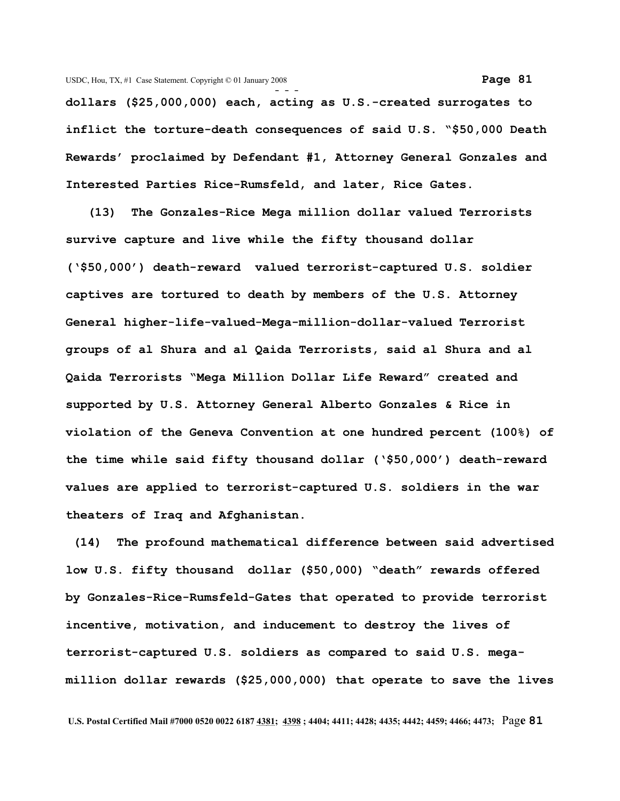**dollars (\$25,000,000) each, acting as U.S.-created surrogates to inflict the torture-death consequences of said U.S. "\$50,000 Death Rewards' proclaimed by Defendant #1, Attorney General Gonzales and Interested Parties Rice-Rumsfeld, and later, Rice Gates.**

 **(13) The Gonzales-Rice Mega million dollar valued Terrorists survive capture and live while the fifty thousand dollar ('\$50,000') death-reward valued terrorist-captured U.S. soldier captives are tortured to death by members of the U.S. Attorney General higher-life-valued-Mega-million-dollar-valued Terrorist groups of al Shura and al Qaida Terrorists, said al Shura and al Qaida Terrorists "Mega Million Dollar Life Reward" created and supported by U.S. Attorney General Alberto Gonzales & Rice in violation of the Geneva Convention at one hundred percent (100%) of the time while said fifty thousand dollar ('\$50,000') death-reward values are applied to terrorist-captured U.S. soldiers in the war theaters of Iraq and Afghanistan.**

 **(14) The profound mathematical difference between said advertised low U.S. fifty thousand dollar (\$50,000) "death" rewards offered by Gonzales-Rice-Rumsfeld-Gates that operated to provide terrorist incentive, motivation, and inducement to destroy the lives of terrorist-captured U.S. soldiers as compared to said U.S. megamillion dollar rewards (\$25,000,000) that operate to save the lives**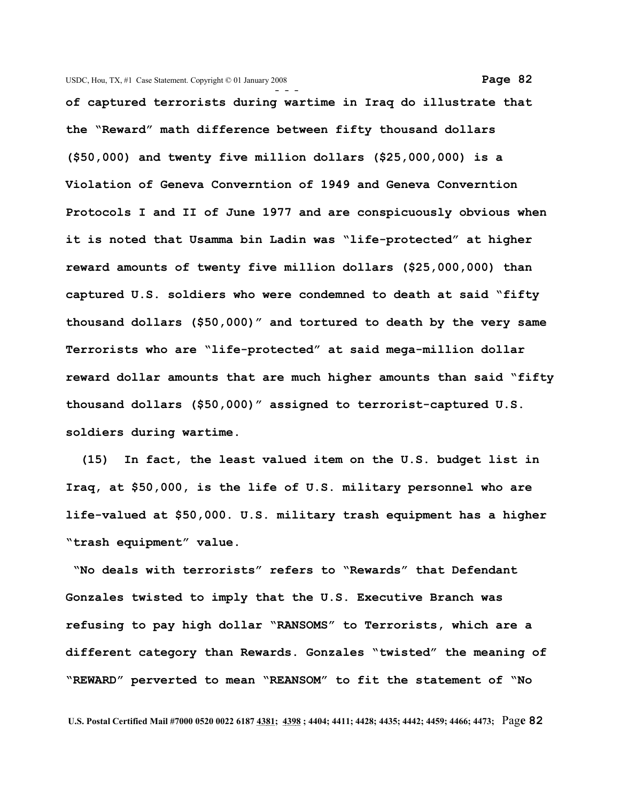**- - of captured terrorists during wartime in Iraq do illustrate that the "Reward" math difference between fifty thousand dollars (\$50,000) and twenty five million dollars (\$25,000,000) is a Violation of Geneva Converntion of 1949 and Geneva Converntion Protocols I and II of June 1977 and are conspicuously obvious when it is noted that Usamma bin Ladin was "life-protected" at higher reward amounts of twenty five million dollars (\$25,000,000) than captured U.S. soldiers who were condemned to death at said "fifty thousand dollars (\$50,000)" and tortured to death by the very same Terrorists who are "life-protected" at said mega-million dollar reward dollar amounts that are much higher amounts than said "fifty thousand dollars (\$50,000)" assigned to terrorist-captured U.S. soldiers during wartime.**

 **(15) In fact, the least valued item on the U.S. budget list in Iraq, at \$50,000, is the life of U.S. military personnel who are life-valued at \$50,000. U.S. military trash equipment has a higher "trash equipment" value.** 

 **"No deals with terrorists" refers to "Rewards" that Defendant Gonzales twisted to imply that the U.S. Executive Branch was refusing to pay high dollar "RANSOMS" to Terrorists, which are a different category than Rewards. Gonzales "twisted" the meaning of "REWARD" perverted to mean "REANSOM" to fit the statement of "No**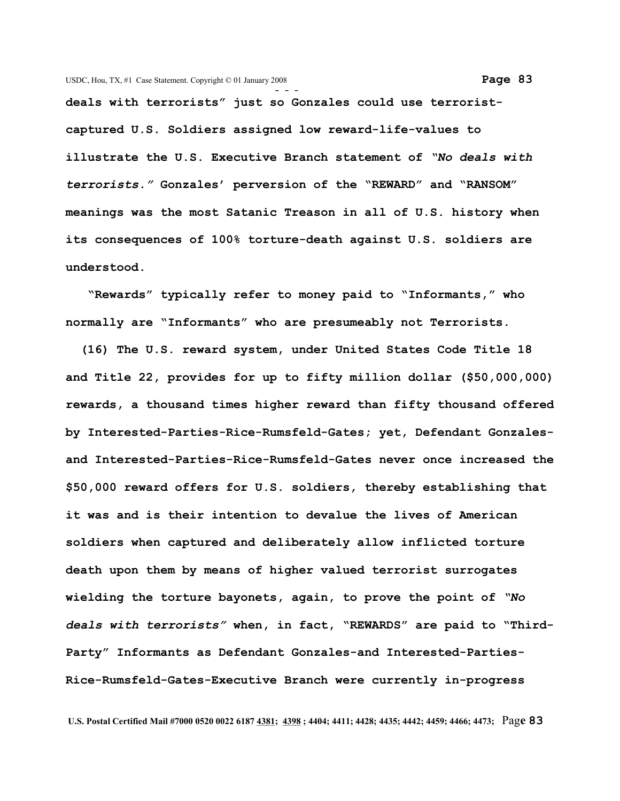**deals with terrorists" just so Gonzales could use terroristcaptured U.S. Soldiers assigned low reward-life-values to illustrate the U.S. Executive Branch statement of** *"No deals with terrorists."* **Gonzales' perversion of the "REWARD" and "RANSOM" meanings was the most Satanic Treason in all of U.S. history when its consequences of 100% torture-death against U.S. soldiers are understood.**

 **"Rewards" typically refer to money paid to "Informants," who normally are "Informants" who are presumeably not Terrorists.**

 **(16) The U.S. reward system, under United States Code Title 18 and Title 22, provides for up to fifty million dollar (\$50,000,000) rewards, a thousand times higher reward than fifty thousand offered by Interested-Parties-Rice-Rumsfeld-Gates; yet, Defendant Gonzalesand Interested-Parties-Rice-Rumsfeld-Gates never once increased the \$50,000 reward offers for U.S. soldiers, thereby establishing that it was and is their intention to devalue the lives of American soldiers when captured and deliberately allow inflicted torture death upon them by means of higher valued terrorist surrogates wielding the torture bayonets, again, to prove the point of** *"No deals with terrorists"* **when, in fact, "REWARDS" are paid to "Third-Party" Informants as Defendant Gonzales-and Interested-Parties-Rice-Rumsfeld-Gates-Executive Branch were currently in-progress**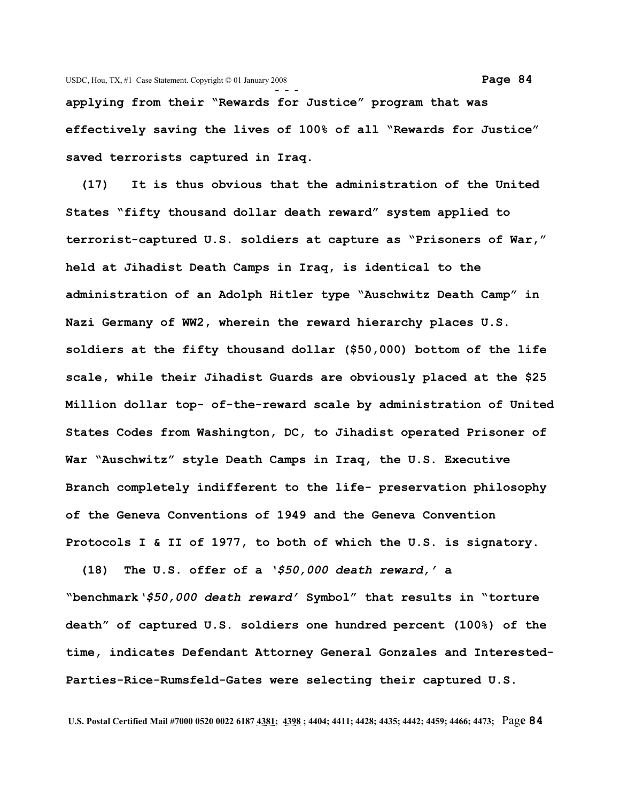**applying from their "Rewards for Justice" program that was effectively saving the lives of 100% of all "Rewards for Justice" saved terrorists captured in Iraq.**

 **(17) It is thus obvious that the administration of the United States "fifty thousand dollar death reward" system applied to terrorist-captured U.S. soldiers at capture as "Prisoners of War," held at Jihadist Death Camps in Iraq, is identical to the administration of an Adolph Hitler type "Auschwitz Death Camp" in Nazi Germany of WW2, wherein the reward hierarchy places U.S. soldiers at the fifty thousand dollar (\$50,000) bottom of the life scale, while their Jihadist Guards are obviously placed at the \$25 Million dollar top- of-the-reward scale by administration of United States Codes from Washington, DC, to Jihadist operated Prisoner of War "Auschwitz" style Death Camps in Iraq, the U.S. Executive Branch completely indifferent to the life- preservation philosophy of the Geneva Conventions of 1949 and the Geneva Convention Protocols I & II of 1977, to both of which the U.S. is signatory.**

 **(18) The U.S. offer of a** *'\$50,000 death reward,'* **a "benchmark***'\$50,000 death reward'* **Symbol" that results in "torture death" of captured U.S. soldiers one hundred percent (100%) of the time, indicates Defendant Attorney General Gonzales and Interested-Parties-Rice-Rumsfeld-Gates were selecting their captured U.S.**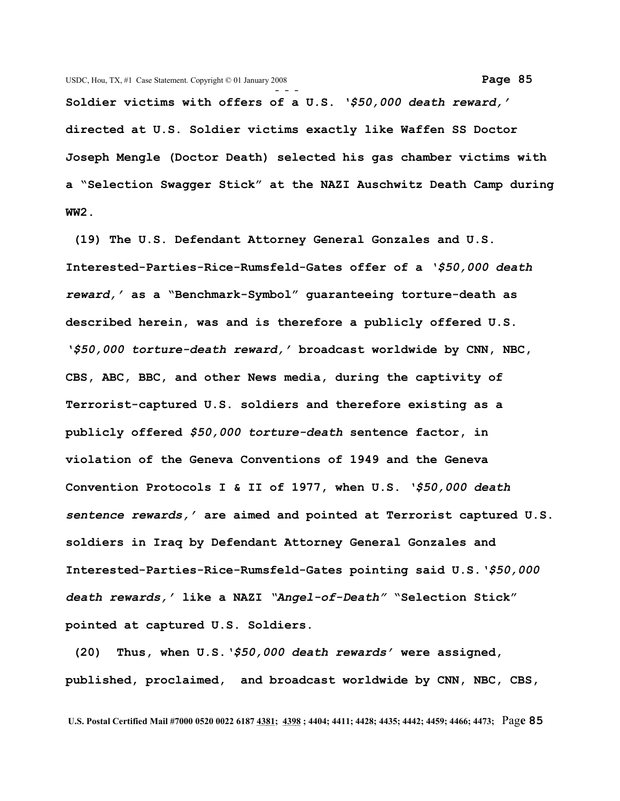**Soldier victims with offers of a U.S.** *'\$50,000 death reward,'* **directed at U.S. Soldier victims exactly like Waffen SS Doctor Joseph Mengle (Doctor Death) selected his gas chamber victims with a "Selection Swagger Stick" at the NAZI Auschwitz Death Camp during WW2.** 

 **(19) The U.S. Defendant Attorney General Gonzales and U.S. Interested-Parties-Rice-Rumsfeld-Gates offer of a** *'\$50,000 death reward,'* **as a "Benchmark-Symbol" guaranteeing torture-death as described herein, was and is therefore a publicly offered U.S.** *'\$50,000 torture-death reward,'* **broadcast worldwide by CNN, NBC, CBS, ABC, BBC, and other News media, during the captivity of Terrorist-captured U.S. soldiers and therefore existing as a publicly offered** *\$50,000 torture-death* **sentence factor, in violation of the Geneva Conventions of 1949 and the Geneva Convention Protocols I & II of 1977, when U.S.** *'\$50,000 death sentence rewards,'* **are aimed and pointed at Terrorist captured U.S. soldiers in Iraq by Defendant Attorney General Gonzales and Interested-Parties-Rice-Rumsfeld-Gates pointing said U.S.***'\$50,000 death rewards,'* **like a NAZI** *"Angel-of-Death"* **"Selection Stick" pointed at captured U.S. Soldiers.**

 **(20) Thus, when U.S.***'\$50,000 death rewards'* **were assigned, published, proclaimed, and broadcast worldwide by CNN, NBC, CBS,**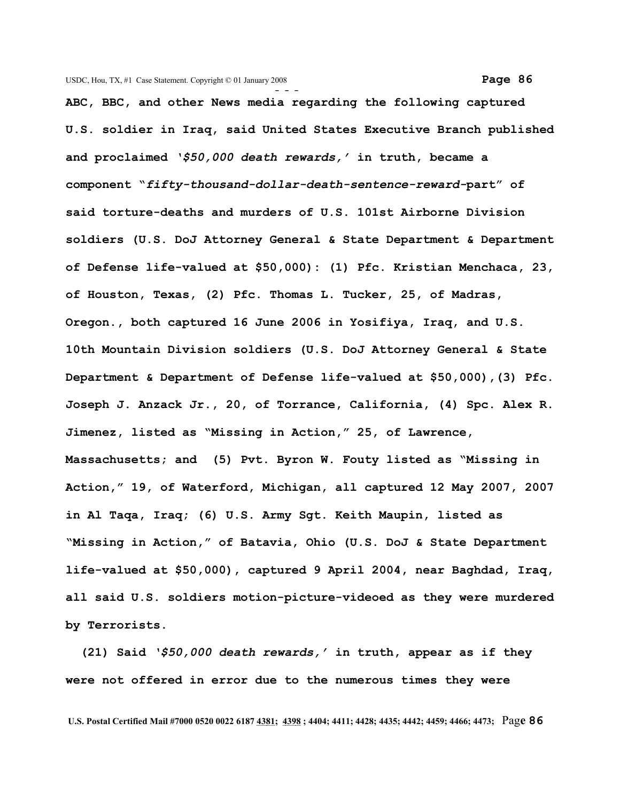**ABC, BBC, and other News media regarding the following captured U.S. soldier in Iraq, said United States Executive Branch published and proclaimed** *'\$50,000 death rewards,'* **in truth, became a component "***fifty-thousand-dollar-death-sentence-reward-***part" of said torture-deaths and murders of U.S. 101st Airborne Division soldiers (U.S. DoJ Attorney General & State Department & Department of Defense life-valued at \$50,000): (1) Pfc. Kristian Menchaca, 23, of Houston, Texas, (2) Pfc. Thomas L. Tucker, 25, of Madras, Oregon., both captured 16 June 2006 in Yosifiya, Iraq, and U.S. 10th Mountain Division soldiers (U.S. DoJ Attorney General & State Department & Department of Defense life-valued at \$50,000),(3) Pfc. Joseph J. Anzack Jr., 20, of Torrance, California, (4) Spc. Alex R. Jimenez, listed as "Missing in Action," 25, of Lawrence, Massachusetts; and (5) Pvt. Byron W. Fouty listed as "Missing in Action," 19, of Waterford, Michigan, all captured 12 May 2007, 2007 in Al Taqa, Iraq; (6) U.S. Army Sgt. Keith Maupin, listed as "Missing in Action," of Batavia, Ohio (U.S. DoJ & State Department life-valued at \$50,000), captured 9 April 2004, near Baghdad, Iraq, all said U.S. soldiers motion-picture-videoed as they were murdered by Terrorists.** 

 **(21) Said** *'\$50,000 death rewards,'* **in truth, appear as if they were not offered in error due to the numerous times they were**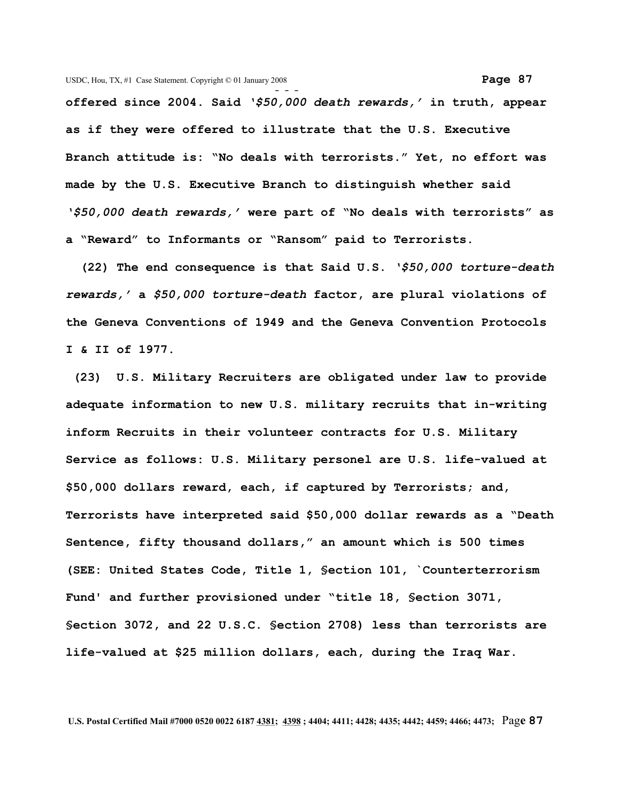**- - offered since 2004. Said** *'\$50,000 death rewards,'* **in truth, appear as if they were offered to illustrate that the U.S. Executive Branch attitude is: "No deals with terrorists." Yet, no effort was made by the U.S. Executive Branch to distinguish whether said** *'\$50,000 death rewards,'* **were part of "No deals with terrorists" as a "Reward" to Informants or "Ransom" paid to Terrorists.**

 **(22) The end consequence is that Said U.S.** *'\$50,000 torture-death rewards,'* **a** *\$50,000 torture-death* **factor, are plural violations of the Geneva Conventions of 1949 and the Geneva Convention Protocols I & II of 1977.**

 **(23) U.S. Military Recruiters are obligated under law to provide adequate information to new U.S. military recruits that in-writing inform Recruits in their volunteer contracts for U.S. Military Service as follows: U.S. Military personel are U.S. life-valued at \$50,000 dollars reward, each, if captured by Terrorists; and, Terrorists have interpreted said \$50,000 dollar rewards as a "Death Sentence, fifty thousand dollars," an amount which is 500 times (SEE: United States Code, Title 1, §ection 101, `Counterterrorism Fund' and further provisioned under "title 18, §ection 3071, §ection 3072, and 22 U.S.C. §ection 2708) less than terrorists are life-valued at \$25 million dollars, each, during the Iraq War.**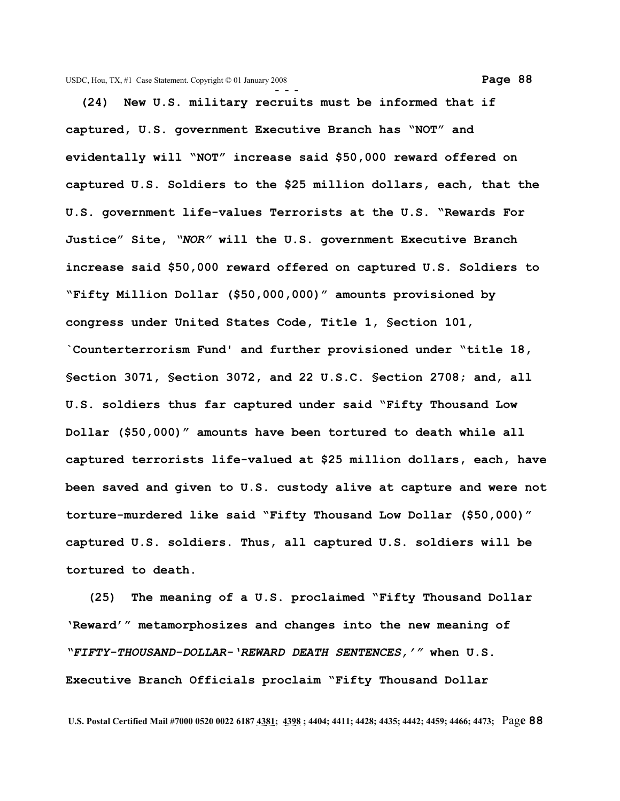**(24) New U.S. military recruits must be informed that if captured, U.S. government Executive Branch has "NOT" and evidentally will "NOT" increase said \$50,000 reward offered on captured U.S. Soldiers to the \$25 million dollars, each, that the U.S. government life-values Terrorists at the U.S. "Rewards For Justice" Site,** *"NOR"* **will the U.S. government Executive Branch increase said \$50,000 reward offered on captured U.S. Soldiers to "Fifty Million Dollar (\$50,000,000)" amounts provisioned by congress under United States Code, Title 1, §ection 101, `Counterterrorism Fund' and further provisioned under "title 18, §ection 3071, §ection 3072, and 22 U.S.C. §ection 2708; and, all U.S. soldiers thus far captured under said "Fifty Thousand Low Dollar (\$50,000)" amounts have been tortured to death while all captured terrorists life-valued at \$25 million dollars, each, have been saved and given to U.S. custody alive at capture and were not torture-murdered like said "Fifty Thousand Low Dollar (\$50,000)" captured U.S. soldiers. Thus, all captured U.S. soldiers will be tortured to death.**

 **(25) The meaning of a U.S. proclaimed "Fifty Thousand Dollar 'Reward'" metamorphosizes and changes into the new meaning of** *"FIFTY-THOUSAND-DOLLAR-'REWARD DEATH SENTENCES,'"* **when U.S. Executive Branch Officials proclaim "Fifty Thousand Dollar**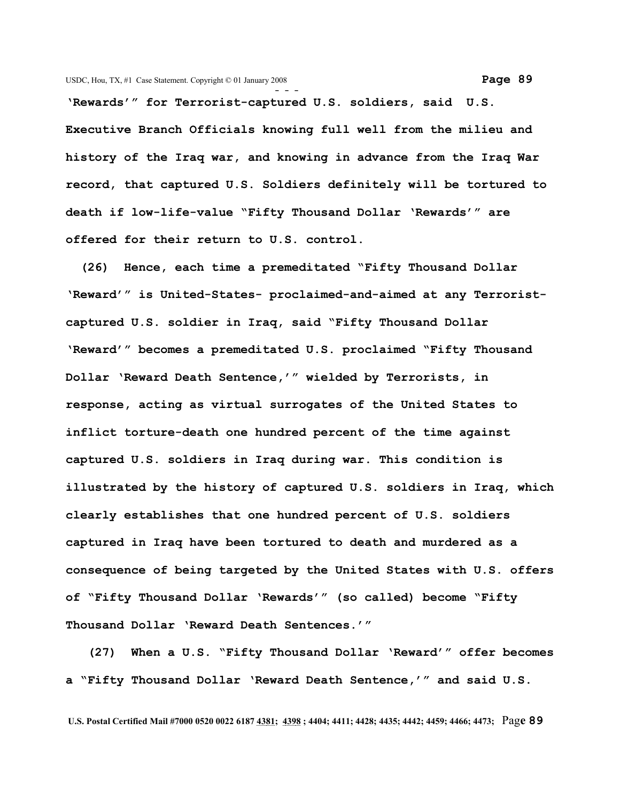**'Rewards'" for Terrorist-captured U.S. soldiers, said U.S. Executive Branch Officials knowing full well from the milieu and history of the Iraq war, and knowing in advance from the Iraq War record, that captured U.S. Soldiers definitely will be tortured to death if low-life-value "Fifty Thousand Dollar 'Rewards'" are offered for their return to U.S. control.** 

 **(26) Hence, each time a premeditated "Fifty Thousand Dollar 'Reward'" is United-States- proclaimed-and-aimed at any Terroristcaptured U.S. soldier in Iraq, said "Fifty Thousand Dollar 'Reward'" becomes a premeditated U.S. proclaimed "Fifty Thousand Dollar 'Reward Death Sentence,'" wielded by Terrorists, in response, acting as virtual surrogates of the United States to inflict torture-death one hundred percent of the time against captured U.S. soldiers in Iraq during war. This condition is illustrated by the history of captured U.S. soldiers in Iraq, which clearly establishes that one hundred percent of U.S. soldiers captured in Iraq have been tortured to death and murdered as a consequence of being targeted by the United States with U.S. offers of "Fifty Thousand Dollar 'Rewards'" (so called) become "Fifty Thousand Dollar 'Reward Death Sentences.'"**

 **(27) When a U.S. "Fifty Thousand Dollar 'Reward'" offer becomes a "Fifty Thousand Dollar 'Reward Death Sentence,'" and said U.S.**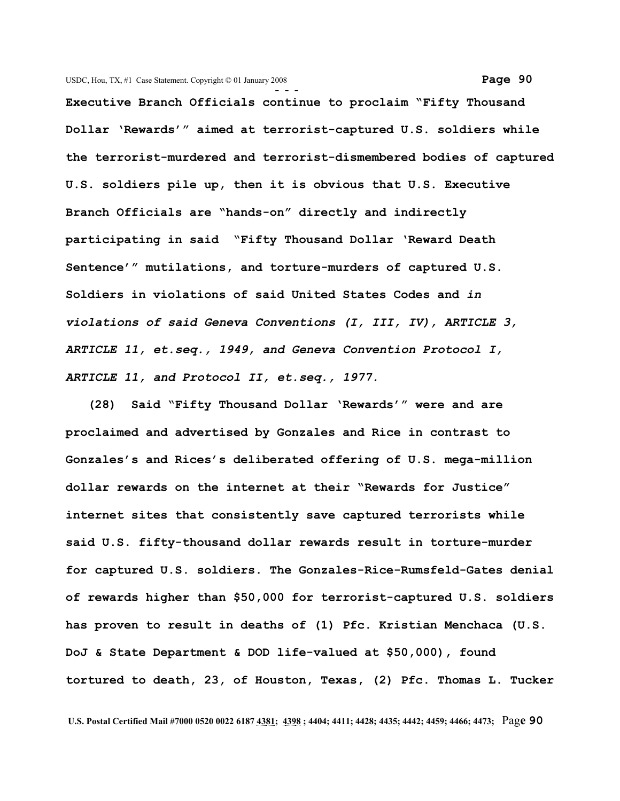**- - - Executive Branch Officials continue to proclaim "Fifty Thousand Dollar 'Rewards'" aimed at terrorist-captured U.S. soldiers while the terrorist-murdered and terrorist-dismembered bodies of captured U.S. soldiers pile up, then it is obvious that U.S. Executive Branch Officials are "hands-on" directly and indirectly participating in said "Fifty Thousand Dollar 'Reward Death Sentence'" mutilations, and torture-murders of captured U.S. Soldiers in violations of said United States Codes and** *in violations of said Geneva Conventions (I, III, IV), ARTICLE 3, ARTICLE 11, et.seq., 1949, and Geneva Convention Protocol I, ARTICLE 11, and Protocol II, et.seq., 1977.*

 **(28) Said "Fifty Thousand Dollar 'Rewards'" were and are proclaimed and advertised by Gonzales and Rice in contrast to Gonzales's and Rices's deliberated offering of U.S. mega-million dollar rewards on the internet at their "Rewards for Justice" internet sites that consistently save captured terrorists while said U.S. fifty-thousand dollar rewards result in torture-murder for captured U.S. soldiers. The Gonzales-Rice-Rumsfeld-Gates denial of rewards higher than \$50,000 for terrorist-captured U.S. soldiers has proven to result in deaths of (1) Pfc. Kristian Menchaca (U.S. DoJ & State Department & DOD life-valued at \$50,000), found tortured to death, 23, of Houston, Texas, (2) Pfc. Thomas L. Tucker**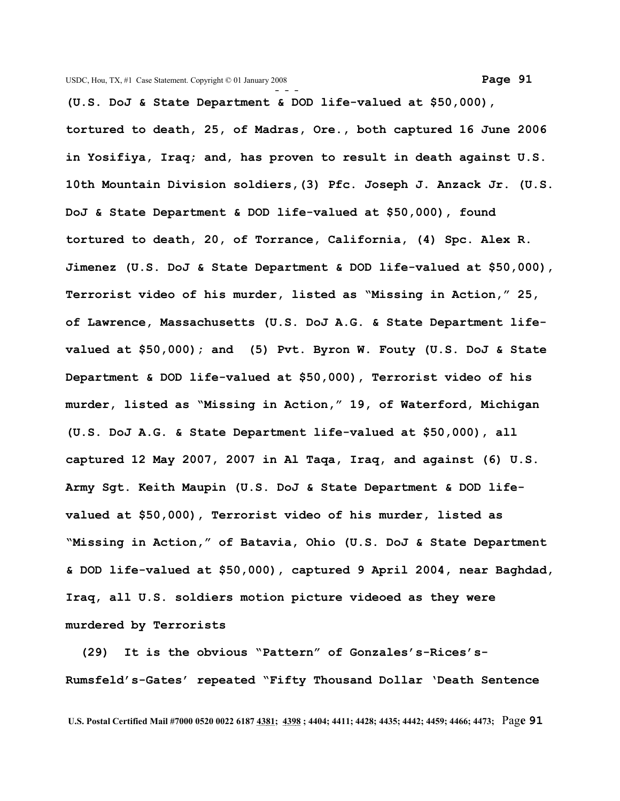**(U.S. DoJ & State Department & DOD life-valued at \$50,000), tortured to death, 25, of Madras, Ore., both captured 16 June 2006 in Yosifiya, Iraq; and, has proven to result in death against U.S. 10th Mountain Division soldiers,(3) Pfc. Joseph J. Anzack Jr. (U.S. DoJ & State Department & DOD life-valued at \$50,000), found tortured to death, 20, of Torrance, California, (4) Spc. Alex R. Jimenez (U.S. DoJ & State Department & DOD life-valued at \$50,000), Terrorist video of his murder, listed as "Missing in Action," 25, of Lawrence, Massachusetts (U.S. DoJ A.G. & State Department lifevalued at \$50,000); and (5) Pvt. Byron W. Fouty (U.S. DoJ & State Department & DOD life-valued at \$50,000), Terrorist video of his murder, listed as "Missing in Action," 19, of Waterford, Michigan (U.S. DoJ A.G. & State Department life-valued at \$50,000), all captured 12 May 2007, 2007 in Al Taqa, Iraq, and against (6) U.S. Army Sgt. Keith Maupin (U.S. DoJ & State Department & DOD lifevalued at \$50,000), Terrorist video of his murder, listed as "Missing in Action," of Batavia, Ohio (U.S. DoJ & State Department & DOD life-valued at \$50,000), captured 9 April 2004, near Baghdad, Iraq, all U.S. soldiers motion picture videoed as they were murdered by Terrorists** 

 **(29) It is the obvious "Pattern" of Gonzales's-Rices's-Rumsfeld's-Gates' repeated "Fifty Thousand Dollar 'Death Sentence**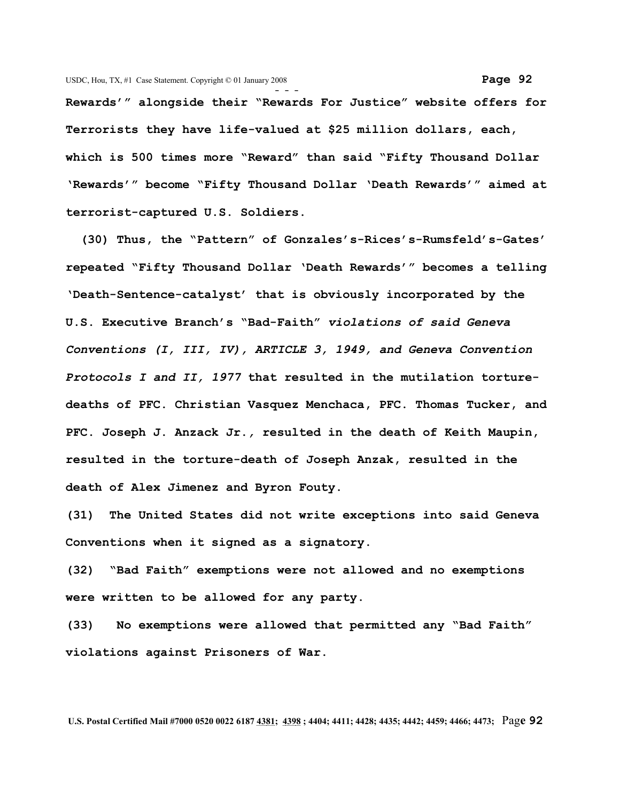**Rewards'" alongside their "Rewards For Justice" website offers for Terrorists they have life-valued at \$25 million dollars, each, which is 500 times more "Reward" than said "Fifty Thousand Dollar 'Rewards'" become "Fifty Thousand Dollar 'Death Rewards'" aimed at terrorist-captured U.S. Soldiers.** 

 **(30) Thus, the "Pattern" of Gonzales's-Rices's-Rumsfeld's-Gates' repeated "Fifty Thousand Dollar 'Death Rewards'" becomes a telling 'Death-Sentence-catalyst' that is obviously incorporated by the U.S. Executive Branch's "Bad-Faith"** *violations of said Geneva Conventions (I, III, IV), ARTICLE 3, 1949, and Geneva Convention Protocols I and II, 1977* **that resulted in the mutilation torturedeaths of PFC. Christian Vasquez Menchaca, PFC. Thomas Tucker, and PFC. Joseph J. Anzack Jr.***,* **resulted in the death of Keith Maupin, resulted in the torture-death of Joseph Anzak, resulted in the death of Alex Jimenez and Byron Fouty.**

**(31) The United States did not write exceptions into said Geneva Conventions when it signed as a signatory.**

**(32) "Bad Faith" exemptions were not allowed and no exemptions were written to be allowed for any party.** 

**(33) No exemptions were allowed that permitted any "Bad Faith" violations against Prisoners of War.**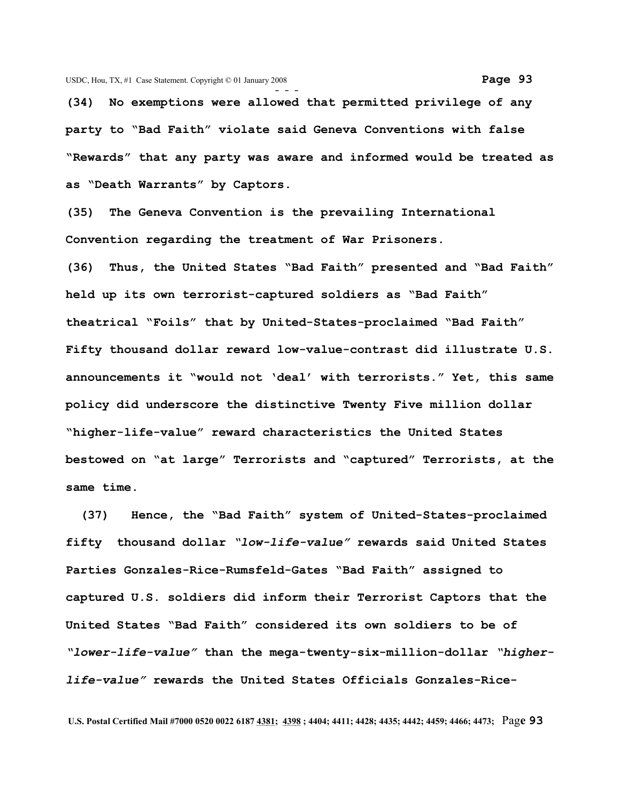**(34) No exemptions were allowed that permitted privilege of any party to "Bad Faith" violate said Geneva Conventions with false "Rewards" that any party was aware and informed would be treated as as "Death Warrants" by Captors.**

**(35) The Geneva Convention is the prevailing International Convention regarding the treatment of War Prisoners.** 

**(36) Thus, the United States "Bad Faith" presented and "Bad Faith" held up its own terrorist-captured soldiers as "Bad Faith" theatrical "Foils" that by United-States-proclaimed "Bad Faith" Fifty thousand dollar reward low-value-contrast did illustrate U.S. announcements it "would not 'deal' with terrorists." Yet, this same policy did underscore the distinctive Twenty Five million dollar "higher-life-value" reward characteristics the United States bestowed on "at large" Terrorists and "captured" Terrorists, at the same time.**

 **(37) Hence, the "Bad Faith" system of United-States-proclaimed fifty thousand dollar** *"low-life-value"* **rewards said United States Parties Gonzales-Rice-Rumsfeld-Gates "Bad Faith" assigned to captured U.S. soldiers did inform their Terrorist Captors that the United States "Bad Faith" considered its own soldiers to be of** *"lower-life-value"* **than the mega-twenty-six-million-dollar** *"higherlife-value"* **rewards the United States Officials Gonzales-Rice-**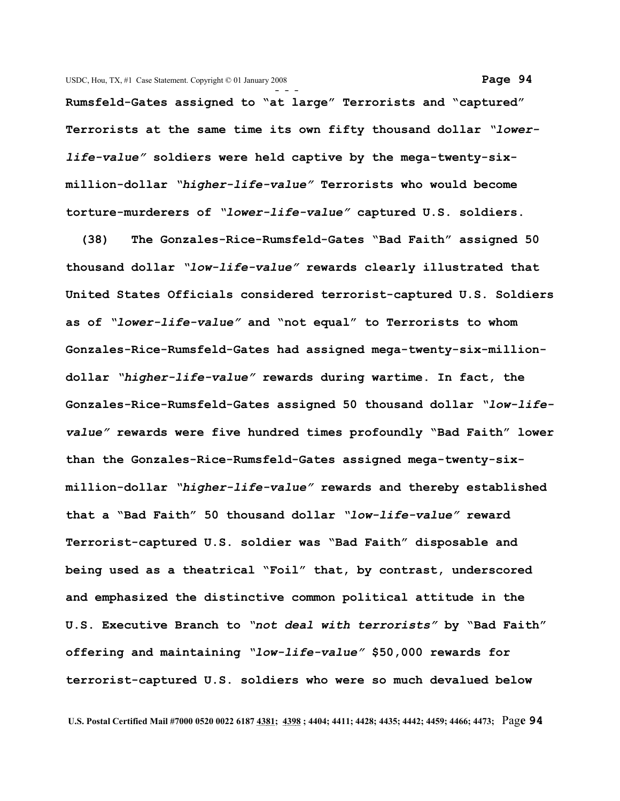**- - - Rumsfeld-Gates assigned to "at large" Terrorists and "captured" Terrorists at the same time its own fifty thousand dollar** *"lowerlife-value"* **soldiers were held captive by the mega-twenty-sixmillion-dollar** *"higher-life-value"* **Terrorists who would become torture-murderers of** *"lower-life-value"* **captured U.S. soldiers.** 

 **(38) The Gonzales-Rice-Rumsfeld-Gates "Bad Faith" assigned 50 thousand dollar** *"low-life-value"* **rewards clearly illustrated that United States Officials considered terrorist-captured U.S. Soldiers as of** *"lower-life-value"* **and "not equal" to Terrorists to whom Gonzales-Rice-Rumsfeld-Gates had assigned mega-twenty-six-milliondollar** *"higher-life-value"* **rewards during wartime. In fact, the Gonzales-Rice-Rumsfeld-Gates assigned 50 thousand dollar** *"low-lifevalue"* **rewards were five hundred times profoundly "Bad Faith" lower than the Gonzales-Rice-Rumsfeld-Gates assigned mega-twenty-sixmillion-dollar** *"higher-life-value"* **rewards and thereby established that a "Bad Faith" 50 thousand dollar** *"low-life-value"* **reward Terrorist-captured U.S. soldier was "Bad Faith" disposable and being used as a theatrical "Foil" that, by contrast, underscored and emphasized the distinctive common political attitude in the U.S. Executive Branch to** *"not deal with terrorists"* **by "Bad Faith" offering and maintaining** *"low-life-value"* **\$50,000 rewards for terrorist-captured U.S. soldiers who were so much devalued below**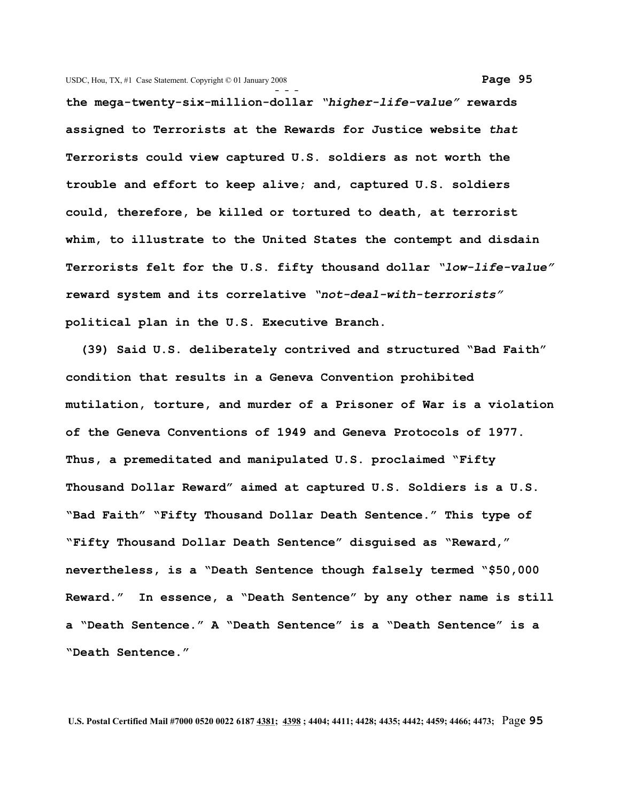**- - the mega-twenty-six-million-dollar** *"higher-life-value"* **rewards assigned to Terrorists at the Rewards for Justice website** *that* **Terrorists could view captured U.S. soldiers as not worth the trouble and effort to keep alive; and, captured U.S. soldiers could, therefore, be killed or tortured to death, at terrorist whim, to illustrate to the United States the contempt and disdain Terrorists felt for the U.S. fifty thousand dollar** *"low-life-value"* **reward system and its correlative** *"not-deal-with-terrorists"* **political plan in the U.S. Executive Branch.**

 **(39) Said U.S. deliberately contrived and structured "Bad Faith" condition that results in a Geneva Convention prohibited mutilation, torture, and murder of a Prisoner of War is a violation of the Geneva Conventions of 1949 and Geneva Protocols of 1977. Thus, a premeditated and manipulated U.S. proclaimed "Fifty Thousand Dollar Reward" aimed at captured U.S. Soldiers is a U.S. "Bad Faith" "Fifty Thousand Dollar Death Sentence." This type of "Fifty Thousand Dollar Death Sentence" disguised as "Reward," nevertheless, is a "Death Sentence though falsely termed "\$50,000 Reward." In essence, a "Death Sentence" by any other name is still a "Death Sentence." A "Death Sentence" is a "Death Sentence" is a "Death Sentence."**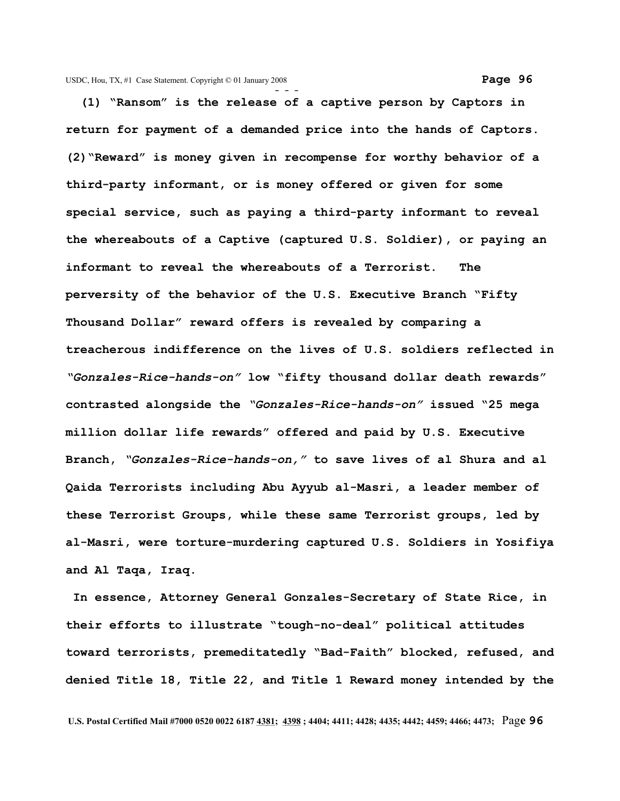**- - - (1) "Ransom" is the release of a captive person by Captors in return for payment of a demanded price into the hands of Captors. (2)"Reward" is money given in recompense for worthy behavior of a third-party informant, or is money offered or given for some special service, such as paying a third-party informant to reveal the whereabouts of a Captive (captured U.S. Soldier), or paying an informant to reveal the whereabouts of a Terrorist. The perversity of the behavior of the U.S. Executive Branch "Fifty Thousand Dollar" reward offers is revealed by comparing a treacherous indifference on the lives of U.S. soldiers reflected in** *"Gonzales-Rice-hands-on"* **low "fifty thousand dollar death rewards" contrasted alongside the** *"Gonzales-Rice-hands-on"* **issued "25 mega million dollar life rewards" offered and paid by U.S. Executive Branch,** *"Gonzales-Rice-hands-on,"* **to save lives of al Shura and al Qaida Terrorists including Abu Ayyub al-Masri, a leader member of these Terrorist Groups, while these same Terrorist groups, led by al-Masri, were torture-murdering captured U.S. Soldiers in Yosifiya and Al Taqa, Iraq.**

 **In essence, Attorney General Gonzales-Secretary of State Rice, in their efforts to illustrate "tough-no-deal" political attitudes toward terrorists, premeditatedly "Bad-Faith" blocked, refused, and denied Title 18, Title 22, and Title 1 Reward money intended by the**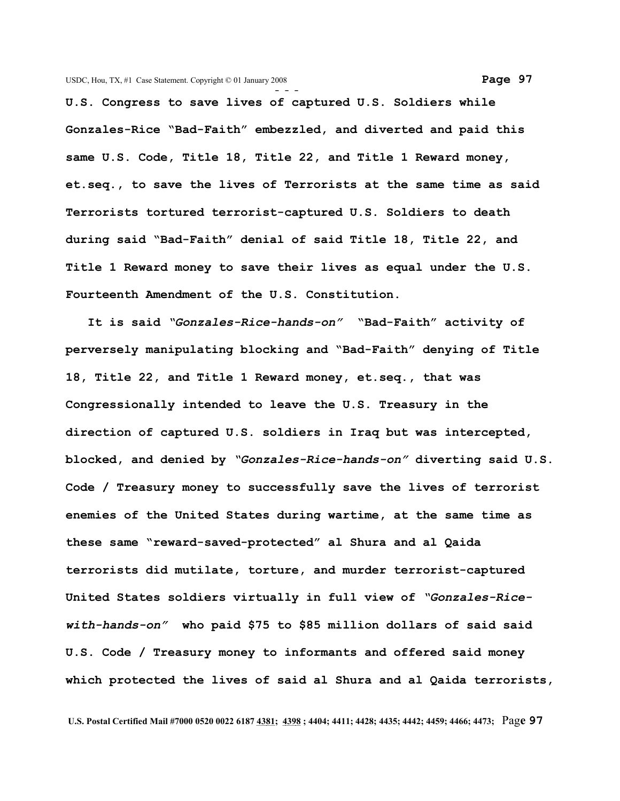**U.S. Congress to save lives of captured U.S. Soldiers while Gonzales-Rice "Bad-Faith" embezzled, and diverted and paid this same U.S. Code, Title 18, Title 22, and Title 1 Reward money, et.seq., to save the lives of Terrorists at the same time as said Terrorists tortured terrorist-captured U.S. Soldiers to death during said "Bad-Faith" denial of said Title 18, Title 22, and Title 1 Reward money to save their lives as equal under the U.S. Fourteenth Amendment of the U.S. Constitution.** 

 **It is said** *"Gonzales-Rice-hands-on"* **"Bad-Faith" activity of perversely manipulating blocking and "Bad-Faith" denying of Title 18, Title 22, and Title 1 Reward money, et.seq., that was Congressionally intended to leave the U.S. Treasury in the direction of captured U.S. soldiers in Iraq but was intercepted, blocked, and denied by** *"Gonzales-Rice-hands-on"* **diverting said U.S. Code / Treasury money to successfully save the lives of terrorist enemies of the United States during wartime, at the same time as these same "reward-saved-protected" al Shura and al Qaida terrorists did mutilate, torture, and murder terrorist-captured United States soldiers virtually in full view of** *"Gonzales-Ricewith-hands-on"* **who paid \$75 to \$85 million dollars of said said U.S. Code / Treasury money to informants and offered said money which protected the lives of said al Shura and al Qaida terrorists,**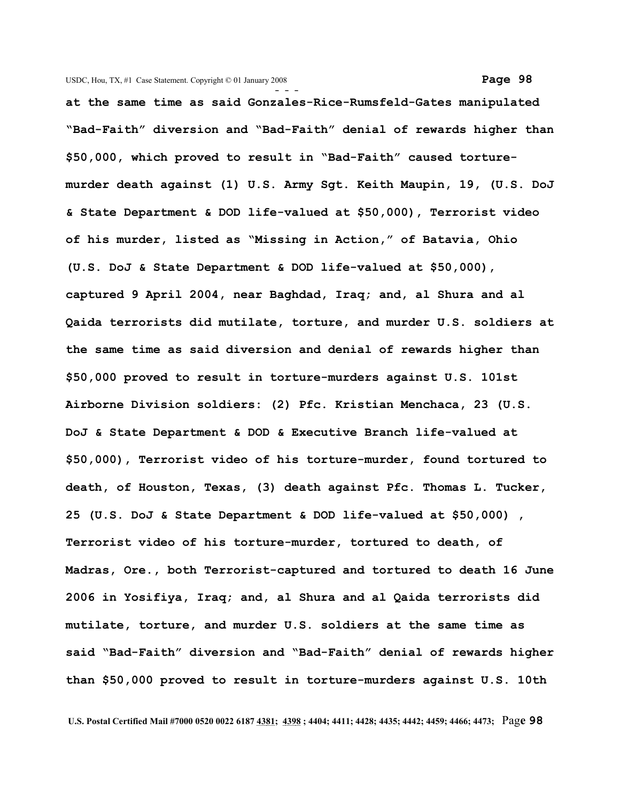**at the same time as said Gonzales-Rice-Rumsfeld-Gates manipulated "Bad-Faith" diversion and "Bad-Faith" denial of rewards higher than \$50,000, which proved to result in "Bad-Faith" caused torturemurder death against (1) U.S. Army Sgt. Keith Maupin, 19, (U.S. DoJ & State Department & DOD life-valued at \$50,000), Terrorist video of his murder, listed as "Missing in Action," of Batavia, Ohio (U.S. DoJ & State Department & DOD life-valued at \$50,000), captured 9 April 2004, near Baghdad, Iraq; and, al Shura and al Qaida terrorists did mutilate, torture, and murder U.S. soldiers at the same time as said diversion and denial of rewards higher than \$50,000 proved to result in torture-murders against U.S. 101st Airborne Division soldiers: (2) Pfc. Kristian Menchaca, 23 (U.S. DoJ & State Department & DOD & Executive Branch life-valued at \$50,000), Terrorist video of his torture-murder, found tortured to death, of Houston, Texas, (3) death against Pfc. Thomas L. Tucker, 25 (U.S. DoJ & State Department & DOD life-valued at \$50,000) , Terrorist video of his torture-murder, tortured to death, of Madras, Ore., both Terrorist-captured and tortured to death 16 June 2006 in Yosifiya, Iraq; and, al Shura and al Qaida terrorists did mutilate, torture, and murder U.S. soldiers at the same time as said "Bad-Faith" diversion and "Bad-Faith" denial of rewards higher than \$50,000 proved to result in torture-murders against U.S. 10th**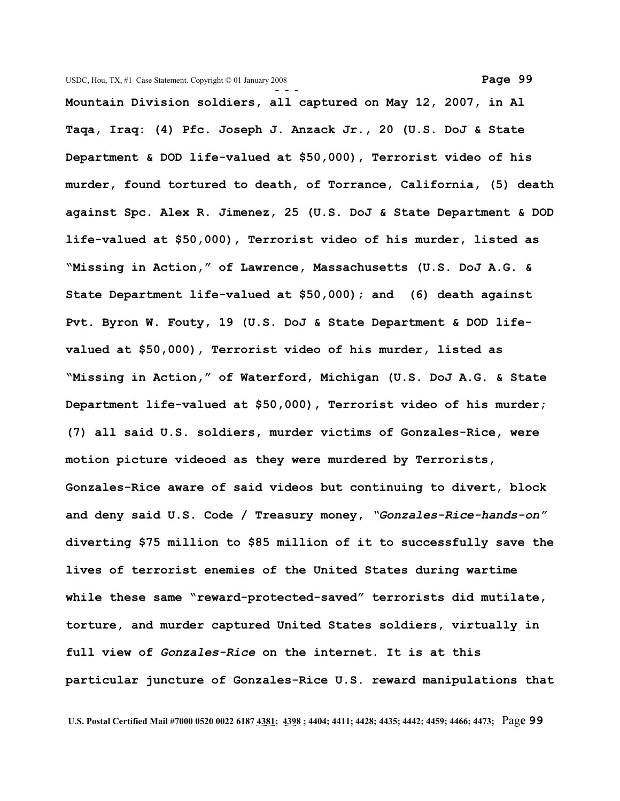**Mountain Division soldiers, all captured on May 12, 2007, in Al Taqa, Iraq: (4) Pfc. Joseph J. Anzack Jr., 20 (U.S. DoJ & State Department & DOD life-valued at \$50,000), Terrorist video of his murder, found tortured to death, of Torrance, California, (5) death against Spc. Alex R. Jimenez, 25 (U.S. DoJ & State Department & DOD life-valued at \$50,000), Terrorist video of his murder, listed as "Missing in Action," of Lawrence, Massachusetts (U.S. DoJ A.G. & State Department life-valued at \$50,000); and (6) death against Pvt. Byron W. Fouty, 19 (U.S. DoJ & State Department & DOD lifevalued at \$50,000), Terrorist video of his murder, listed as "Missing in Action," of Waterford, Michigan (U.S. DoJ A.G. & State Department life-valued at \$50,000), Terrorist video of his murder; (7) all said U.S. soldiers, murder victims of Gonzales-Rice, were motion picture videoed as they were murdered by Terrorists, Gonzales-Rice aware of said videos but continuing to divert, block and deny said U.S. Code / Treasury money,** *"Gonzales-Rice-hands-on"* **diverting \$75 million to \$85 million of it to successfully save the lives of terrorist enemies of the United States during wartime while these same "reward-protected-saved" terrorists did mutilate, torture, and murder captured United States soldiers, virtually in full view of** *Gonzales-Rice* **on the internet. It is at this particular juncture of Gonzales-Rice U.S. reward manipulations that**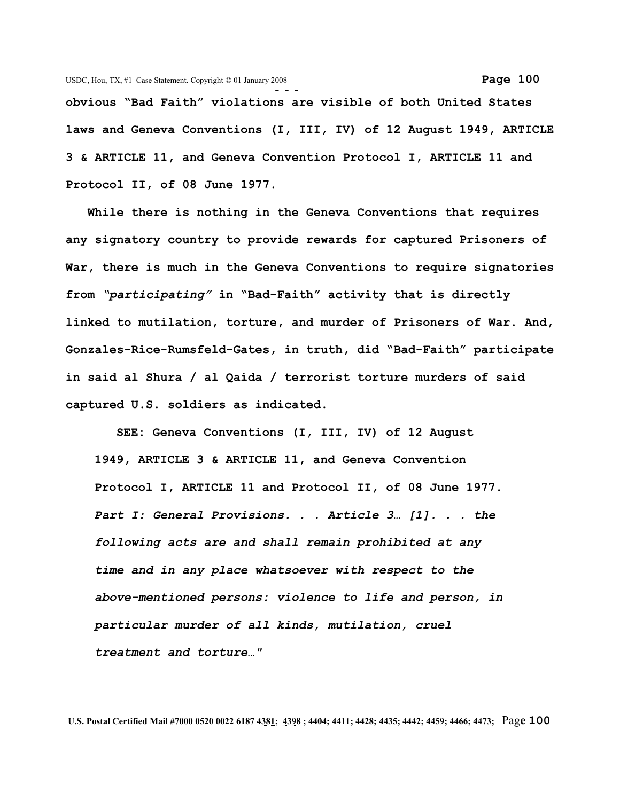**- - obvious "Bad Faith" violations are visible of both United States laws and Geneva Conventions (I, III, IV) of 12 August 1949, ARTICLE 3 & ARTICLE 11, and Geneva Convention Protocol I, ARTICLE 11 and Protocol II, of 08 June 1977.**

 **While there is nothing in the Geneva Conventions that requires any signatory country to provide rewards for captured Prisoners of War, there is much in the Geneva Conventions to require signatories from** *"participating"* **in "Bad-Faith" activity that is directly linked to mutilation, torture, and murder of Prisoners of War. And, Gonzales-Rice-Rumsfeld-Gates, in truth, did "Bad-Faith" participate in said al Shura / al Qaida / terrorist torture murders of said captured U.S. soldiers as indicated.**

 **SEE: Geneva Conventions (I, III, IV) of 12 August 1949, ARTICLE 3 & ARTICLE 11, and Geneva Convention Protocol I, ARTICLE 11 and Protocol II, of 08 June 1977.** *Part I: General Provisions. . . Article 3… [1]. . . the following acts are and shall remain prohibited at any time and in any place whatsoever with respect to the above-mentioned persons: violence to life and person, in particular murder of all kinds, mutilation, cruel treatment and torture…"*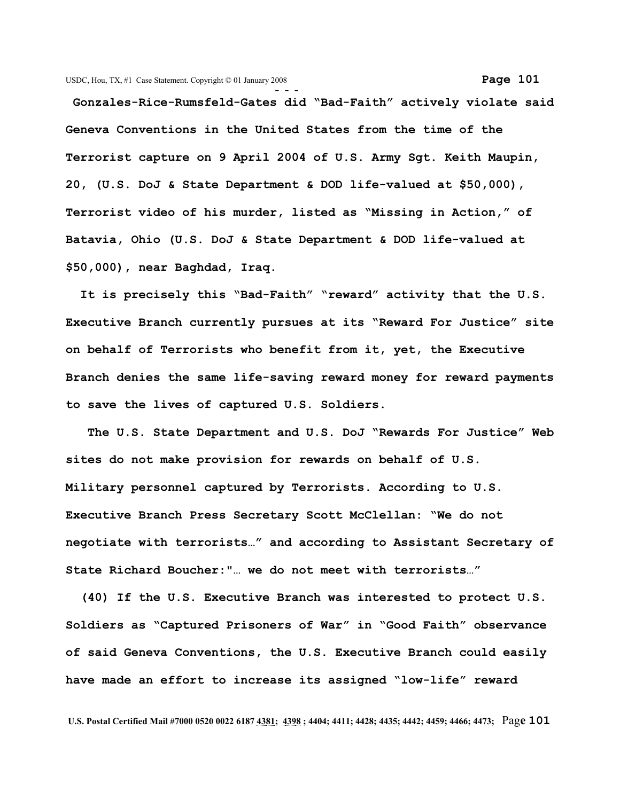**Gonzales-Rice-Rumsfeld-Gates did "Bad-Faith" actively violate said Geneva Conventions in the United States from the time of the Terrorist capture on 9 April 2004 of U.S. Army Sgt. Keith Maupin, 20, (U.S. DoJ & State Department & DOD life-valued at \$50,000), Terrorist video of his murder, listed as "Missing in Action," of Batavia, Ohio (U.S. DoJ & State Department & DOD life-valued at \$50,000), near Baghdad, Iraq.**

 **It is precisely this "Bad-Faith" "reward" activity that the U.S. Executive Branch currently pursues at its "Reward For Justice" site on behalf of Terrorists who benefit from it, yet, the Executive Branch denies the same life-saving reward money for reward payments to save the lives of captured U.S. Soldiers.**

 **The U.S. State Department and U.S. DoJ "Rewards For Justice" Web sites do not make provision for rewards on behalf of U.S. Military personnel captured by Terrorists. According to U.S. Executive Branch Press Secretary Scott McClellan: "We do not negotiate with terrorists…" and according to Assistant Secretary of State Richard Boucher:"… we do not meet with terrorists…"**

 **(40) If the U.S. Executive Branch was interested to protect U.S. Soldiers as "Captured Prisoners of War" in "Good Faith" observance of said Geneva Conventions, the U.S. Executive Branch could easily have made an effort to increase its assigned "low-life" reward**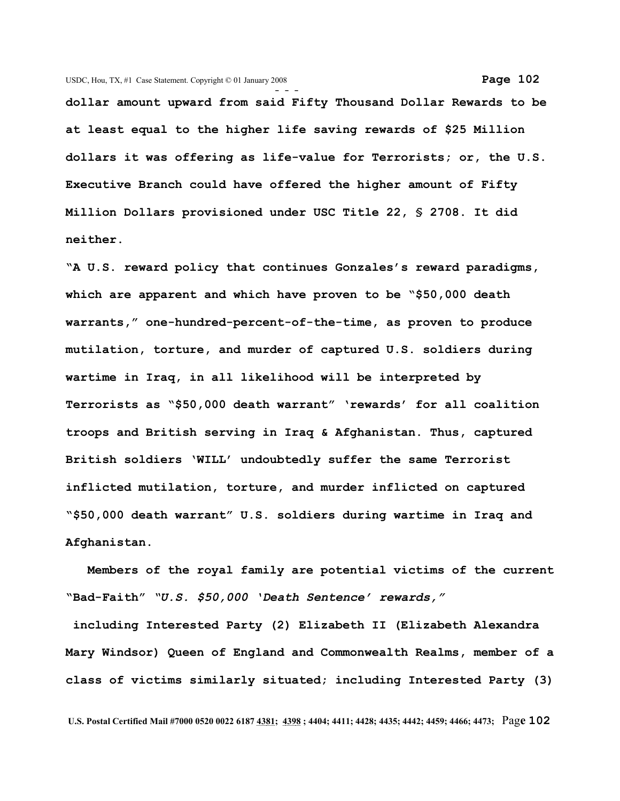**dollar amount upward from said Fifty Thousand Dollar Rewards to be at least equal to the higher life saving rewards of \$25 Million dollars it was offering as life-value for Terrorists; or, the U.S. Executive Branch could have offered the higher amount of Fifty Million Dollars provisioned under USC Title 22, § 2708. It did neither.**

**"A U.S. reward policy that continues Gonzales's reward paradigms, which are apparent and which have proven to be "\$50,000 death warrants," one-hundred-percent-of-the-time, as proven to produce mutilation, torture, and murder of captured U.S. soldiers during wartime in Iraq, in all likelihood will be interpreted by Terrorists as "\$50,000 death warrant" 'rewards' for all coalition troops and British serving in Iraq & Afghanistan. Thus, captured British soldiers 'WILL' undoubtedly suffer the same Terrorist inflicted mutilation, torture, and murder inflicted on captured "\$50,000 death warrant" U.S. soldiers during wartime in Iraq and Afghanistan.**

 **Members of the royal family are potential victims of the current "Bad-Faith"** *"U.S. \$50,000 'Death Sentence' rewards,"*

 **including Interested Party (2) Elizabeth II (Elizabeth Alexandra Mary Windsor) Queen of England and Commonwealth Realms, member of a class of victims similarly situated; including Interested Party (3)**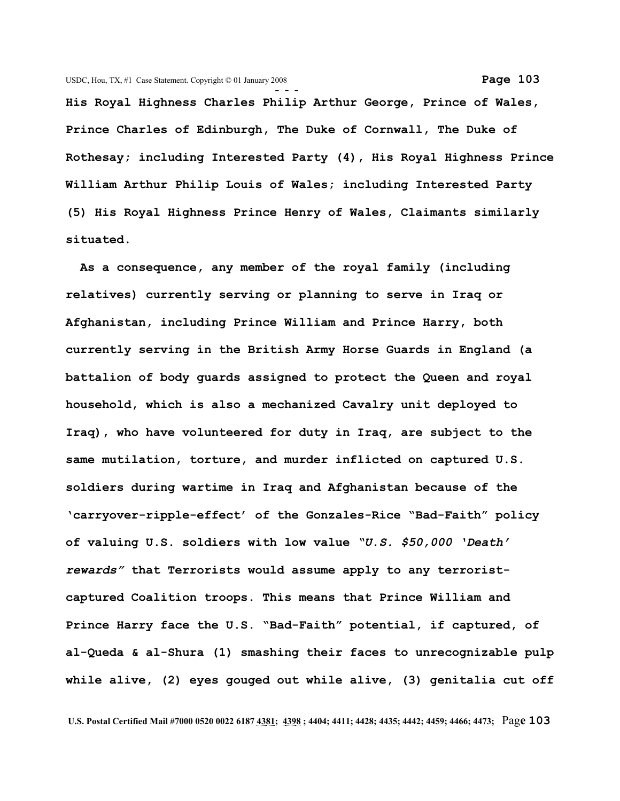**His Royal Highness Charles Philip Arthur George, Prince of Wales, Prince Charles of Edinburgh, The Duke of Cornwall, The Duke of Rothesay; including Interested Party (4), His Royal Highness Prince William Arthur Philip Louis of Wales; including Interested Party (5) His Royal Highness Prince Henry of Wales, Claimants similarly situated.**

 **As a consequence, any member of the royal family (including relatives) currently serving or planning to serve in Iraq or Afghanistan, including Prince William and Prince Harry, both currently serving in the British Army Horse Guards in England (a battalion of body guards assigned to protect the Queen and royal household, which is also a mechanized Cavalry unit deployed to Iraq), who have volunteered for duty in Iraq, are subject to the same mutilation, torture, and murder inflicted on captured U.S. soldiers during wartime in Iraq and Afghanistan because of the 'carryover-ripple-effect' of the Gonzales-Rice "Bad-Faith" policy of valuing U.S. soldiers with low value** *"U.S. \$50,000 'Death' rewards"* **that Terrorists would assume apply to any terroristcaptured Coalition troops. This means that Prince William and Prince Harry face the U.S. "Bad-Faith" potential, if captured, of al-Queda & al-Shura (1) smashing their faces to unrecognizable pulp while alive, (2) eyes gouged out while alive, (3) genitalia cut off**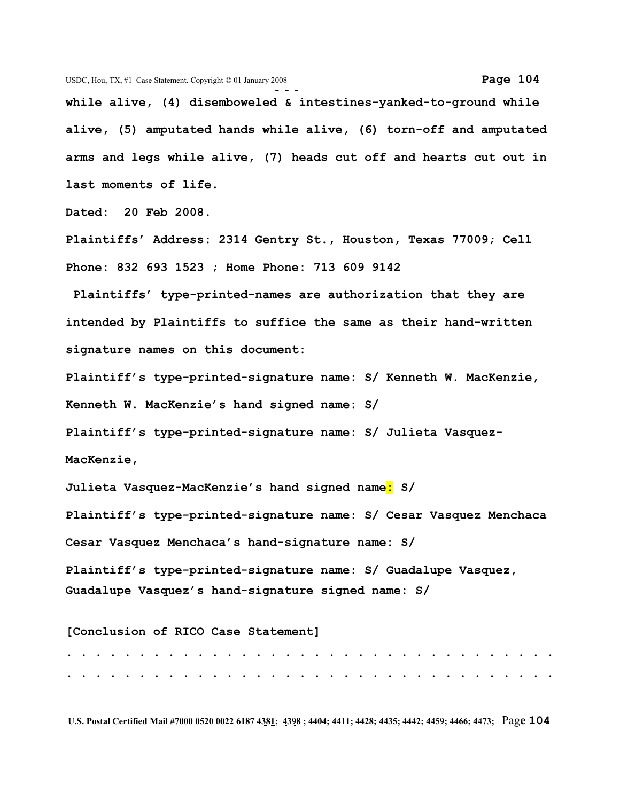**- - while alive, (4) disemboweled & intestines-yanked-to-ground while alive, (5) amputated hands while alive, (6) torn-off and amputated arms and legs while alive, (7) heads cut off and hearts cut out in last moments of life.**

**Dated: 20 Feb 2008.** 

**Plaintiffs' Address: 2314 Gentry St., Houston, Texas 77009; Cell Phone: 832 693 1523 ; Home Phone: 713 609 9142**

 **Plaintiffs' type-printed-names are authorization that they are intended by Plaintiffs to suffice the same as their hand-written signature names on this document:** 

**Plaintiff's type-printed-signature name: S/ Kenneth W. MacKenzie, Kenneth W. MacKenzie's hand signed name: S/**

**Plaintiff's type-printed-signature name: S/ Julieta Vasquez-MacKenzie,** 

**Julieta Vasquez-MacKenzie's hand signed name: S/**

**Plaintiff's type-printed-signature name: S/ Cesar Vasquez Menchaca Cesar Vasquez Menchaca's hand-signature name: S/**

**Plaintiff's type-printed-signature name: S/ Guadalupe Vasquez, Guadalupe Vasquez's hand-signature signed name: S/** 

**[Conclusion of RICO Case Statement] . . . . . . . . . . . . . . . . . . . . . . . . . . . . . . . . . . . . . . . . . . . . . . . . . . . . . . . . . . . . . . . . . . . .**